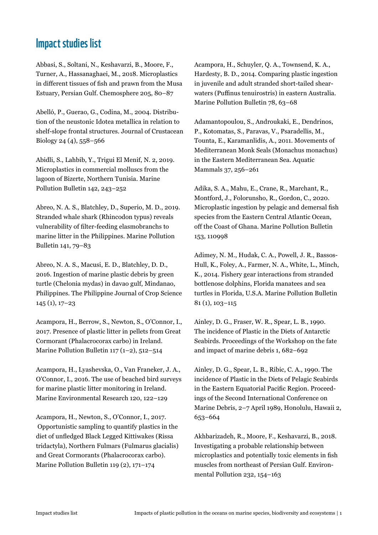## Impact studies list

Abbasi, S., Soltani, N., Keshavarzi, B., Moore, F., Turner, A., Hassanaghaei, M., 2018. Microplastics in different tissues of fish and prawn from the Musa Estuary, Persian Gulf. Chemosphere 205, 80–87

Abelló, P., Guerao, G., Codina, M., 2004. Distribution of the neustonic Idotea metallica in relation to shelf-slope frontal structures. Journal of Crustacean Biology 24 (4), 558–566

Abidli, S., Lahbib, Y., Trigui El Menif, N. 2, 2019. Microplastics in commercial molluscs from the lagoon of Bizerte, Northern Tunisia. Marine Pollution Bulletin 142, 243–252

Abreo, N. A. S., Blatchley, D., Superio, M. D., 2019. Stranded whale shark (Rhincodon typus) reveals vulnerability of filter-feeding elasmobranchs to marine litter in the Philippines. Marine Pollution Bulletin 141, 79–83

Abreo, N. A. S., Macusi, E. D., Blatchley, D. D., 2016. Ingestion of marine plastic debris by green turtle (Chelonia mydas) in davao gulf, Mindanao, Philippines. The Philippine Journal of Crop Science 145 (1), 17–23

Acampora, H., Berrow, S., Newton, S., O'Connor, I., 2017. Presence of plastic litter in pellets from Great Cormorant (Phalacrocorax carbo) in Ireland. Marine Pollution Bulletin 117 (1–2), 512–514

Acampora, H., Lyashevska, O., Van Franeker, J. A., O'Connor, I., 2016. The use of beached bird surveys for marine plastic litter monitoring in Ireland. Marine Environmental Research 120, 122–129

Acampora, H., Newton, S., O'Connor, I., 2017. Opportunistic sampling to quantify plastics in the diet of unfledged Black Legged Kittiwakes (Rissa tridactyla), Northern Fulmars (Fulmarus glacialis) and Great Cormorants (Phalacrocorax carbo). Marine Pollution Bulletin 119 (2), 171–174

Acampora, H., Schuyler, Q. A., Townsend, K. A., Hardesty, B. D., 2014. Comparing plastic ingestion in juvenile and adult stranded short-tailed shearwaters (Puffinus tenuirostris) in eastern Australia. Marine Pollution Bulletin 78, 63–68

Adamantopoulou, S., Androukaki, E., Dendrinos, P., Kotomatas, S., Paravas, V., Psaradellis, M., Tounta, E., Karamanlidis, A., 2011. Movements of Mediterranean Monk Seals (Monachus monachus) in the Eastern Mediterranean Sea. Aquatic Mammals 37, 256–261

Adika, S. A., Mahu, E., Crane, R., Marchant, R., Montford, J., Folorunsho, R., Gordon, C., 2020. Microplastic ingestion by pelagic and demersal fish species from the Eastern Central Atlantic Ocean, off the Coast of Ghana. Marine Pollution Bulletin 153, 110998

Adimey, N. M., Hudak, C. A., Powell, J. R., Bassos-Hull, K., Foley, A., Farmer, N. A., White, L., Minch, K., 2014. Fishery gear interactions from stranded bottlenose dolphins, Florida manatees and sea turtles in Florida, U.S.A. Marine Pollution Bulletin 81 (1), 103–115

Ainley, D. G., Fraser, W. R., Spear, L. B., 1990. The incidence of Plastic in the Diets of Antarctic Seabirds. Proceedings of the Workshop on the fate and impact of marine debris 1, 682–692

Ainley, D. G., Spear, L. B., Ribic, C. A., 1990. The incidence of Plastic in the Diets of Pelagic Seabirds in the Eastern Equatorial Pacific Region. Proceedings of the Second International Conference on Marine Debris, 2–7 April 1989, Honolulu, Hawaii 2, 653–664

Akhbarizadeh, R., Moore, F., Keshavarzi, B., 2018. Investigating a probable relationship between microplastics and potentially toxic elements in fish muscles from northeast of Persian Gulf. Environmental Pollution 232, 154–163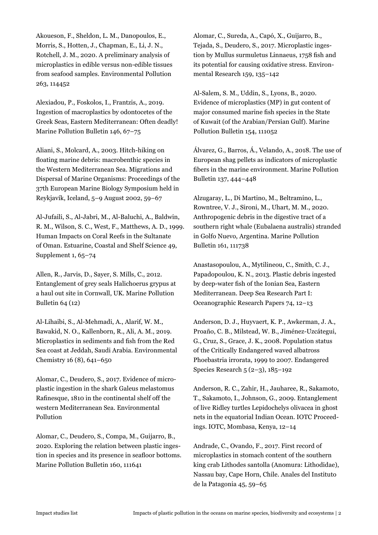Akoueson, F., Sheldon, L. M., Danopoulos, E., Morris, S., Hotten, J., Chapman, E., Li, J. N., Rotchell, J. M., 2020. A preliminary analysis of microplastics in edible versus non-edible tissues from seafood samples. Environmental Pollution 263, 114452

Alexiadou, P., Foskolos, I., Frantzis, A., 2019. Ingestion of macroplastics by odontocetes of the Greek Seas, Eastern Mediterranean: Often deadly! Marine Pollution Bulletin 146, 67-75

Aliani, S., Molcard, A., 2003. Hitch-hiking on floating marine debris: macrobenthic species in the Western Mediterranean Sea. Migrations and Dispersal of Marine Organisms: Proceedings of the 37th European Marine Biology Symposium held in Reykjavík, Iceland, 5–9 August 2002, 59–67

Al-Jufaili, S., Al-Jabri, M., Al-Baluchi, A., Baldwin, R. M., Wilson, S. C., West, F., Matthews, A. D., 1999. Human Impacts on Coral Reefs in the Sultanate of Oman. Estuarine, Coastal and Shelf Science 49, Supplement 1, 65–74

Allen, R., Jarvis, D., Sayer, S. Mills, C., 2012. Entanglement of grey seals Halichoerus grypus at a haul out site in Cornwall, UK. Marine Pollution Bulletin 64 (12)

Al-Lihaibi, S., Al-Mehmadi, A., Alarif, W. M., Bawakid, N. O., Kallenborn, R., Ali, A. M., 2019. Microplastics in sediments and fish from the Red Sea coast at Jeddah, Saudi Arabia. Environmental Chemistry 16 (8), 641–650

Alomar, C., Deudero, S., 2017. Evidence of microplastic ingestion in the shark Galeus melastomus Rafinesque, 1810 in the continental shelf off the western Mediterranean Sea. Environmental Pollution

Alomar, C., Deudero, S., Compa, M., Guijarro, B., 2020. Exploring the relation between plastic ingestion in species and its presence in seafloor bottoms. Marine Pollution Bulletin 160, 111641

Alomar, C., Sureda, A., Capó, X., Guijarro, B., Tejada, S., Deudero, S., 2017. Microplastic ingestion by Mullus surmuletus Linnaeus, 1758 fish and its potential for causing oxidative stress. Environmental Research 159, 135–142

Al-Salem, S. M., Uddin, S., Lyons, B., 2020. Evidence of microplastics (MP) in gut content of major consumed marine fish species in the State of Kuwait (of the Arabian/Persian Gulf). Marine Pollution Bulletin 154, 111052

Álvarez, G., Barros, Á., Velando, A., 2018. The use of European shag pellets as indicators of microplastic fibers in the marine environment. Marine Pollution Bulletin 137, 444–448

Alzugaray, L., Di Martino, M., Beltramino, L., Rowntree, V. J., Sironi, M., Uhart, M. M., 2020. Anthropogenic debris in the digestive tract of a southern right whale (Eubalaena australis) stranded in Golfo Nuevo, Argentina. Marine Pollution Bulletin 161, 111738

Anastasopoulou, A., Mytilineou, C., Smith, C. J., Papadopoulou, K. N., 2013. Plastic debris ingested by deep-water fish of the Ionian Sea, Eastern Mediterranean. Deep Sea Research Part I: Oceanographic Research Papers 74, 12–13

Anderson, D. J., Huyvaert, K. P., Awkerman, J. A., Proaño, C. B., Milstead, W. B., Jiménez-Uzcátegui, G., Cruz, S., Grace, J. K., 2008. Population status of the Critically Endangered waved albatross Phoebastria irrorata, 1999 to 2007. Endangered Species Research 5 (2–3), 185–192

Anderson, R. C., Zahir, H., Jauharee, R., Sakamoto, T., Sakamoto, I., Johnson, G., 2009. Entanglement of live Ridley turtles Lepidochelys olivacea in ghost nets in the equatorial Indian Ocean. IOTC Proceedings. IOTC, Mombasa, Kenya, 12–14

Andrade, C., Ovando, F., 2017. First record of microplastics in stomach content of the southern king crab Lithodes santolla (Anomura: Lithodidae), Nassau bay, Cape Horn, Chile. Anales del Instituto de la Patagonia 45, 59–65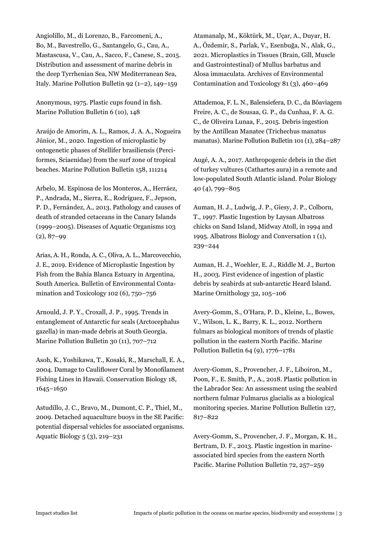Angiolillo, M., di Lorenzo, B., Farcomeni, A., Bo, M., Bavestrello, G., Santangelo, G., Cau, A., Mastascusa, V., Cau, A., Sacco, F., Canese, S., 2015. Distribution and assessment of marine debris in the deep Tyrrhenian Sea, NW Mediterranean Sea, Italy. Marine Pollution Bulletin 92 (1–2), 149–159

Anonymous, 1975. Plastic cups found in fish. Marine Pollution Bulletin 6 (10), 148

Araújo de Amorim, A. L., Ramos, J. A. A., Nogueira Júnior, M., 2020. Ingestion of microplastic by ontogenetic phases of Stellifer brasiliensis (Perciformes, Sciaenidae) from the surf zone of tropical beaches. Marine Pollution Bulletin 158, 111214

Arbelo, M. Espinosa de los Monteros, A., Herráez, P., Andrada, M., Sierra, E., Rodríguez, F., Jepson, P. D., Fernández, A., 2013. Pathology and causes of death of stranded cetaceans in the Canary Islands (1999−2005). Diseases of Aquatic Organisms 103  $(2), 87-99$ 

Arias, A. H., Ronda, A. C., Oliva, A. L., Marcovecchio, J. E., 2019. Evidence of Microplastic Ingestion by Fish from the Bahía Blanca Estuary in Argentina, South America. Bulletin of Environmental Contamination and Toxicology 102 (6), 750–756

Arnould, J. P. Y., Croxall, J. P., 1995. Trends in entanglement of Antarctic fur seals (Arctocephalus gazella) in man-made debris at South Georgia. Marine Pollution Bulletin 30 (11), 707–712

Asoh, K., Yoshikawa, T., Kosaki, R., Marschall, E. A., 2004. Damage to Cauliflower Coral by Monofilament Fishing Lines in Hawaii. Conservation Biology 18, 1645–1650

Astudillo, J. C., Bravo, M., Dumont, C. P., Thiel, M., 2009. Detached aquaculture buoys in the SE Pacific: potential dispersal vehicles for associated organisms. Aquatic Biology 5 (3), 219–231

Atamanalp, M., Köktürk, M., Uçar, A., Duyar, H. A., Özdemir, S., Parlak, V., Esenbuğa, N., Alak, G., 2021. Microplastics in Tissues (Brain, Gill, Muscle and Gastrointestinal) of Mullus barbatus and Alosa immaculata. Archives of Environmental Contamination and Toxicology 81 (3), 460–469

Attademoa, F. L. N., Balensiefera, D. C., da Bôaviagem Freire, A. C., de Sousaa, G. P., da Cunhaa, F. A. G. C., de Oliveira Lunaa, F., 2015. Debris ingestion by the Antillean Manatee (Trichechus manatus manatus). Marine Pollution Bulletin 101 (1), 284–287

Augé, A. A., 2017. Anthropogenic debris in the diet of turkey vultures (Cathartes aura) in a remote and low-populated South Atlantic island. Polar Biology 40 (4), 799–805

Auman, H. J., Ludwig, J. P., Giesy, J. P., Colborn, T., 1997. Plastic Ingestion by Laysan Albatross chicks on Sand Island, Midway Atoll, in 1994 and 1995. Albatross Biology and Conversation 1 (1), 239–244

Auman, H. J., Woehler, E. J., Riddle M. J., Burton H., 2003. First evidence of ingestion of plastic debris by seabirds at sub-antarctic Heard Island. Marine Ornithology 32, 105–106

Avery-Gomm, S., O'Hara, P. D., Kleine, L., Bowes, V., Wilson, L. K., Barry, K. L., 2012. Northern fulmars as biological monitors of trends of plastic pollution in the eastern North Pacific. Marine Pollution Bulletin 64 (9), 1776–1781

Avery-Gomm, S., Provencher, J. F., Liboiron, M., Poon, F., E. Smith, P., A., 2018. Plastic pollution in the Labrador Sea: An assessment using the seabird northern fulmar Fulmarus glacialis as a biological monitoring species. Marine Pollution Bulletin 127, 817–822

Avery-Gomm, S., Provencher, J. F., Morgan, K. H., Bertram, D. F., 2013. Plastic ingestion in marineassociated bird species from the eastern North Pacific. Marine Pollution Bulletin 72, 257–259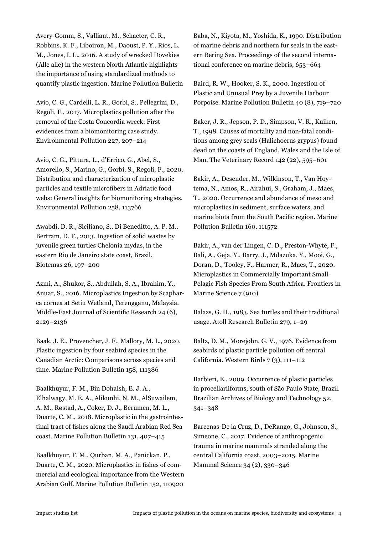Avery-Gomm, S., Valliant, M., Schacter, C. R., Robbins, K. F., Liboiron, M., Daoust, P. Y., Rios, L. M., Jones, I. L., 2016. A study of wrecked Dovekies (Alle alle) in the western North Atlantic highlights the importance of using standardized methods to quantify plastic ingestion. Marine Pollution Bulletin

Avio, C. G., Cardelli, L. R., Gorbi, S., Pellegrini, D., Regoli, F., 2017. Microplastics pollution after the removal of the Costa Concordia wreck: First evidences from a biomonitoring case study. Environmental Pollution 227, 207–214

Avio, C. G., Pittura, L., d'Errico, G., Abel, S., Amorello, S., Marino, G., Gorbi, S., Regoli, F., 2020. Distribution and characterization of microplastic particles and textile microfibers in Adriatic food webs: General insights for biomonitoring strategies. Environmental Pollution 258, 113766

Awabdi, D. R., Siciliano, S., Di Beneditto, A. P. M., Bertram, D. F., 2013. Ingestion of solid wastes by juvenile green turtles Chelonia mydas, in the eastern Rio de Janeiro state coast, Brazil. Biotemas 26, 197–200

Azmi, A., Shukor, S., Abdullah, S. A., Ibrahim, Y., Anuar, S., 2016. Microplastics Ingestion by Scapharca cornea at Setiu Wetland, Terengganu, Malaysia. Middle-East Journal of Scientific Research 24 (6), 2129–2136

Baak, J. E., Provencher, J. F., Mallory, M. L., 2020. Plastic ingestion by four seabird species in the Canadian Arctic: Comparisons across species and time. Marine Pollution Bulletin 158, 111386

Baalkhuyur, F. M., Bin Dohaish, E. J. A., Elhalwagy, M. E. A., Alikunhi, N. M., AlSuwailem, A. M., Røstad, A., Coker, D. J., Berumen, M. L., Duarte, C. M., 2018. Microplastic in the gastrointestinal tract of fishes along the Saudi Arabian Red Sea coast. Marine Pollution Bulletin 131, 407–415

Baalkhuyur, F. M., Qurban, M. A., Panickan, P., Duarte, C. M., 2020. Microplastics in fishes of commercial and ecological importance from the Western Arabian Gulf. Marine Pollution Bulletin 152, 110920

Baba, N., Kiyota, M., Yoshida, K., 1990. Distribution of marine debris and northern fur seals in the eastern Bering Sea. Proceedings of the second international conference on marine debris, 653–664

Baird, R. W., Hooker, S. K., 2000. Ingestion of Plastic and Unusual Prey by a Juvenile Harbour Porpoise. Marine Pollution Bulletin 40 (8), 719–720

Baker, J. R., Jepson, P. D., Simpson, V. R., Kuiken, T., 1998. Causes of mortality and non-fatal conditions among grey seals (Halichoerus grypus) found dead on the coasts of England, Wales and the Isle of Man. The Veterinary Record 142 (22), 595–601

Bakir, A., Desender, M., Wilkinson, T., Van Hoytema, N., Amos, R., Airahui, S., Graham, J., Maes, T., 2020. Occurrence and abundance of meso and microplastics in sediment, surface waters, and marine biota from the South Pacific region. Marine Pollution Bulletin 160, 111572

Bakir, A., van der Lingen, C. D., Preston-Whyte, F., Bali, A., Geja, Y., Barry, J., Mdazuka, Y., Mooi, G., Doran, D., Tooley, F., Harmer, R., Maes, T., 2020. Microplastics in Commercially Important Small Pelagic Fish Species From South Africa. Frontiers in Marine Science 7 (910)

Balazs, G. H., 1983. Sea turtles and their traditional usage. Atoll Research Bulletin 279, 1–29

Baltz, D. M., Morejohn, G. V., 1976. Evidence from seabirds of plastic particle pollution off central California. Western Birds 7 (3), 111–112

Barbieri, E., 2009. Occurrence of plastic particles in procellariiforms, south of São Paulo State, Brazil. Brazilian Archives of Biology and Technology 52, 341–348

Barcenas-De la Cruz, D., DeRango, G., Johnson, S., Simeone, C., 2017. Evidence of anthropogenic trauma in marine mammals stranded along the central California coast, 2003–2015. Marine Mammal Science 34 (2), 330–346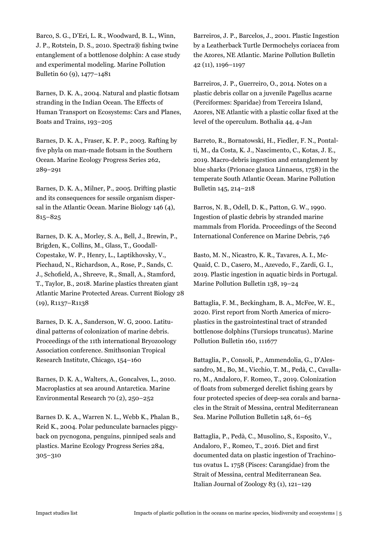Barco, S. G., D'Eri, L. R., Woodward, B. L., Winn, J. P., Rotstein, D. S., 2010. Spectra® fishing twine entanglement of a bottlenose dolphin: A case study and experimental modeling. Marine Pollution Bulletin 60 (9), 1477–1481

Barnes, D. K. A., 2004. Natural and plastic flotsam stranding in the Indian Ocean. The Effects of Human Transport on Ecosystems: Cars and Planes, Boats and Trains, 193–205

Barnes, D. K. A., Fraser, K. P. P., 2003. Rafting by five phyla on man-made flotsam in the Southern Ocean. Marine Ecology Progress Series 262, 289–291

Barnes, D. K. A., Milner, P., 2005. Drifting plastic and its consequences for sessile organism dispersal in the Atlantic Ocean. Marine Biology 146 (4), 815–825

Barnes, D. K. A., Morley, S. A., Bell, J., Brewin, P., Brigden, K., Collins, M., Glass, T., Goodall-Copestake, W. P., Henry, L., Laptikhovsky, V., Piechaud, N., Richardson, A., Rose, P., Sands, C. J., Schofield, A., Shreeve, R., Small, A., Stamford, T., Taylor, B., 2018. Marine plastics threaten giant Atlantic Marine Protected Areas. Current Biology 28 (19), R1137–R1138

Barnes, D. K. A., Sanderson, W. G, 2000. Latitudinal patterns of colonization of marine debris. Proceedings of the 11th international Bryozoology Association conference. Smithsonian Tropical Research Institute, Chicago, 154–160

Barnes, D. K. A., Walters, A., Goncalves, L., 2010. Macroplastics at sea around Antarctica. Marine Environmental Research 70 (2), 250–252

Barnes D. K. A., Warren N. L., Webb K., Phalan B., Reid K., 2004. Polar pedunculate barnacles piggyback on pycnogona, penguins, pinniped seals and plastics. Marine Ecology Progress Series 284, 305–310

Barreiros, J. P., Barcelos, J., 2001. Plastic Ingestion by a Leatherback Turtle Dermochelys coriacea from the Azores, NE Atlantic. Marine Pollution Bulletin 42 (11), 1196–1197

Barreiros, J. P., Guerreiro, O., 2014. Notes on a plastic debris collar on a juvenile Pagellus acarne (Perciformes: Sparidae) from Terceira Island, Azores, NE Atlantic with a plastic collar fixed at the level of the operculum. Bothalia 44, 4-Jan

Barreto, R., Bornatowski, H., Fiedler, F. N., Pontalti, M., da Costa, K. J., Nascimento, C., Kotas, J. E., 2019. Macro-debris ingestion and entanglement by blue sharks (Prionace glauca Linnaeus, 1758) in the temperate South Atlantic Ocean. Marine Pollution Bulletin 145, 214–218

Barros, N. B., Odell, D. K., Patton, G. W., 1990. Ingestion of plastic debris by stranded marine mammals from Florida. Proceedings of the Second International Conference on Marine Debris, 746

Basto, M. N., Nicastro, K. R., Tavares, A. I., Mc-Quaid, C. D., Casero, M., Azevedo, F., Zardi, G. I., 2019. Plastic ingestion in aquatic birds in Portugal. Marine Pollution Bulletin 138, 19–24

Battaglia, F. M., Beckingham, B. A., McFee, W. E., 2020. First report from North America of microplastics in the gastrointestinal tract of stranded bottlenose dolphins (Tursiops truncatus). Marine Pollution Bulletin 160, 111677

Battaglia, P., Consoli, P., Ammendolia, G., D'Alessandro, M., Bo, M., Vicchio, T. M., Pedà, C., Cavallaro, M., Andaloro, F. Romeo, T., 2019. Colonization of floats from submerged derelict fishing gears by four protected species of deep-sea corals and barnacles in the Strait of Messina, central Mediterranean Sea. Marine Pollution Bulletin 148, 61–65

Battaglia, P., Pedà, C., Musolino, S., Esposito, V., Andaloro, F., Romeo, T., 2016. Diet and first documented data on plastic ingestion of Trachinotus ovatus L. 1758 (Pisces: Carangidae) from the Strait of Messina, central Mediterranean Sea. Italian Journal of Zoology 83 (1), 121–129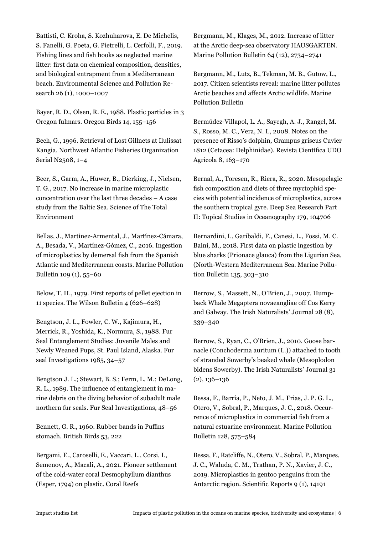Battisti, C. Kroha, S. Kozhuharova, E. De Michelis, S. Fanelli, G. Poeta, G. Pietrelli, L. Cerfolli, F., 2019. Fishing lines and fish hooks as neglected marine litter: first data on chemical composition, densities, and biological entrapment from a Mediterranean beach. Environmental Science and Pollution Research 26 (1), 1000–1007

Bayer, R. D., Olsen, R. E., 1988. Plastic particles in 3 Oregon fulmars. Oregon Birds 14, 155–156

Bech, G., 1996. Retrieval of Lost Gillnets at Ilulissat Kangia. Northwest Atlantic Fisheries Organization Serial N2508, 1–4

Beer, S., Garm, A., Huwer, B., Dierking, J., Nielsen, T. G., 2017. No increase in marine microplastic concentration over the last three decades – A case study from the Baltic Sea. Science of The Total Environment

Bellas, J., Martínez-Armental, J., Martínez-Cámara, A., Besada, V., Martínez-Gómez, C., 2016. Ingestion of microplastics by demersal fish from the Spanish Atlantic and Mediterranean coasts. Marine Pollution Bulletin 109 (1), 55–60

Below, T. H., 1979. First reports of pellet ejection in 11 species. The Wilson Bulletin 4 (626–628)

Bengtson, J. L., Fowler, C. W., Kajimura, H., Merrick, R., Yoshida, K., Normura, S., 1988. Fur Seal Entanglement Studies: Juvenile Males and Newly Weaned Pups, St. Paul Island, Alaska. Fur seal Investigations 1985, 34–57

Bengtson J. L.; Stewart, B. S.; Ferm, L. M.; DeLong, R. L., 1989. The influence of entanglement in marine debris on the diving behavior of subadult male northern fur seals. Fur Seal Investigations, 48–56

Bennett, G. R., 1960. Rubber bands in Puffins stomach. British Birds 53, 222

Bergami, E., Caroselli, E., Vaccari, L., Corsi, I., Semenov, A., Macali, A., 2021. Pioneer settlement of the cold-water coral Desmophyllum dianthus (Esper, 1794) on plastic. Coral Reefs

Bergmann, M., Klages, M., 2012. Increase of litter at the Arctic deep-sea observatory HAUSGARTEN. Marine Pollution Bulletin 64 (12), 2734–2741

Bergmann, M., Lutz, B., Tekman, M. B., Gutow, L., 2017. Citizen scientists reveal: marine litter pollutes Arctic beaches and affects Arctic wildlife. Marine Pollution Bulletin

Bermúdez-Villapol, L. A., Sayegh, A. J., Rangel, M. S., Rosso, M. C., Vera, N. I., 2008. Notes on the presence of Risso's dolphin, Grampus griseus Cuvier 1812 (Cetacea: Delphinidae). Revista Científica UDO Agrícola 8, 163–170

Bernal, A., Toresen, R., Riera, R., 2020. Mesopelagic fish composition and diets of three myctophid species with potential incidence of microplastics, across the southern tropical gyre. Deep Sea Research Part II: Topical Studies in Oceanography 179, 104706

Bernardini, I., Garibaldi, F., Canesi, L., Fossi, M. C. Baini, M., 2018. First data on plastic ingestion by blue sharks (Prionace glauca) from the Ligurian Sea, (North-Western Mediterranean Sea. Marine Pollution Bulletin 135, 303–310

Berrow, S., Massett, N., O'Brien, J., 2007. Humpback Whale Megaptera novaeangliae off Cos Kerry and Galway. The Irish Naturalists' Journal 28 (8), 339–340

Berrow, S., Ryan, C., O'Brien, J., 2010. Goose barnacle (Conchoderma auritum (L.)) attached to tooth of stranded Sowerby's beaked whale (Mesoplodon bidens Sowerby). The Irish Naturalists' Journal 31 (2), 136–136

Bessa, F., Barría, P., Neto, J. M., Frias, J. P. G. L., Otero, V., Sobral, P., Marques, J. C., 2018. Occurrence of microplastics in commercial fish from a natural estuarine environment. Marine Pollution Bulletin 128, 575–584

Bessa, F., Ratcliffe, N., Otero, V., Sobral, P., Marques, J. C., Waluda, C. M., Trathan, P. N., Xavier, J. C., 2019. Microplastics in gentoo penguins from the Antarctic region. Scientific Reports 9 (1), 14191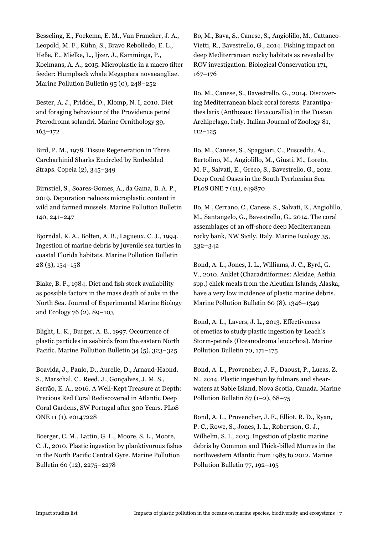Besseling, E., Foekema, E. M., Van Franeker, J. A., Leopold, M. F., Kühn, S., Bravo Rebolledo, E. L., Heße, E., Mielke, L., Ijzer, J., Kamminga, P., Koelmans, A. A., 2015. Microplastic in a macro filter feeder: Humpback whale Megaptera novaeangliae. Marine Pollution Bulletin 95 (0), 248–252

Bester, A. J., Priddel, D., Klomp, N. I, 2010. Diet and foraging behaviour of the Providence petrel Pterodroma solandri. Marine Ornithology 39, 163–172

Bird, P. M., 1978. Tissue Regeneration in Three Carcharhinid Sharks Encircled by Embedded Straps. Copeia (2), 345–349

Birnstiel, S., Soares-Gomes, A., da Gama, B. A. P., 2019. Depuration reduces microplastic content in wild and farmed mussels. Marine Pollution Bulletin 140, 241–247

Bjorndal, K. A., Bolten, A. B., Lagueux, C. J., 1994. Ingestion of marine debris by juvenile sea turtles in coastal Florida habitats. Marine Pollution Bulletin 28 (3), 154–158

Blake, B. F., 1984. Diet and fish stock availability as possible factors in the mass death of auks in the North Sea. Journal of Experimental Marine Biology and Ecology 76 (2), 89–103

Blight, L. K., Burger, A. E., 1997. Occurrence of plastic particles in seabirds from the eastern North Pacific. Marine Pollution Bulletin 34 (5), 323–325

Boavida, J., Paulo, D., Aurelle, D., Arnaud-Haond, S., Marschal, C., Reed, J., Gonçalves, J. M. S., Serrão, E. A., 2016. A Well-Kept Treasure at Depth: Precious Red Coral Rediscovered in Atlantic Deep Coral Gardens, SW Portugal after 300 Years. PLoS ONE 11 (1), e0147228

Boerger, C. M., Lattin, G. L., Moore, S. L., Moore, C. J., 2010. Plastic ingestion by planktivorous fishes in the North Pacific Central Gyre. Marine Pollution Bulletin 60 (12), 2275–2278

Bo, M., Bava, S., Canese, S., Angiolillo, M., Cattaneo-Vietti, R., Bavestrello, G., 2014. Fishing impact on deep Mediterranean rocky habitats as revealed by ROV investigation. Biological Conservation 171, 167–176

Bo, M., Canese, S., Bavestrello, G., 2014. Discovering Mediterranean black coral forests: Parantipathes larix (Anthozoa: Hexacorallia) in the Tuscan Archipelago, Italy. Italian Journal of Zoology 81, 112–125

Bo, M., Canese, S., Spaggiari, C., Pusceddu, A., Bertolino, M., Angiolillo, M., Giusti, M., Loreto, M. F., Salvati, E., Greco, S., Bavestrello, G., 2012. Deep Coral Oases in the South Tyrrhenian Sea. PLoS ONE 7 (11), e49870

Bo, M., Cerrano, C., Canese, S., Salvati, E., Angiolillo, M., Santangelo, G., Bavestrello, G., 2014. The coral assemblages of an off-shore deep Mediterranean rocky bank, NW Sicily, Italy. Marine Ecology 35, 332–342

Bond, A. L., Jones, I. L., Williams, J. C., Byrd, G. V., 2010. Auklet (Charadriiformes: Alcidae, Aethia spp.) chick meals from the Aleutian Islands, Alaska, have a very low incidence of plastic marine debris. Marine Pollution Bulletin 60 (8), 1346–1349

Bond, A. L., Lavers, J. L., 2013. Effectiveness of emetics to study plastic ingestion by Leach's Storm-petrels (Oceanodroma leucorhoa). Marine Pollution Bulletin 70, 171–175

Bond, A. L., Provencher, J. F., Daoust, P., Lucas, Z. N., 2014. Plastic ingestion by fulmars and shearwaters at Sable Island, Nova Scotia, Canada. Marine Pollution Bulletin  $87$  (1–2), 68–75

Bond, A. L., Provencher, J. F., Elliot, R. D., Ryan, P. C., Rowe, S., Jones, I. L., Robertson, G. J., Wilhelm, S. I., 2013. Ingestion of plastic marine debris by Common and Thick-billed Murres in the northwestern Atlantic from 1985 to 2012. Marine Pollution Bulletin 77, 192–195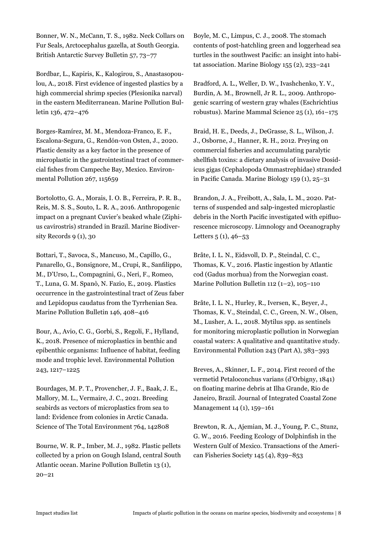Bonner, W. N., McCann, T. S., 1982. Neck Collars on Fur Seals, Arctocephalus gazella, at South Georgia. British Antarctic Survey Bulletin 57, 73–77

Bordbar, L., Kapiris, K., Kalogirou, S., Anastasopoulou, A., 2018. First evidence of ingested plastics by a high commercial shrimp species (Plesionika narval) in the eastern Mediterranean. Marine Pollution Bulletin 136, 472–476

Borges-Ramírez, M. M., Mendoza-Franco, E. F., Escalona-Segura, G., Rendón-von Osten, J., 2020. Plastic density as a key factor in the presence of microplastic in the gastrointestinal tract of commercial fishes from Campeche Bay, Mexico. Environmental Pollution 267, 115659

Bortolotto, G. A., Morais, I. O. B., Ferreira, P. R. B., Reis, M. S. S., Souto, L. R. A., 2016. Anthropogenic impact on a pregnant Cuvier's beaked whale (Ziphius cavirostris) stranded in Brazil. Marine Biodiversity Records 9 (1), 30

Bottari, T., Savoca, S., Mancuso, M., Capillo, G., Panarello, G., Bonsignore, M., Crupi, R., Sanfilippo, M., D'Urso, L., Compagnini, G., Neri, F., Romeo, T., Luna, G. M. Spanò, N. Fazio, E., 2019. Plastics occurrence in the gastrointestinal tract of Zeus faber and Lepidopus caudatus from the Tyrrhenian Sea. Marine Pollution Bulletin 146, 408–416

Bour, A., Avio, C. G., Gorbi, S., Regoli, F., Hylland, K., 2018. Presence of microplastics in benthic and epibenthic organisms: Influence of habitat, feeding mode and trophic level. Environmental Pollution 243, 1217–1225

Bourdages, M. P. T., Provencher, J. F., Baak, J. E., Mallory, M. L., Vermaire, J. C., 2021. Breeding seabirds as vectors of microplastics from sea to land: Evidence from colonies in Arctic Canada. Science of The Total Environment 764, 142808

Bourne, W. R. P., Imber, M. J., 1982. Plastic pellets collected by a prion on Gough Island, central South Atlantic ocean. Marine Pollution Bulletin 13 (1), 20–21

Boyle, M. C., Limpus, C. J., 2008. The stomach contents of post-hatchling green and loggerhead sea turtles in the southwest Pacific: an insight into habitat association. Marine Biology 155 (2), 233–241

Bradford, A. L., Weller, D. W., Ivashchenko, Y. V., Burdin, A. M., Brownell, Jr R. L., 2009. Anthropogenic scarring of western gray whales (Eschrichtius robustus). Marine Mammal Science 25 (1), 161–175

Braid, H. E., Deeds, J., DeGrasse, S. L., Wilson, J. J., Osborne, J., Hanner, R. H., 2012. Preying on commercial fisheries and accumulating paralytic shellfish toxins: a dietary analysis of invasive Dosidicus gigas (Cephalopoda Ommastrephidae) stranded in Pacific Canada. Marine Biology 159 (1), 25–31

Brandon, J. A., Freibott, A., Sala, L. M., 2020. Patterns of suspended and salp-ingested microplastic debris in the North Pacific investigated with epifluorescence microscopy. Limnology and Oceanography Letters  $5(1), 46-53$ 

Bråte, I. L. N., Eidsvoll, D. P., Steindal, C. C., Thomas, K. V., 2016. Plastic ingestion by Atlantic cod (Gadus morhua) from the Norwegian coast. Marine Pollution Bulletin 112 (1–2), 105–110

Bråte, I. L. N., Hurley, R., Iversen, K., Beyer, J., Thomas, K. V., Steindal, C. C., Green, N. W., Olsen, M., Lusher, A. L., 2018. Mytilus spp. as sentinels for monitoring microplastic pollution in Norwegian coastal waters: A qualitative and quantitative study. Environmental Pollution 243 (Part A), 383–393

Breves, A., Skinner, L. F., 2014. First record of the vermetid Petaloconchus varians (d'Orbigny, 1841) on floating marine debris at Ilha Grande, Rio de Janeiro, Brazil. Journal of Integrated Coastal Zone Management 14 (1), 159–161

Brewton, R. A., Ajemian, M. J., Young, P. C., Stunz, G. W., 2016. Feeding Ecology of Dolphinfish in the Western Gulf of Mexico. Transactions of the American Fisheries Society 145 (4), 839–853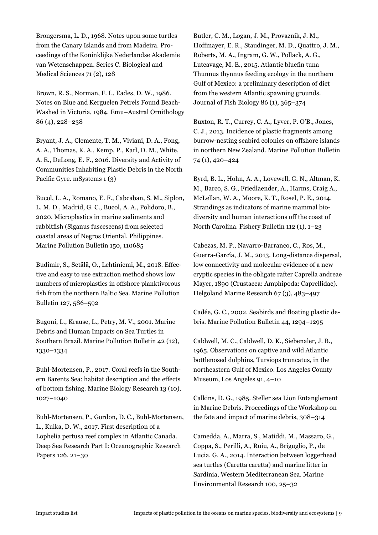Brongersma, L. D., 1968. Notes upon some turtles from the Canary Islands and from Madeira. Proceedings of the Koninklijke Nederlandse Akademie van Wetenschappen. Series C. Biological and Medical Sciences 71 (2), 128

Brown, R. S., Norman, F. I., Eades, D. W., 1986. Notes on Blue and Kerguelen Petrels Found Beach-Washed in Victoria, 1984. Emu–Austral Ornithology 86 (4), 228–238

Bryant, J. A., Clemente, T. M., Viviani, D. A., Fong, A. A., Thomas, K. A., Kemp, P., Karl, D. M., White, A. E., DeLong, E. F., 2016. Diversity and Activity of Communities Inhabiting Plastic Debris in the North Pacific Gyre. mSystems 1 (3)

Bucol, L. A., Romano, E. F., Cabcaban, S. M., Siplon, L. M. D., Madrid, G. C., Bucol, A. A., Polidoro, B., 2020. Microplastics in marine sediments and rabbitfish (Siganus fuscescens) from selected coastal areas of Negros Oriental, Philippines. Marine Pollution Bulletin 150, 110685

Budimir, S., Setälä, O., Lehtiniemi, M., 2018. Effective and easy to use extraction method shows low numbers of microplastics in offshore planktivorous fish from the northern Baltic Sea. Marine Pollution Bulletin 127, 586–592

Bugoni, L., Krause, L., Petry, M. V., 2001. Marine Debris and Human Impacts on Sea Turtles in Southern Brazil. Marine Pollution Bulletin 42 (12), 1330–1334

Buhl-Mortensen, P., 2017. Coral reefs in the Southern Barents Sea: habitat description and the effects of bottom fishing. Marine Biology Research 13 (10), 1027–1040

Buhl-Mortensen, P., Gordon, D. C., Buhl-Mortensen, L., Kulka, D. W., 2017. First description of a Lophelia pertusa reef complex in Atlantic Canada. Deep Sea Research Part I: Oceanographic Research Papers 126, 21–30

Butler, C. M., Logan, J. M., Provaznik, J. M., Hoffmayer, E. R., Staudinger, M. D., Quattro, J. M., Roberts, M. A., Ingram, G. W., Pollack, A. G., Lutcavage, M. E., 2015. Atlantic bluefin tuna Thunnus thynnus feeding ecology in the northern Gulf of Mexico: a preliminary description of diet from the western Atlantic spawning grounds. Journal of Fish Biology 86 (1), 365–374

Buxton, R. T., Currey, C. A., Lyver, P. O'B., Jones, C. J., 2013. Incidence of plastic fragments among burrow-nesting seabird colonies on offshore islands in northern New Zealand. Marine Pollution Bulletin 74 (1), 420–424

Byrd, B. L., Hohn, A. A., Lovewell, G. N., Altman, K. M., Barco, S. G., Friedlaender, A., Harms, Craig A., McLellan, W. A., Moore, K. T., Rosel, P. E., 2014. Strandings as indicators of marine mammal biodiversity and human interactions off the coast of North Carolina. Fishery Bulletin 112 (1), 1–23

Cabezas, M. P., Navarro-Barranco, C., Ros, M., Guerra-García, J. M., 2013. Long-distance dispersal, low connectivity and molecular evidence of a new cryptic species in the obligate rafter Caprella andreae Mayer, 1890 (Crustacea: Amphipoda: Caprellidae). Helgoland Marine Research 67 (3), 483–497

Cadée, G. C., 2002. Seabirds and floating plastic debris. Marine Pollution Bulletin 44, 1294–1295

Caldwell, M. C., Caldwell, D. K., Siebenaler, J. B., 1965. Observations on captive and wild Atlantic bottlenosed dolphins, Tursiops truncatus, in the northeastern Gulf of Mexico. Los Angeles County Museum, Los Angeles 91, 4–10

Calkins, D. G., 1985. Steller sea Lion Entanglement in Marine Debris. Proceedings of the Workshop on the fate and impact of marine debris, 308–314

Camedda, A., Marra, S., Matiddi, M., Massaro, G., Coppa, S., Perilli, A., Ruiu, A., Briguglio, P., de Lucia, G. A., 2014. Interaction between loggerhead sea turtles (Caretta caretta) and marine litter in Sardinia, Western Mediterranean Sea. Marine Environmental Research 100, 25–32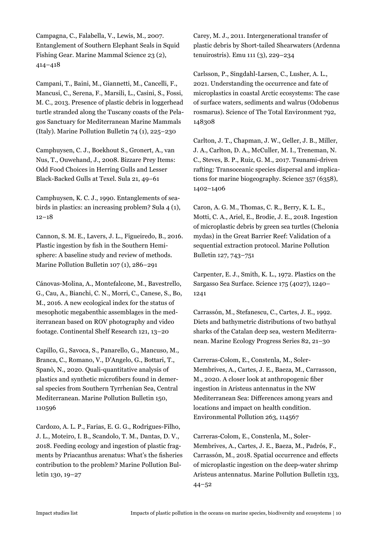Campagna, C., Falabella, V., Lewis, M., 2007. Entanglement of Southern Elephant Seals in Squid Fishing Gear. Marine Mammal Science 23 (2), 414–418

Campani, T., Baini, M., Giannetti, M., Cancelli, F., Mancusi, C., Serena, F., Marsili, L., Casini, S., Fossi, M. C., 2013. Presence of plastic debris in loggerhead turtle stranded along the Tuscany coasts of the Pelagos Sanctuary for Mediterranean Marine Mammals (Italy). Marine Pollution Bulletin 74 (1), 225–230

Camphuysen, C. J., Boekhout S., Gronert, A., van Nus, T., Ouwehand, J., 2008. Bizzare Prey Items: Odd Food Choices in Herring Gulls and Lesser Black-Backed Gulls at Texel. Sula 21, 49–61

Camphuysen, K. C. J., 1990. Entanglements of seabirds in plastics: an increasing problem? Sula 4 (1), 12–18

Cannon, S. M. E., Lavers, J. L., Figueiredo, B., 2016. Plastic ingestion by fish in the Southern Hemisphere: A baseline study and review of methods. Marine Pollution Bulletin 107 (1), 286–291

Cánovas-Molina, A., Montefalcone, M., Bavestrello, G., Cau, A., Bianchi, C. N., Morri, C., Canese, S., Bo, M., 2016. A new ecological index for the status of mesophotic megabenthic assemblages in the mediterranean based on ROV photography and video footage. Continental Shelf Research 121, 13–20

Capillo, G., Savoca, S., Panarello, G., Mancuso, M., Branca, C., Romano, V., D'Angelo, G., Bottari, T., Spanò, N., 2020. Quali-quantitative analysis of plastics and synthetic microfibers found in demersal species from Southern Tyrrhenian Sea, Central Mediterranean. Marine Pollution Bulletin 150, 110596

Cardozo, A. L. P., Farias, E. G. G., Rodrigues-Filho, J. L., Moteiro, I. B., Scandolo, T. M., Dantas, D. V., 2018. Feeding ecology and ingestion of plastic fragments by Priacanthus arenatus: What's the fisheries contribution to the problem? Marine Pollution Bulletin 130, 19–27

Carey, M. J., 2011. Intergenerational transfer of plastic debris by Short-tailed Shearwaters (Ardenna tenuirostris). Emu 111 (3), 229–234

Carlsson, P., Singdahl-Larsen, C., Lusher, A. L., 2021. Understanding the occurrence and fate of microplastics in coastal Arctic ecosystems: The case of surface waters, sediments and walrus (Odobenus rosmarus). Science of The Total Environment 792, 148308

Carlton, J. T., Chapman, J. W., Geller, J. B., Miller, J. A., Carlton, D. A., McCuller, M. I., Treneman, N. C., Steves, B. P., Ruiz, G. M., 2017. Tsunami-driven rafting: Transoceanic species dispersal and implications for marine biogeography. Science 357 (6358), 1402–1406

Caron, A. G. M., Thomas, C. R., Berry, K. L. E., Motti, C. A., Ariel, E., Brodie, J. E., 2018. Ingestion of microplastic debris by green sea turtles (Chelonia mydas) in the Great Barrier Reef: Validation of a sequential extraction protocol. Marine Pollution Bulletin 127, 743–751

Carpenter, E. J., Smith, K. L., 1972. Plastics on the Sargasso Sea Surface. Science 175 (4027), 1240– 1241

Carrassón, M., Stefanescu, C., Cartes, J. E., 1992. Diets and bathymetric distributions of two bathyal sharks of the Catalan deep sea, western Mediterranean. Marine Ecology Progress Series 82, 21–30

Carreras-Colom, E., Constenla, M., Soler-Membrives, A., Cartes, J. E., Baeza, M., Carrasson, M., 2020. A closer look at anthropogenic fiber ingestion in Aristeus antennatus in the NW Mediterranean Sea: Differences among years and locations and impact on health condition. Environmental Pollution 263, 114567

Carreras-Colom, E., Constenla, M., Soler-Membrives, A., Cartes, J. E., Baeza, M., Padrós, F., Carrassón, M., 2018. Spatial occurrence and effects of microplastic ingestion on the deep-water shrimp Aristeus antennatus. Marine Pollution Bulletin 133, 44–52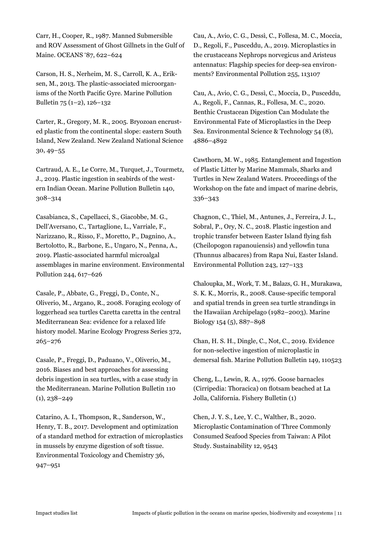Carr, H., Cooper, R., 1987. Manned Submersible and ROV Assessment of Ghost Gillnets in the Gulf of Maine. OCEANS '87, 622–624

Carson, H. S., Nerheim, M. S., Carroll, K. A., Eriksen, M., 2013. The plastic-associated microorganisms of the North Pacific Gyre. Marine Pollution Bulletin 75 (1–2), 126–132

Carter, R., Gregory, M. R., 2005. Bryozoan encrusted plastic from the continental slope: eastern South Island, New Zealand. New Zealand National Science 30, 49–55

Cartraud, A. E., Le Corre, M., Turquet, J., Tourmetz, J., 2019. Plastic ingestion in seabirds of the western Indian Ocean. Marine Pollution Bulletin 140, 308–314

Casabianca, S., Capellacci, S., Giacobbe, M. G., Dell'Aversano, C., Tartaglione, L., Varriale, F., Narizzano, R., Risso, F., Moretto, P., Dagnino, A., Bertolotto, R., Barbone, E., Ungaro, N., Penna, A., 2019. Plastic-associated harmful microalgal assemblages in marine environment. Environmental Pollution 244, 617–626

Casale, P., Abbate, G., Freggi, D., Conte, N., Oliverio, M., Argano, R., 2008. Foraging ecology of loggerhead sea turtles Caretta caretta in the central Mediterranean Sea: evidence for a relaxed life history model. Marine Ecology Progress Series 372, 265–276

Casale, P., Freggi, D., Paduano, V., Oliverio, M., 2016. Biases and best approaches for assessing debris ingestion in sea turtles, with a case study in the Mediterranean. Marine Pollution Bulletin 110 (1), 238–249

Catarino, A. I., Thompson, R., Sanderson, W., Henry, T. B., 2017. Development and optimization of a standard method for extraction of microplastics in mussels by enzyme digestion of soft tissue. Environmental Toxicology and Chemistry 36, 947–951

Cau, A., Avio, C. G., Dessì, C., Follesa, M. C., Moccia, D., Regoli, F., Pusceddu, A., 2019. Microplastics in the crustaceans Nephrops norvegicus and Aristeus antennatus: Flagship species for deep-sea environments? Environmental Pollution 255, 113107

Cau, A., Avio, C. G., Dessì, C., Moccia, D., Pusceddu, A., Regoli, F., Cannas, R., Follesa, M. C., 2020. Benthic Crustacean Digestion Can Modulate the Environmental Fate of Microplastics in the Deep Sea. Environmental Science & Technology 54 (8), 4886–4892

Cawthorn, M. W., 1985. Entanglement and Ingestion of Plastic Litter by Marine Mammals, Sharks and Turtles in New Zealand Waters. Proceedings of the Workshop on the fate and impact of marine debris, 336–343

Chagnon, C., Thiel, M., Antunes, J., Ferreira, J. L., Sobral, P., Ory, N. C., 2018. Plastic ingestion and trophic transfer between Easter Island flying fish (Cheilopogon rapanouiensis) and yellowfin tuna (Thunnus albacares) from Rapa Nui, Easter Island. Environmental Pollution 243, 127–133

Chaloupka, M., Work, T. M., Balazs, G. H., Murakawa, S. K. K., Morris, R., 2008. Cause-specific temporal and spatial trends in green sea turtle strandings in the Hawaiian Archipelago (1982–2003). Marine Biology 154 (5), 887–898

Chan, H. S. H., Dingle, C., Not, C., 2019. Evidence for non-selective ingestion of microplastic in demersal fish. Marine Pollution Bulletin 149, 110523

Cheng, L., Lewin, R. A., 1976. Goose barnacles (Cirripedia: Thoracica) on flotsam beached at La Jolla, California. Fishery Bulletin (1)

Chen, J. Y. S., Lee, Y. C., Walther, B., 2020. Microplastic Contamination of Three Commonly Consumed Seafood Species from Taiwan: A Pilot Study. Sustainability 12, 9543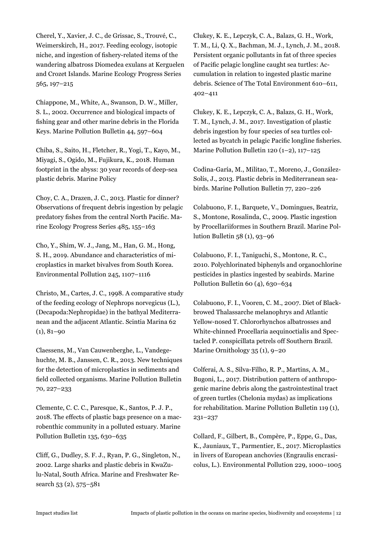Cherel, Y., Xavier, J. C., de Grissac, S., Trouvé, C., Weimerskirch, H., 2017. Feeding ecology, isotopic niche, and ingestion of fishery-related items of the wandering albatross Diomedea exulans at Kerguelen and Crozet Islands. Marine Ecology Progress Series 565, 197–215

Chiappone, M., White, A., Swanson, D. W., Miller, S. L., 2002. Occurrence and biological impacts of fishing gear and other marine debris in the Florida Keys. Marine Pollution Bulletin 44, 597–604

Chiba, S., Saito, H., Fletcher, R., Yogi, T., Kayo, M., Miyagi, S., Ogido, M., Fujikura, K., 2018. Human footprint in the abyss: 30 year records of deep-sea plastic debris. Marine Policy

Choy, C. A., Drazen, J. C., 2013. Plastic for dinner? Observations of frequent debris ingestion by pelagic predatory fishes from the central North Pacific. Marine Ecology Progress Series 485, 155–163

Cho, Y., Shim, W. J., Jang, M., Han, G. M., Hong, S. H., 2019. Abundance and characteristics of microplastics in market bivalves from South Korea. Environmental Pollution 245, 1107–1116

Christo, M., Cartes, J. C., 1998. A comparative study of the feeding ecology of Nephrops norvegicus (L.), (Decapoda:Nephropidae) in the bathyal Mediterranean and the adjacent Atlantic. Scintia Marina 62  $(1), 81-90$ 

Claessens, M., Van Cauwenberghe, L., Vandegehuchte, M. B., Janssen, C. R., 2013. New techniques for the detection of microplastics in sediments and field collected organisms. Marine Pollution Bulletin 70, 227–233

Clemente, C. C. C., Paresque, K., Santos, P. J. P., 2018. The effects of plastic bags presence on a macrobenthic community in a polluted estuary. Marine Pollution Bulletin 135, 630–635

Cliff, G., Dudley, S. F. J., Ryan, P. G., Singleton, N., 2002. Large sharks and plastic debris in KwaZulu-Natal, South Africa. Marine and Freshwater Research 53 (2), 575–581

Clukey, K. E., Lepczyk, C. A., Balazs, G. H., Work, T. M., Li, Q. X., Bachman, M. J., Lynch, J. M., 2018. Persistent organic pollutants in fat of three species of Pacific pelagic longline caught sea turtles: Accumulation in relation to ingested plastic marine debris. Science of The Total Environment 610–611, 402–411

Clukey, K. E., Lepczyk, C. A., Balazs, G. H., Work, T. M., Lynch, J. M., 2017. Investigation of plastic debris ingestion by four species of sea turtles collected as bycatch in pelagic Pacific longline fisheries. Marine Pollution Bulletin 120 (1–2), 117–125

Codina-Garía, M., Militao, T., Moreno, J., González-Solís, J., 2013. Plastic debris in Mediterranean seabirds. Marine Pollution Bulletin 77, 220–226

Colabuono, F. I., Barquete, V., Domingues, Beatriz, S., Montone, Rosalinda, C., 2009. Plastic ingestion by Procellariiformes in Southern Brazil. Marine Pollution Bulletin 58 (1), 93–96

Colabuono, F. I., Taniguchi, S., Montone, R. C., 2010. Polychlorinated biphenyls and organochlorine pesticides in plastics ingested by seabirds. Marine Pollution Bulletin 60 (4), 630–634

Colabuono, F. I., Vooren, C. M., 2007. Diet of Blackbrowed Thalassarche melanophrys and Atlantic Yellow-nosed T. Chlororhynchos albatrosses and White-chinned Procellaria aequinoctialis and Spectacled P. conspicillata petrels off Southern Brazil. Marine Ornithology 35 (1), 9–20

Colferai, A. S., Silva-Filho, R. P., Martins, A. M., Bugoni, L., 2017. Distribution pattern of anthropogenic marine debris along the gastrointestinal tract of green turtles (Chelonia mydas) as implications for rehabilitation. Marine Pollution Bulletin 119 (1), 231–237

Collard, F., Gilbert, B., Compère, P., Eppe, G., Das, K., Jauniaux, T., Parmentier, E., 2017. Microplastics in livers of European anchovies (Engraulis encrasicolus, L.). Environmental Pollution 229, 1000–1005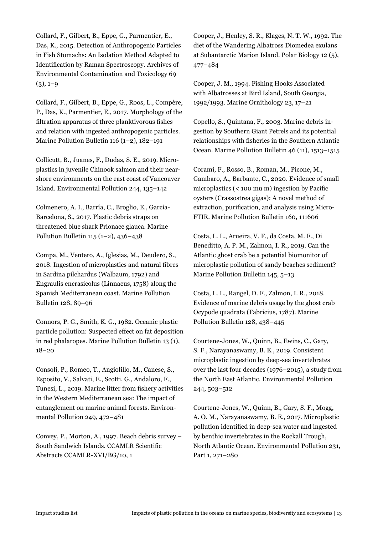Collard, F., Gilbert, B., Eppe, G., Parmentier, E., Das, K., 2015. Detection of Anthropogenic Particles in Fish Stomachs: An Isolation Method Adapted to Identification by Raman Spectroscopy. Archives of Environmental Contamination and Toxicology 69  $(3), 1-9$ 

Collard, F., Gilbert, B., Eppe, G., Roos, L., Compère, P., Das, K., Parmentier, E., 2017. Morphology of the filtration apparatus of three planktivorous fishes and relation with ingested anthropogenic particles. Marine Pollution Bulletin 116 (1–2), 182–191

Collicutt, B., Juanes, F., Dudas, S. E., 2019. Microplastics in juvenile Chinook salmon and their nearshore environments on the east coast of Vancouver Island. Environmental Pollution 244, 135–142

Colmenero, A. I., Barría, C., Broglio, E., García-Barcelona, S., 2017. Plastic debris straps on threatened blue shark Prionace glauca. Marine Pollution Bulletin 115 (1–2), 436–438

Compa, M., Ventero, A., Iglesias, M., Deudero, S., 2018. Ingestion of microplastics and natural fibres in Sardina pilchardus (Walbaum, 1792) and Engraulis encrasicolus (Linnaeus, 1758) along the Spanish Mediterranean coast. Marine Pollution Bulletin 128, 89–96

Connors, P. G., Smith, K. G., 1982. Oceanic plastic particle pollution: Suspected effect on fat deposition in red phalaropes. Marine Pollution Bulletin 13 (1), 18–20

Consoli, P., Romeo, T., Angiolillo, M., Canese, S., Esposito, V., Salvati, E., Scotti, G., Andaloro, F., Tunesi, L., 2019. Marine litter from fishery activities in the Western Mediterranean sea: The impact of entanglement on marine animal forests. Environmental Pollution 249, 472–481

Convey, P., Morton, A., 1997. Beach debris survey – South Sandwich Islands. CCAMLR Scientific Abstracts CCAMLR-XVI/BG/10, 1

Cooper, J., Henley, S. R., Klages, N. T. W., 1992. The diet of the Wandering Albatross Diomedea exulans at Subantarctic Marion Island. Polar Biology 12 (5), 477–484

Cooper, J. M., 1994. Fishing Hooks Associated with Albatrosses at Bird Island, South Georgia, 1992/1993. Marine Ornithology 23, 17–21

Copello, S., Quintana, F., 2003. Marine debris ingestion by Southern Giant Petrels and its potential relationships with fisheries in the Southern Atlantic Ocean. Marine Pollution Bulletin 46 (11), 1513–1515

Corami, F., Rosso, B., Roman, M., Picone, M., Gambaro, A., Barbante, C., 2020. Evidence of small microplastics (< 100 mu m) ingestion by Pacific oysters (Crassostrea gigas): A novel method of extraction, purification, and analysis using Micro-FTIR. Marine Pollution Bulletin 160, 111606

Costa, L. L., Arueira, V. F., da Costa, M. F., Di Beneditto, A. P. M., Zalmon, I. R., 2019. Can the Atlantic ghost crab be a potential biomonitor of microplastic pollution of sandy beaches sediment? Marine Pollution Bulletin 145, 5–13

Costa, L. L., Rangel, D. F., Zalmon, I. R., 2018. Evidence of marine debris usage by the ghost crab Ocypode quadrata (Fabricius, 1787). Marine Pollution Bulletin 128, 438–445

Courtene-Jones, W., Quinn, B., Ewins, C., Gary, S. F., Narayanaswamy, B. E., 2019. Consistent microplastic ingestion by deep-sea invertebrates over the last four decades (1976–2015), a study from the North East Atlantic. Environmental Pollution 244, 503–512

Courtene-Jones, W., Quinn, B., Gary, S. F., Mogg, A. O. M., Narayanaswamy, B. E., 2017. Microplastic pollution identified in deep-sea water and ingested by benthic invertebrates in the Rockall Trough, North Atlantic Ocean. Environmental Pollution 231, Part 1, 271–280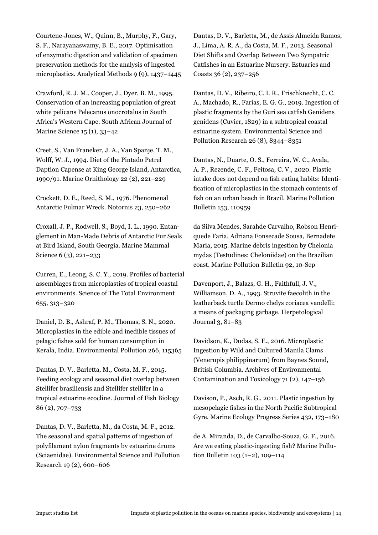Courtene-Jones, W., Quinn, B., Murphy, F., Gary, S. F., Narayanaswamy, B. E., 2017. Optimisation of enzymatic digestion and validation of specimen preservation methods for the analysis of ingested microplastics. Analytical Methods 9 (9), 1437–1445

Crawford, R. J. M., Cooper, J., Dyer, B. M., 1995. Conservation of an increasing population of great white pelicans Pelecanus onocrotalus in South Africa's Western Cape. South African Journal of Marine Science 15 (1), 33–42

Creet, S., Van Franeker, J. A., Van Spanje, T. M., Wolff, W. J., 1994. Diet of the Pintado Petrel Daption Capense at King George Island, Antarctica, 1990/91. Marine Ornithology 22 (2), 221–229

Crockett, D. E., Reed, S. M., 1976. Phenomenal Antarctic Fulmar Wreck. Notornis 23, 250–262

Croxall, J. P., Rodwell, S., Boyd, I. L., 1990. Entanglement in Man-Made Debris of Antarctic Fur Seals at Bird Island, South Georgia. Marine Mammal Science 6 (3), 221–233

Curren, E., Leong, S. C. Y., 2019. Profiles of bacterial assemblages from microplastics of tropical coastal environments. Science of The Total Environment 655, 313–320

Daniel, D. B., Ashraf, P. M., Thomas, S. N., 2020. Microplastics in the edible and inedible tissues of pelagic fishes sold for human consumption in Kerala, India. Environmental Pollution 266, 115365

Dantas, D. V., Barletta, M., Costa, M. F., 2015. Feeding ecology and seasonal diet overlap between Stellifer brasiliensis and Stellifer stellifer in a tropical estuarine ecocline. Journal of Fish Biology 86 (2), 707–733

Dantas, D. V., Barletta, M., da Costa, M. F., 2012. The seasonal and spatial patterns of ingestion of polyfilament nylon fragments by estuarine drums (Sciaenidae). Environmental Science and Pollution Research 19 (2), 600–606

Dantas, D. V., Barletta, M., de Assis Almeida Ramos, J., Lima, A. R. A., da Costa, M. F., 2013. Seasonal Diet Shifts and Overlap Between Two Sympatric Catfishes in an Estuarine Nursery. Estuaries and Coasts 36 (2), 237–256

Dantas, D. V., Ribeiro, C. I. R., Frischknecht, C. C. A., Machado, R., Farias, E. G. G., 2019. Ingestion of plastic fragments by the Guri sea catfish Genidens genidens (Cuvier, 1829) in a subtropical coastal estuarine system. Environmental Science and Pollution Research 26 (8), 8344–8351

Dantas, N., Duarte, O. S., Ferreira, W. C., Ayala, A. P., Rezende, C. F., Feitosa, C. V., 2020. Plastic intake does not depend on fish eating habits: Identification of microplastics in the stomach contents of fish on an urban beach in Brazil. Marine Pollution Bulletin 153, 110959

da Silva Mendes, Sarahde Carvalho, Robson Henriquede Faria, Adriana Fonsecade Sousa, Bernadete Maria, 2015. Marine debris ingestion by Chelonia mydas (Testudines: Cheloniidae) on the Brazilian coast. Marine Pollution Bulletin 92, 10-Sep

Davenport, J., Balazs, G. H., Faithfull, J. V., Williamson, D. A., 1993. Struvite faecolith in the leatherback turtle Dermo chelys coriacea vandelli: a means of packaging garbage. Herpetological Journal 3, 81–83

Davidson, K., Dudas, S. E., 2016. Microplastic Ingestion by Wild and Cultured Manila Clams (Venerupis philippinarum) from Baynes Sound, British Columbia. Archives of Environmental Contamination and Toxicology 71 (2), 147–156

Davison, P., Asch, R. G., 2011. Plastic ingestion by mesopelagic fishes in the North Pacific Subtropical Gyre. Marine Ecology Progress Series 432, 173–180

de A. Miranda, D., de Carvalho-Souza, G. F., 2016. Are we eating plastic-ingesting fish? Marine Pollution Bulletin 103 (1–2), 109–114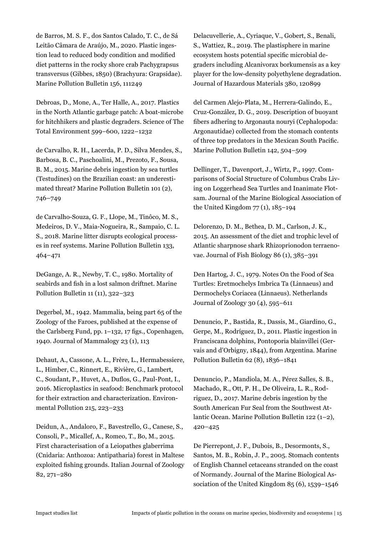de Barros, M. S. F., dos Santos Calado, T. C., de Sá Leitão Câmara de Araújo, M., 2020. Plastic ingestion lead to reduced body condition and modified diet patterns in the rocky shore crab Pachygrapsus transversus (Gibbes, 1850) (Brachyura: Grapsidae). Marine Pollution Bulletin 156, 111249

Debroas, D., Mone, A., Ter Halle, A., 2017. Plastics in the North Atlantic garbage patch: A boat-microbe for hitchhikers and plastic degraders. Science of The Total Environment 599–600, 1222–1232

de Carvalho, R. H., Lacerda, P. D., Silva Mendes, S., Barbosa, B. C., Paschoalini, M., Prezoto, F., Sousa, B. M., 2015. Marine debris ingestion by sea turtles (Testudines) on the Brazilian coast: an underestimated threat? Marine Pollution Bulletin 101 (2), 746–749

de Carvalho-Souza, G. F., Llope, M., Tinôco, M. S., Medeiros, D. V., Maia-Nogueira, R., Sampaio, C. L. S., 2018. Marine litter disrupts ecological processes in reef systems. Marine Pollution Bulletin 133, 464–471

DeGange, A. R., Newby, T. C., 1980. Mortality of seabirds and fish in a lost salmon driftnet. Marine Pollution Bulletin 11 (11), 322–323

Degerbøl, M., 1942. Mammalia, being part 65 of the Zoology of the Faroes, published at the expense of the Carlsberg Fund, pp. 1–132, 17 figs., Copenhagen, 1940. Journal of Mammalogy 23 (1), 113

Dehaut, A., Cassone, A. L., Frère, L., Hermabessiere, L., Himber, C., Rinnert, E., Rivière, G., Lambert, C., Soudant, P., Huvet, A., Duflos, G., Paul-Pont, I., 2016. Microplastics in seafood: Benchmark protocol for their extraction and characterization. Environmental Pollution 215, 223–233

Deidun, A., Andaloro, F., Bavestrello, G., Canese, S., Consoli, P., Micallef, A., Romeo, T., Bo, M., 2015. First characterisation of a Leiopathes glaberrima (Cnidaria: Anthozoa: Antipatharia) forest in Maltese exploited fishing grounds. Italian Journal of Zoology 82, 271–280

Delacuvellerie, A., Cyriaque, V., Gobert, S., Benali, S., Wattiez, R., 2019. The plastisphere in marine ecosystem hosts potential specific microbial degraders including Alcanivorax borkumensis as a key player for the low-density polyethylene degradation. Journal of Hazardous Materials 380, 120899

del Carmen Alejo-Plata, M., Herrera-Galindo, E., Cruz-González, D. G., 2019. Description of buoyant fibers adhering to Argonauta nouryi (Cephalopoda: Argonautidae) collected from the stomach contents of three top predators in the Mexican South Pacific. Marine Pollution Bulletin 142, 504–509

Dellinger, T., Davenport, J., Wirtz, P., 1997. Comparisons of Social Structure of Columbus Crabs Living on Loggerhead Sea Turtles and Inanimate Flotsam. Journal of the Marine Biological Association of the United Kingdom 77 (1), 185–194

Delorenzo, D. M., Bethea, D. M., Carlson, J. K., 2015. An assessment of the diet and trophic level of Atlantic sharpnose shark Rhizoprionodon terraenovae. Journal of Fish Biology 86 (1), 385–391

Den Hartog, J. C., 1979. Notes On the Food of Sea Turtles: Eretmochelys Imbrica Ta (Linnaeus) and Dermochelys Coriacea (Linnaeus). Netherlands Journal of Zoology 30 (4), 595–611

Denuncio, P., Bastida, R., Dassis, M., Giardino, G., Gerpe, M., Rodríguez, D., 2011. Plastic ingestion in Franciscana dolphins, Pontoporia blainvillei (Gervais and d'Orbigny, 1844), from Argentina. Marine Pollution Bulletin 62 (8), 1836–1841

Denuncio, P., Mandiola, M. A., Pérez Salles, S. B., Machado, R., Ott, P. H., De Oliveira, L. R., Rodriguez, D., 2017. Marine debris ingestion by the South American Fur Seal from the Southwest Atlantic Ocean. Marine Pollution Bulletin 122 (1–2), 420–425

De Pierrepont, J. F., Dubois, B., Desormonts, S., Santos, M. B., Robin, J. P., 2005. Stomach contents of English Channel cetaceans stranded on the coast of Normandy. Journal of the Marine Biological Association of the United Kingdom 85 (6), 1539–1546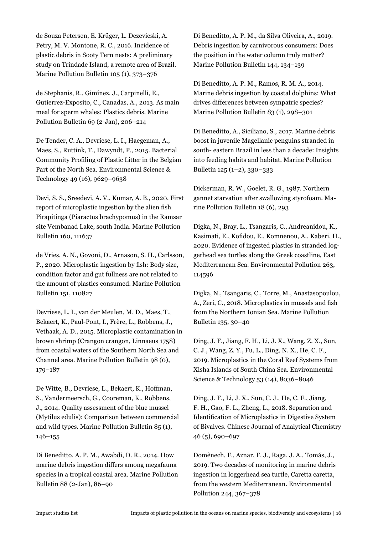de Souza Petersen, E. Krüger, L. Dezevieski, A. Petry, M. V. Montone, R. C., 2016. Incidence of plastic debris in Sooty Tern nests: A preliminary study on Trindade Island, a remote area of Brazil. Marine Pollution Bulletin 105 (1), 373–376

de Stephanis, R., Gimínez, J., Carpinelli, E., Gutierrez-Exposito, C., Canadas, A., 2013. As main meal for sperm whales: Plastics debris. Marine Pollution Bulletin 69 (2-Jan), 206–214

De Tender, C. A., Devriese, L. I., Haegeman, A., Maes, S., Ruttink, T., Dawyndt, P., 2015. Bacterial Community Profiling of Plastic Litter in the Belgian Part of the North Sea. Environmental Science & Technology 49 (16), 9629–9638

Devi, S. S., Sreedevi, A. V., Kumar, A. B., 2020. First report of microplastic ingestion by the alien fish Pirapitinga (Piaractus brachypomus) in the Ramsar site Vembanad Lake, south India. Marine Pollution Bulletin 160, 111637

de Vries, A. N., Govoni, D., Arnason, S. H., Carlsson, P., 2020. Microplastic ingestion by fish: Body size, condition factor and gut fullness are not related to the amount of plastics consumed. Marine Pollution Bulletin 151, 110827

Devriese, L. I., van der Meulen, M. D., Maes, T., Bekaert, K., Paul-Pont, I., Frère, L., Robbens, J., Vethaak, A. D., 2015. Microplastic contamination in brown shrimp (Crangon crangon, Linnaeus 1758) from coastal waters of the Southern North Sea and Channel area. Marine Pollution Bulletin 98 (0), 179–187

De Witte, B., Devriese, L., Bekaert, K., Hoffman, S., Vandermeersch, G., Cooreman, K., Robbens, J., 2014. Quality assessment of the blue mussel (Mytilus edulis): Comparison between commercial and wild types. Marine Pollution Bulletin 85 (1), 146–155

Di Beneditto, A. P. M., Awabdi, D. R., 2014. How marine debris ingestion differs among megafauna species in a tropical coastal area. Marine Pollution Bulletin 88 (2-Jan), 86–90

Di Beneditto, A. P. M., da Silva Oliveira, A., 2019. Debris ingestion by carnivorous consumers: Does the position in the water column truly matter? Marine Pollution Bulletin 144, 134–139

Di Beneditto, A. P. M., Ramos, R. M. A., 2014. Marine debris ingestion by coastal dolphins: What drives differences between sympatric species? Marine Pollution Bulletin 83 (1), 298–301

Di Beneditto, A., Siciliano, S., 2017. Marine debris boost in juvenile Magellanic penguins stranded in south- eastern Brazil in less than a decade: Insights into feeding habits and habitat. Marine Pollution Bulletin 125 (1–2), 330–333

Dickerman, R. W., Goelet, R. G., 1987. Northern gannet starvation after swallowing styrofoam. Marine Pollution Bulletin 18 (6), 293

Digka, N., Bray, L., Tsangaris, C., Andreanidou, K., Kasimati, E., Kofidou, E., Komnenou, A., Kaberi, H., 2020. Evidence of ingested plastics in stranded loggerhead sea turtles along the Greek coastline, East Mediterranean Sea. Environmental Pollution 263, 114596

Digka, N., Tsangaris, C., Torre, M., Anastasopoulou, A., Zeri, C., 2018. Microplastics in mussels and fish from the Northern Ionian Sea. Marine Pollution Bulletin 135, 30–40

Ding, J. F., Jiang, F. H., Li, J. X., Wang, Z. X., Sun, C. J., Wang, Z. Y., Fu, L., Ding, N. X., He, C. F., 2019. Microplastics in the Coral Reef Systems from Xisha Islands of South China Sea. Environmental Science & Technology 53 (14), 8036–8046

Ding, J. F., Li, J. X., Sun, C. J., He, C. F., Jiang, F. H., Gao, F. L., Zheng, L., 2018. Separation and Identification of Microplastics in Digestive System of Bivalves. Chinese Journal of Analytical Chemistry 46 (5), 690–697

Domènech, F., Aznar, F. J., Raga, J. A., Tomás, J., 2019. Two decades of monitoring in marine debris ingestion in loggerhead sea turtle, Caretta caretta, from the western Mediterranean. Environmental Pollution 244, 367–378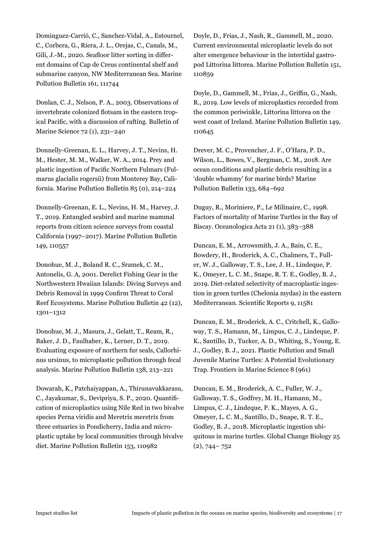Dominguez-Carrió, C., Sanchez-Vidal, A., Estournel, C., Corbera, G., Riera, J. L., Orejas, C., Canals, M., Gili, J.-M., 2020. Seafloor litter sorting in different domains of Cap de Creus continental shelf and submarine canyon, NW Mediterranean Sea. Marine Pollution Bulletin 161, 111744

Donlan, C. J., Nelson, P. A., 2003. Observations of invertebrate colonized flotsam in the eastern tropical Pacific, with a discussion of rafting. Bulletin of Marine Science 72 (1), 231–240

Donnelly-Greenan, E. L., Harvey, J. T., Nevins, H. M., Hester, M. M., Walker, W. A., 2014. Prey and plastic ingestion of Pacific Northern Fulmars (Fulmarus glacialis rogersii) from Monterey Bay, California. Marine Pollution Bulletin 85 (0), 214–224

Donnelly-Greenan, E. L., Nevins, H. M., Harvey, J. T., 2019. Entangled seabird and marine mammal reports from citizen science surveys from coastal California (1997–2017). Marine Pollution Bulletin 149, 110557

Donohue, M. J., Boland R. C., Sramek, C. M., Antonelis, G. A, 2001. Derelict Fishing Gear in the Northwestern Hwaiian Islands: Diving Surveys and Debris Removal in 1999 Confirm Threat to Coral Reef Ecosystems. Marine Pollution Bulletin 42 (12), 1301–1312

Donohue, M. J., Masura, J., Gelatt, T., Ream, R., Baker, J. D., Faulhaber, K., Lerner, D. T., 2019. Evaluating exposure of northern fur seals, Callorhinus ursinus, to microplastic pollution through fecal analysis. Marine Pollution Bulletin 138, 213–221

Dowarah, K., Patchaiyappan, A., Thirunavukkarasu, C., Jayakumar, S., Devipriya, S. P., 2020. Quantification of microplastics using Nile Red in two bivalve species Perna viridis and Meretrix meretrix from three estuaries in Pondicherry, India and microplastic uptake by local communities through bivalve diet. Marine Pollution Bulletin 153, 110982

Doyle, D., Frias, J., Nash, R., Gammell, M., 2020. Current environmental microplastic levels do not alter emergence behaviour in the intertidal gastropod Littorina littorea. Marine Pollution Bulletin 151, 110859

Doyle, D., Gammell, M., Frias, J., Griffin, G., Nash, R., 2019. Low levels of microplastics recorded from the common periwinkle, Littorina littorea on the west coast of Ireland. Marine Pollution Bulletin 149, 110645

Drever, M. C., Provencher, J. F., O'Hara, P. D., Wilson, L., Bowes, V., Bergman, C. M., 2018. Are ocean conditions and plastic debris resulting in a 'double whammy' for marine birds? Marine Pollution Bulletin 133, 684–692

Duguy, R., Moriniere, P., Le Milinaire, C., 1998. Factors of mortality of Marine Turtles in the Bay of Biscay. Oceanologica Acta 21 (1), 383–388

Duncan, E. M., Arrowsmith, J. A., Bain, C. E., Bowdery, H., Broderick, A. C., Chalmers, T., Fuller, W. J., Galloway, T. S., Lee, J. H., Lindeque, P. K., Omeyer, L. C. M., Snape, R. T. E., Godley, B. J., 2019. Diet-related selectivity of macroplastic ingestion in green turtles (Chelonia mydas) in the eastern Mediterranean. Scientific Reports 9, 11581

Duncan, E. M., Broderick, A. C., Critchell, K., Galloway, T. S., Hamann, M., Limpus, C. J., Lindeque, P. K., Santillo, D., Tucker, A. D., Whiting, S., Young, E. J., Godley, B. J., 2021. Plastic Pollution and Small Juvenile Marine Turtles: A Potential Evolutionary Trap. Frontiers in Marine Science 8 (961)

Duncan, E. M., Broderick, A. C., Fuller, W. J., Galloway, T. S., Godfrey, M. H., Hamann, M., Limpus, C. J., Lindeque, P. K., Mayes, A. G., Omeyer, L. C. M., Santillo, D., Snape, R. T. E., Godley, B. J., 2018. Microplastic ingestion ubiquitous in marine turtles. Global Change Biology 25 (2), 744– 752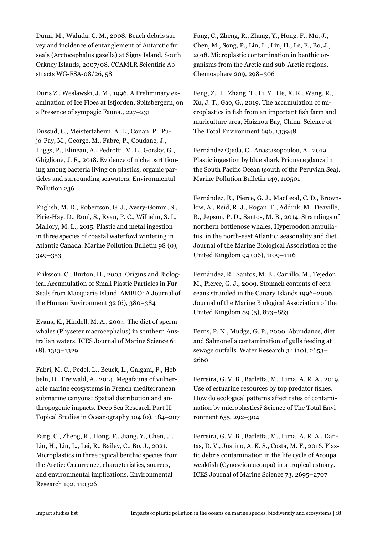Dunn, M., Waluda, C. M., 2008. Beach debris survey and incidence of entanglement of Antarctic fur seals (Arctocephalus gazella) at Signy Island, South Orkney Islands, 2007/08. CCAMLR Scientific Abstracts WG-FSA-08/26, 58

Duris Z., Weslawski, J. M., 1996. A Preliminary examination of Ice Floes at Isfjorden, Spitsbergern, on a Presence of sympagic Fauna., 227–231

Dussud, C., Meistertzheim, A. L., Conan, P., Pujo-Pay, M., George, M., Fabre, P., Coudane, J., Higgs, P., Elineau, A., Pedrotti, M. L., Gorsky, G., Ghiglione, J. F., 2018. Evidence of niche partitioning among bacteria living on plastics, organic particles and surrounding seawaters. Environmental Pollution 236

English, M. D., Robertson, G. J., Avery-Gomm, S., Pirie-Hay, D., Roul, S., Ryan, P. C., Wilhelm, S. I., Mallory, M. L., 2015. Plastic and metal ingestion in three species of coastal waterfowl wintering in Atlantic Canada. Marine Pollution Bulletin 98 (0), 349–353

Eriksson, C., Burton, H., 2003. Origins and Biological Accumulation of Small Plastic Particles in Fur Seals from Macquarie Island. AMBIO: A Journal of the Human Environment 32 (6), 380–384

Evans, K., Hindell, M. A., 2004. The diet of sperm whales (Physeter macrocephalus) in southern Australian waters. ICES Journal of Marine Science 61 (8), 1313–1329

Fabri, M. C., Pedel, L., Beuck, L., Galgani, F., Hebbeln, D., Freiwald, A., 2014. Megafauna of vulnerable marine ecosystems in French mediterranean submarine canyons: Spatial distribution and anthropogenic impacts. Deep Sea Research Part II: Topical Studies in Oceanography 104 (0), 184–207

Fang, C., Zheng, R., Hong, F., Jiang, Y., Chen, J., Lin, H., Lin, L., Lei, R., Bailey, C., Bo, J., 2021. Microplastics in three typical benthic species from the Arctic: Occurrence, characteristics, sources, and environmental implications. Environmental Research 192, 110326

Fang, C., Zheng, R., Zhang, Y., Hong, F., Mu, J., Chen, M., Song, P., Lin, L., Lin, H., Le, F., Bo, J., 2018. Microplastic contamination in benthic organisms from the Arctic and sub-Arctic regions. Chemosphere 209, 298–306

Feng, Z. H., Zhang, T., Li, Y., He, X. R., Wang, R., Xu, J. T., Gao, G., 2019. The accumulation of microplastics in fish from an important fish farm and mariculture area, Haizhou Bay, China. Science of The Total Environment 696, 133948

Fernández Ojeda, C., Anastasopoulou, A., 2019. Plastic ingestion by blue shark Prionace glauca in the South Pacific Ocean (south of the Peruvian Sea). Marine Pollution Bulletin 149, 110501

Fernández, R., Pierce, G. J., MacLeod, C. D., Brownlow, A., Reid, R. J., Rogan, E., Addink, M., Deaville, R., Jepson, P. D., Santos, M. B., 2014. Strandings of northern bottlenose whales, Hyperoodon ampullatus, in the north-east Atlantic: seasonality and diet. Journal of the Marine Biological Association of the United Kingdom 94 (06), 1109–1116

Fernández, R., Santos, M. B., Carrillo, M., Tejedor, M., Pierce, G. J., 2009. Stomach contents of cetaceans stranded in the Canary Islands 1996–2006. Journal of the Marine Biological Association of the United Kingdom 89 (5), 873–883

Ferns, P. N., Mudge, G. P., 2000. Abundance, diet and Salmonella contamination of gulls feeding at sewage outfalls. Water Research 34 (10), 2653– 2660

Ferreira, G. V. B., Barletta, M., Lima, A. R. A., 2019. Use of estuarine resources by top predator fishes. How do ecological patterns affect rates of contamination by microplastics? Science of The Total Environment 655, 292–304

Ferreira, G. V. B., Barletta, M., Lima, A. R. A., Dantas, D. V., Justino, A. K. S., Costa, M. F., 2016. Plastic debris contamination in the life cycle of Acoupa weakfish (Cynoscion acoupa) in a tropical estuary. ICES Journal of Marine Science 73, 2695–2707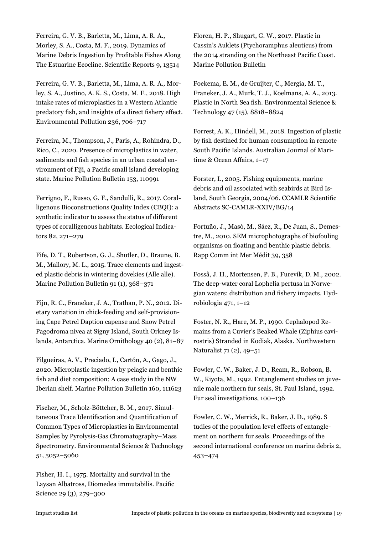Ferreira, G. V. B., Barletta, M., Lima, A. R. A., Morley, S. A., Costa, M. F., 2019. Dynamics of Marine Debris Ingestion by Profitable Fishes Along The Estuarine Ecocline. Scientific Reports 9, 13514

Ferreira, G. V. B., Barletta, M., Lima, A. R. A., Morley, S. A., Justino, A. K. S., Costa, M. F., 2018. High intake rates of microplastics in a Western Atlantic predatory fish, and insights of a direct fishery effect. Environmental Pollution 236, 706–717

Ferreira, M., Thompson, J., Paris, A., Rohindra, D., Rico, C., 2020. Presence of microplastics in water, sediments and fish species in an urban coastal environment of Fiji, a Pacific small island developing state. Marine Pollution Bulletin 153, 110991

Ferrigno, F., Russo, G. F., Sandulli, R., 2017. Coralligenous Bioconstructions Quality Index (CBQI): a synthetic indicator to assess the status of different types of coralligenous habitats. Ecological Indicators 82, 271–279

Fife, D. T., Robertson, G. J., Shutler, D., Braune, B. M., Mallory, M. L., 2015. Trace elements and ingested plastic debris in wintering dovekies (Alle alle). Marine Pollution Bulletin 91 (1), 368–371

Fijn, R. C., Franeker, J. A., Trathan, P. N., 2012. Dietary variation in chick-feeding and self-provisioning Cape Petrel Daption capense and Snow Petrel Pagodroma nivea at Signy Island, South Orkney Islands, Antarctica. Marine Ornithology 40 (2), 81–87

Filgueiras, A. V., Preciado, I., Cartón, A., Gago, J., 2020. Microplastic ingestion by pelagic and benthic fish and diet composition: A case study in the NW Iberian shelf. Marine Pollution Bulletin 160, 111623

Fischer, M., Scholz-Böttcher, B. M., 2017. Simultaneous Trace Identification and Quantification of Common Types of Microplastics in Environmental Samples by Pyrolysis-Gas Chromatography–Mass Spectrometry. Environmental Science & Technology 51, 5052–5060

Fisher, H. I., 1975. Mortality and survival in the Laysan Albatross, Diomedea immutabilis. Pacific Science 29 (3), 279–300

Floren, H. P., Shugart, G. W., 2017. Plastic in Cassin's Auklets (Ptychoramphus aleuticus) from the 2014 stranding on the Northeast Pacific Coast. Marine Pollution Bulletin

Foekema, E. M., de Gruijter, C., Mergia, M. T., Franeker, J. A., Murk, T. J., Koelmans, A. A., 2013. Plastic in North Sea fish. Environmental Science & Technology 47 (15), 8818–8824

Forrest, A. K., Hindell, M., 2018. Ingestion of plastic by fish destined for human consumption in remote South Pacific Islands. Australian Journal of Maritime & Ocean Affairs, 1–17

Forster, I., 2005. Fishing equipments, marine debris and oil associated with seabirds at Bird Island, South Georgia, 2004/06. CCAMLR Scientific Abstracts SC-CAMLR-XXIV/BG/14

Fortuño, J., Masó, M., Sáez, R., De Juan, S., Demestre, M., 2010. SEM microphotographs of biofouling organisms on floating and benthic plastic debris. Rapp Comm int Mer Médit 39, 358

Fosså, J. H., Mortensen, P. B., Furevik, D. M., 2002. The deep-water coral Lophelia pertusa in Norwegian waters: distribution and fishery impacts. Hydrobiologia 471, 1–12

Foster, N. R., Hare, M. P., 1990. Cephalopod Remains from a Cuvier's Beaked Whale (Ziphius cavirostris) Stranded in Kodiak, Alaska. Northwestern Naturalist 71 (2), 49–51

Fowler, C. W., Baker, J. D., Ream, R., Robson, B. W., Kiyota, M., 1992. Entanglement studies on juvenile male northern fur seals, St. Paul Island, 1992. Fur seal investigations, 100–136

Fowler, C. W., Merrick, R., Baker, J. D., 1989. S tudies of the population level effects of entanglement on northern fur seals. Proceedings of the second international conference on marine debris 2, 453–474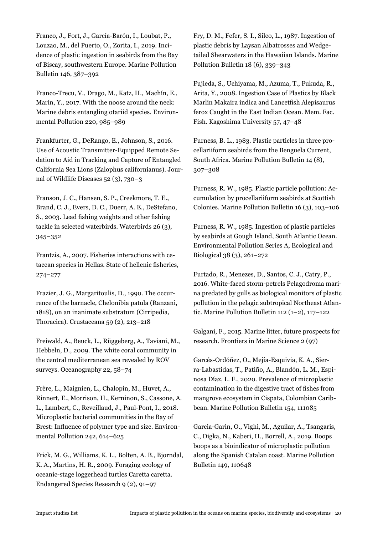Franco, J., Fort, J., García-Barón, I., Loubat, P., Louzao, M., del Puerto, O., Zorita, I., 2019. Incidence of plastic ingestion in seabirds from the Bay of Biscay, southwestern Europe. Marine Pollution Bulletin 146, 387–392

Franco-Trecu, V., Drago, M., Katz, H., Machín, E., Marín, Y., 2017. With the noose around the neck: Marine debris entangling otariid species. Environmental Pollution 220, 985–989

Frankfurter, G., DeRango, E., Johnson, S., 2016. Use of Acoustic Transmitter-Equipped Remote Sedation to Aid in Tracking and Capture of Entangled California Sea Lions (Zalophus californianus). Journal of Wildlife Diseases 52 (3), 730–3

Franson, J. C., Hansen, S. P., Creekmore, T. E., Brand, C. J., Evers, D. C., Duerr, A. E., DeStefano, S., 2003. Lead fishing weights and other fishing tackle in selected waterbirds. Waterbirds 26 (3), 345–352

Frantzis, A., 2007. Fisheries interactions with cetacean species in Hellas. State of hellenic fisheries, 274–277

Frazier, J. G., Margaritoulis, D., 1990. The occurrence of the barnacle, Chelonibia patula (Ranzani, 1818), on an inanimate substratum (Cirripedia, Thoracica). Crustaceana 59 (2), 213–218

Freiwald, A., Beuck, L., Rüggeberg, A., Taviani, M., Hebbeln, D., 2009. The white coral community in the central mediterranean sea revealed by ROV surveys. Oceanography 22, 58–74

Frère, L., Maignien, L., Chalopin, M., Huvet, A., Rinnert, E., Morrison, H., Kerninon, S., Cassone, A. L., Lambert, C., Reveillaud, J., Paul-Pont, I., 2018. Microplastic bacterial communities in the Bay of Brest: Influence of polymer type and size. Environmental Pollution 242, 614–625

Frick, M. G., Williams, K. L., Bolten, A. B., Bjorndal, K. A., Martins, H. R., 2009. Foraging ecology of oceanic-stage loggerhead turtles Caretta caretta. Endangered Species Research 9 (2), 91–97

Fry, D. M., Fefer, S. I., Sileo, L., 1987. Ingestion of plastic debris by Laysan Albatrosses and Wedgetailed Shearwaters in the Hawaiian Islands. Marine Pollution Bulletin 18 (6), 339–343

Fujieda, S., Uchiyama, M., Azuma, T., Fukuda, R., Arita, Y., 2008. Ingestion Case of Plastics by Black Marlin Makaira indica and Lancetfish Alepisaurus ferox Caught in the East Indian Ocean. Mem. Fac. Fish. Kagoshima University 57, 47–48

Furness, B. L., 1983. Plastic particles in three procellariiform seabirds from the Benguela Current, South Africa. Marine Pollution Bulletin 14 (8), 307–308

Furness, R. W., 1985. Plastic particle pollution: Accumulation by procellariiform seabirds at Scottish Colonies. Marine Pollution Bulletin 16 (3), 103–106

Furness, R. W., 1985. Ingestion of plastic particles by seabirds at Gough Island, South Atlantic Ocean. Environmental Pollution Series A, Ecological and Biological 38 (3), 261–272

Furtado, R., Menezes, D., Santos, C. J., Catry, P., 2016. White-faced storm-petrels Pelagodroma marina predated by gulls as biological monitors of plastic pollution in the pelagic subtropical Northeast Atlantic. Marine Pollution Bulletin 112 (1–2), 117–122

Galgani, F., 2015. Marine litter, future prospects for research. Frontiers in Marine Science 2 (97)

Garcés-Ordóñez, O., Mejía-Esquivia, K. A., Sierra-Labastidas, T., Patiño, A., Blandón, L. M., Espinosa Díaz, L. F., 2020. Prevalence of microplastic contamination in the digestive tract of fishes from mangrove ecosystem in Cispata, Colombian Caribbean. Marine Pollution Bulletin 154, 111085

Garcia-Garin, O., Vighi, M., Aguilar, A., Tsangaris, C., Digka, N., Kaberi, H., Borrell, A., 2019. Boops boops as a bioindicator of microplastic pollution along the Spanish Catalan coast. Marine Pollution Bulletin 149, 110648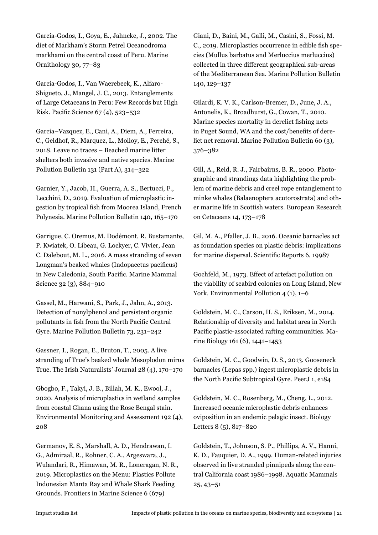García-Godos, I., Goya, E., Jahncke, J., 2002. The diet of Markham's Storm Petrel Oceanodroma markhami on the central coast of Peru. Marine Ornithology 30, 77–83

García-Godos, I., Van Waerebeek, K., Alfaro-Shigueto, J., Mangel, J. C., 2013. Entanglements of Large Cetaceans in Peru: Few Records but High Risk. Pacific Science 67 (4), 523–532

Garcia–Vazquez, E., Cani, A., Diem, A., Ferreira, C., Geldhof, R., Marquez, L., Molloy, E., Perché, S., 2018. Leave no traces – Beached marine litter shelters both invasive and native species. Marine Pollution Bulletin 131 (Part A), 314–322

Garnier, Y., Jacob, H., Guerra, A. S., Bertucci, F., Lecchini, D., 2019. Evaluation of microplastic ingestion by tropical fish from Moorea Island, French Polynesia. Marine Pollution Bulletin 140, 165–170

Garrigue, C. Oremus, M. Dodémont, R. Bustamante, P. Kwiatek, O. Libeau, G. Lockyer, C. Vivier, Jean C. Dalebout, M. L., 2016. A mass stranding of seven Longman's beaked whales (Indopacetus pacificus) in New Caledonia, South Pacific. Marine Mammal Science 32 (3), 884–910

Gassel, M., Harwani, S., Park, J., Jahn, A., 2013. Detection of nonylphenol and persistent organic pollutants in fish from the North Pacific Central Gyre. Marine Pollution Bulletin 73, 231–242

Gassner, I., Rogan, E., Bruton, T., 2005. A live stranding of True's beaked whale Mesoplodon mirus True. The Irish Naturalists' Journal 28 (4), 170–170

Gbogbo, F., Takyi, J. B., Billah, M. K., Ewool, J., 2020. Analysis of microplastics in wetland samples from coastal Ghana using the Rose Bengal stain. Environmental Monitoring and Assessment 192 (4), 208

Germanov, E. S., Marshall, A. D., Hendrawan, I. G., Admiraal, R., Rohner, C. A., Argeswara, J., Wulandari, R., Himawan, M. R., Loneragan, N. R., 2019. Microplastics on the Menu: Plastics Pollute Indonesian Manta Ray and Whale Shark Feeding Grounds. Frontiers in Marine Science 6 (679)

Giani, D., Baini, M., Galli, M., Casini, S., Fossi, M. C., 2019. Microplastics occurrence in edible fish species (Mullus barbatus and Merluccius merluccius) collected in three different geographical sub-areas of the Mediterranean Sea. Marine Pollution Bulletin 140, 129–137

Gilardi, K. V. K., Carlson-Bremer, D., June, J. A., Antonelis, K., Broadhurst, G., Cowan, T., 2010. Marine species mortality in derelict fishing nets in Puget Sound, WA and the cost/benefits of derelict net removal. Marine Pollution Bulletin 60 (3), 376–382

Gill, A., Reid, R. J., Fairbairns, B. R., 2000. Photographic and strandings data highlighting the problem of marine debris and creel rope entanglement to minke whales (Balaenoptera acutorostrata) and other marine life in Scottish waters. European Research on Cetaceans 14, 173–178

Gil, M. A., Pfaller, J. B., 2016. Oceanic barnacles act as foundation species on plastic debris: implications for marine dispersal. Scientific Reports 6, 19987

Gochfeld, M., 1973. Effect of artefact pollution on the viability of seabird colonies on Long Island, New York. Environmental Pollution 4 (1), 1–6

Goldstein, M. C., Carson, H. S., Eriksen, M., 2014. Relationship of diversity and habitat area in North Pacific plastic-associated rafting communities. Marine Biology 161 (6), 1441–1453

Goldstein, M. C., Goodwin, D. S., 2013. Gooseneck barnacles (Lepas spp.) ingest microplastic debris in the North Pacific Subtropical Gyre. PeerJ 1, e184

Goldstein, M. C., Rosenberg, M., Cheng, L., 2012. Increased oceanic microplastic debris enhances oviposition in an endemic pelagic insect. Biology Letters 8 (5), 817–820

Goldstein, T., Johnson, S. P., Phillips, A. V., Hanni, K. D., Fauquier, D. A., 1999. Human-related injuries observed in live stranded pinnipeds along the central California coast 1986–1998. Aquatic Mammals 25, 43–51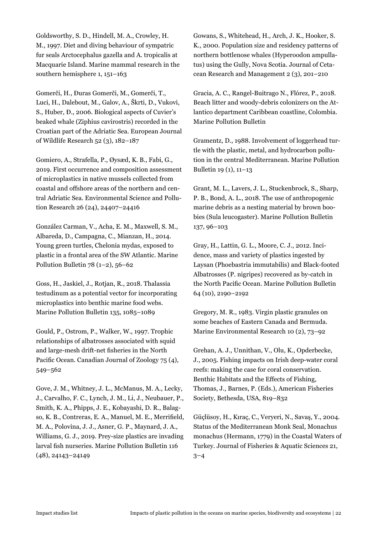Goldsworthy, S. D., Hindell, M. A., Crowley, H. M., 1997. Diet and diving behaviour of sympatric fur seals Arctocephalus gazella and A. tropicalis at Macquarie Island. Marine mammal research in the southern hemisphere 1, 151–163

Gomerči, H., Ðuras Gomerči, M., Gomerči, T., Luci, H., Dalebout, M., Galov, A., Škrti, D., Vukovi, S., Huber, Ð., 2006. Biological aspects of Cuvier's beaked whale (Ziphius cavirostris) recorded in the Croatian part of the Adriatic Sea. European Journal of Wildlife Research 52 (3), 182–187

Gomiero, A., Strafella, P., Øysæd, K. B., Fabi, G., 2019. First occurrence and composition assessment of microplastics in native mussels collected from coastal and offshore areas of the northern and central Adriatic Sea. Environmental Science and Pollution Research 26 (24), 24407–24416

González Carman, V., Acha, E. M., Maxwell, S. M., Albareda, D., Campagna, C., Mianzan, H., 2014. Young green turtles, Chelonia mydas, exposed to plastic in a frontal area of the SW Atlantic. Marine Pollution Bulletin  $78$  (1-2),  $56-62$ 

Goss, H., Jaskiel, J., Rotjan, R., 2018. Thalassia testudinum as a potential vector for incorporating microplastics into benthic marine food webs. Marine Pollution Bulletin 135, 1085–1089

Gould, P., Ostrom, P., Walker, W., 1997. Trophic relationships of albatrosses associated with squid and large-mesh drift-net fisheries in the North Pacific Ocean. Canadian Journal of Zoology 75 (4), 549–562

Gove, J. M., Whitney, J. L., McManus, M. A., Lecky, J., Carvalho, F. C., Lynch, J. M., Li, J., Neubauer, P., Smith, K. A., Phipps, J. E., Kobayashi, D. R., Balagso, K. B., Contreras, E. A., Manuel, M. E., Merrifield, M. A., Polovina, J. J., Asner, G. P., Maynard, J. A., Williams, G. J., 2019. Prey-size plastics are invading larval fish nurseries. Marine Pollution Bulletin 116 (48), 24143–24149

Gowans, S., Whitehead, H., Arch, J. K., Hooker, S. K., 2000. Population size and residency patterns of northern bottlenose whales (Hyperoodon ampullatus) using the Gully, Nova Scotia. Journal of Cetacean Research and Management 2 (3), 201–210

Gracia, A. C., Rangel-Buitrago N., Flórez, P., 2018. Beach litter and woody-debris colonizers on the Atlantico department Caribbean coastline, Colombia. Marine Pollution Bulletin

Gramentz, D., 1988. Involvement of loggerhead turtle with the plastic, metal, and hydrocarbon pollution in the central Mediterranean. Marine Pollution Bulletin 19 (1), 11–13

Grant, M. L., Lavers, J. L., Stuckenbrock, S., Sharp, P. B., Bond, A. L., 2018. The use of anthropogenic marine debris as a nesting material by brown boobies (Sula leucogaster). Marine Pollution Bulletin 137, 96–103

Gray, H., Lattin, G. L., Moore, C. J., 2012. Incidence, mass and variety of plastics ingested by Laysan (Phoebastria immutabilis) and Black-footed Albatrosses (P. nigripes) recovered as by-catch in the North Pacific Ocean. Marine Pollution Bulletin 64 (10), 2190–2192

Gregory, M. R., 1983. Virgin plastic granules on some beaches of Eastern Canada and Bermuda. Marine Environmental Research 10 (2), 73–92

Grehan, A. J., Unnithan, V., Olu, K., Opderbecke, J., 2005. Fishing impacts on Irish deep-water coral reefs: making the case for coral conservation. Benthic Habitats and the Effects of Fishing, Thomas, J., Barnes, P. (Eds.), American Fisheries Society, Bethesda, USA, 819–832

Güçlüsoy, H., Kıraç, C., Veryeri, N., Savaş, Y., 2004. Status of the Mediterranean Monk Seal, Monachus monachus (Hermann, 1779) in the Coastal Waters of Turkey. Journal of Fisheries & Aquatic Sciences 21,  $3 - 4$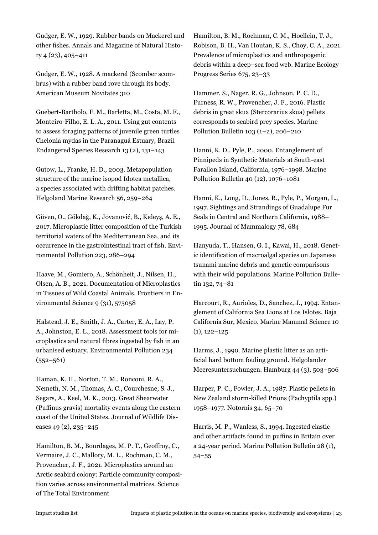Gudger, E. W., 1929. Rubber bands on Mackerel and other fishes. Annals and Magazine of Natural History 4 (23), 405–411

Gudger, E. W., 1928. A mackerel (Scomber scombrus) with a rubber band rove through its body. American Museum Novitates 310

Guebert-Bartholo, F. M., Barletta, M., Costa, M. F., Monteiro-Filho, E. L. A., 2011. Using gut contents to assess foraging patterns of juvenile green turtles Chelonia mydas in the Paranaguá Estuary, Brazil. Endangered Species Research 13 (2), 131–143

Gutow, L., Franke, H. D., 2003. Metapopulation structure of the marine isopod Idotea metallica, a species associated with drifting habitat patches. Helgoland Marine Research 56, 259–264

Güven, O., Gökdağ, K., Jovanović, B., Kıdeyş, A. E., 2017. Microplastic litter composition of the Turkish territorial waters of the Mediterranean Sea, and its occurrence in the gastrointestinal tract of fish. Environmental Pollution 223, 286–294

Haave, M., Gomiero, A., Schönheit, J., Nilsen, H., Olsen, A. B., 2021. Documentation of Microplastics in Tissues of Wild Coastal Animals. Frontiers in Environmental Science 9 (31), 575058

Halstead, J. E., Smith, J. A., Carter, E. A., Lay, P. A., Johnston, E. L., 2018. Assessment tools for microplastics and natural fibres ingested by fish in an urbanised estuary. Environmental Pollution 234  $(552 - 561)$ 

Haman, K. H., Norton, T. M., Ronconi, R. A., Nemeth, N. M., Thomas, A. C., Courchesne, S. J., Segars, A., Keel, M. K., 2013. Great Shearwater (Puffinus gravis) mortality events along the eastern coast of the United States. Journal of Wildlife Diseases 49 (2), 235–245

Hamilton, B. M., Bourdages, M. P. T., Geoffroy, C., Vermaire, J. C., Mallory, M. L., Rochman, C. M., Provencher, J. F., 2021. Microplastics around an Arctic seabird colony: Particle community composition varies across environmental matrices. Science of The Total Environment

Hamilton, B. M., Rochman, C. M., Hoellein, T. J., Robison, B. H., Van Houtan, K. S., Choy, C. A., 2021. Prevalence of microplastics and anthropogenic debris within a deep–sea food web. Marine Ecology Progress Series 675, 23–33

Hammer, S., Nager, R. G., Johnson, P. C. D., Furness, R. W., Provencher, J. F., 2016. Plastic debris in great skua (Stercorarius skua) pellets corresponds to seabird prey species. Marine Pollution Bulletin 103 (1–2), 206–210

Hanni, K. D., Pyle, P., 2000. Entanglement of Pinnipeds in Synthetic Materials at South-east Farallon Island, California, 1976–1998. Marine Pollution Bulletin 40 (12), 1076–1081

Hanni, K., Long, D., Jones, R., Pyle, P., Morgan, L., 1997. Sightings and Strandings of Guadalupe Fur Seals in Central and Northern California, 1988– 1995. Journal of Mammalogy 78, 684

Hanyuda, T., Hansen, G. I., Kawai, H., 2018. Genetic identification of macroalgal species on Japanese tsunami marine debris and genetic comparisons with their wild populations. Marine Pollution Bulletin 132, 74–81

Harcourt, R., Aurioles, D., Sanchez, J., 1994. Entanglement of California Sea Lions at Los Islotes, Baja California Sur, Mexico. Marine Mammal Science 10  $(1), 122 - 125$ 

Harms, J., 1990. Marine plastic litter as an artificial hard bottom fouling ground. Helgolander Meeresuntersuchungen. Hamburg 44 (3), 503–506

Harper, P. C., Fowler, J. A., 1987. Plastic pellets in New Zealand storm-killed Prions (Pachyptila spp.) 1958–1977. Notornis 34, 65–70

Harris, M. P., Wanless, S., 1994. Ingested elastic and other artifacts found in puffins in Britain over a 24-year period. Marine Pollution Bulletin 28 (1), 54–55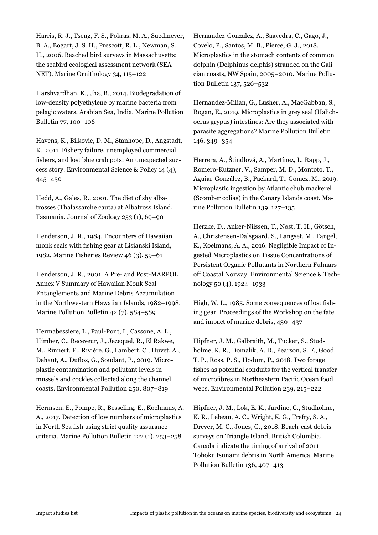Harris, R. J., Tseng, F. S., Pokras, M. A., Suedmeyer, B. A., Bogart, J. S. H., Prescott, R. L., Newman, S. H., 2006. Beached bird surveys in Massachusetts: the seabird ecological assessment network (SEA-NET). Marine Ornithology 34, 115–122

Harshvardhan, K., Jha, B., 2014. Biodegradation of low-density polyethylene by marine bacteria from pelagic waters, Arabian Sea, India. Marine Pollution Bulletin 77, 100–106

Havens, K., Bilkovic, D. M., Stanhope, D., Angstadt, K., 2011. Fishery failure, unemployed commercial fishers, and lost blue crab pots: An unexpected success story. Environmental Science & Policy 14 (4), 445–450

Hedd, A., Gales, R., 2001. The diet of shy albatrosses (Thalassarche cauta) at Albatross Island, Tasmania. Journal of Zoology 253 (1), 69–90

Henderson, J. R., 1984. Encounters of Hawaiian monk seals with fishing gear at Lisianski Island, 1982. Marine Fisheries Review 46 (3), 59–61

Henderson, J. R., 2001. A Pre- and Post-MARPOL Annex V Summary of Hawaiian Monk Seal Entanglements and Marine Debris Accumulation in the Northwestern Hawaiian Islands, 1982–1998. Marine Pollution Bulletin 42 (7), 584–589

Hermabessiere, L., Paul-Pont, I., Cassone, A. L., Himber, C., Receveur, J., Jezequel, R., El Rakwe, M., Rinnert, E., Rivière, G., Lambert, C., Huvet, A., Dehaut, A., Duflos, G., Soudant, P., 2019. Microplastic contamination and pollutant levels in mussels and cockles collected along the channel coasts. Environmental Pollution 250, 807–819

Hermsen, E., Pompe, R., Besseling, E., Koelmans, A. A., 2017. Detection of low numbers of microplastics in North Sea fish using strict quality assurance criteria. Marine Pollution Bulletin 122 (1), 253–258

Hernandez-Gonzalez, A., Saavedra, C., Gago, J., Covelo, P., Santos, M. B., Pierce, G. J., 2018. Microplastics in the stomach contents of common dolphin (Delphinus delphis) stranded on the Galician coasts, NW Spain, 2005–2010. Marine Pollution Bulletin 137, 526–532

Hernandez-Milian, G., Lusher, A., MacGabban, S., Rogan, E., 2019. Microplastics in grey seal (Halichoerus grypus) intestines: Are they associated with parasite aggregations? Marine Pollution Bulletin 146, 349–354

Herrera, A., Ŝtindlová, A., Martínez, I., Rapp, J., Romero-Kutzner, V., Samper, M. D., Montoto, T., Aguiar-González, B., Packard, T., Gómez, M., 2019. Microplastic ingestion by Atlantic chub mackerel (Scomber colias) in the Canary Islands coast. Marine Pollution Bulletin 139, 127–135

Herzke, D., Anker-Nilssen, T., Nøst, T. H., Götsch, A., Christensen-Dalsgaard, S., Langset, M., Fangel, K., Koelmans, A. A., 2016. Negligible Impact of Ingested Microplastics on Tissue Concentrations of Persistent Organic Pollutants in Northern Fulmars off Coastal Norway. Environmental Science & Technology 50 (4), 1924–1933

High, W. L., 1985. Some consequences of lost fishing gear. Proceedings of the Workshop on the fate and impact of marine debris, 430–437

Hipfner, J. M., Galbraith, M., Tucker, S., Studholme, K. R., Domalik, A. D., Pearson, S. F., Good, T. P., Ross, P. S., Hodum, P., 2018. Two forage fishes as potential conduits for the vertical transfer of microfibres in Northeastern Pacific Ocean food webs. Environmental Pollution 239, 215–222

Hipfner, J. M., Lok, E. K., Jardine, C., Studholme, K. R., Lebeau, A. C., Wright, K. G., Trefry, S. A., Drever, M. C., Jones, G., 2018. Beach-cast debris surveys on Triangle Island, British Columbia, Canada indicate the timing of arrival of 2011 Tōhoku tsunami debris in North America. Marine Pollution Bulletin 136, 407–413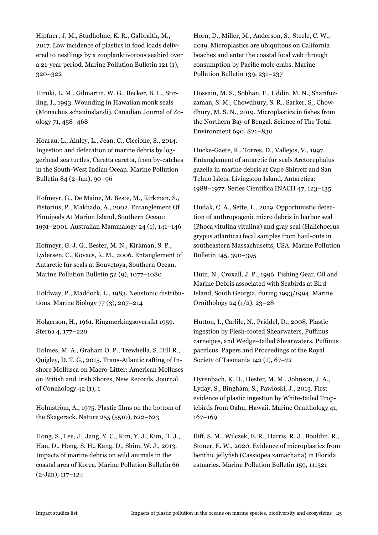Hipfner, J. M., Studholme, K. R., Galbraith, M., 2017. Low incidence of plastics in food loads delivered to nestlings by a zooplanktivorous seabird over a 21-year period. Marine Pollution Bulletin 121 (1), 320–322

Hiruki, L. M., Gilmartin, W. G., Becker, B. L., Stirling, I., 1993. Wounding in Hawaiian monk seals (Monachus schauinslandi). Canadian Journal of Zoology 71, 458–468

Hoarau, L., Ainley, L., Jean, C., Ciccione, S., 2014. Ingestion and defecation of marine debris by loggerhead sea turtles, Caretta caretta, from by-catches in the South-West Indian Ocean. Marine Pollution Bulletin 84 (2-Jan), 90–96

Hofmeyr, G., De Maine, M. Beste, M., Kirkman, S., Pistorius, P., Makhado, A., 2002. Entanglement Of Pinnipeds At Marion Island, Southern Ocean: 1991–2001. Australian Mammalogy 24 (1), 141–146

Hofmeyr, G. J. G., Bester, M. N., Kirkman, S. P., Lydersen, C., Kovacs, K. M., 2006. Entanglement of Antarctic fur seals at Bouvetøya, Southern Ocean. Marine Pollution Bulletin 52 (9), 1077–1080

Holdway, P., Maddock, L., 1983. Neustonic distributions. Marine Biology 77 (3), 207–214

Holgerson, H., 1961. Ringmerkingsoversikt 1959. Sterna 4, 177–220

Holmes, M. A., Graham O. P., Trewhella, S. Hill R., Quigley, D. T. G., 2015. Trans-Atlantic rafting of Inshore Mollusca on Macro-Litter: American Molluscs on British and Irish Shores, New Records. Journal of Conchology 42 (1), 1

Holmström, A., 1975. Plastic films on the bottom of the Skagerack. Nature 255 (5510), 622–623

Hong, S., Lee, J., Jang, Y. C., Kim, Y. J., Kim, H. J., Han, D., Hong, S. H., Kang, D., Shim, W. J., 2013. Impacts of marine debris on wild animals in the coastal area of Korea. Marine Pollution Bulletin 66 (2-Jan), 117–124

Horn, D., Miller, M., Anderson, S., Steele, C. W., 2019. Microplastics are ubiquitous on California beaches and enter the coastal food web through consumption by Pacific mole crabs. Marine Pollution Bulletin 139, 231–237

Hossain, M. S., Sobhan, F., Uddin, M. N., Sharifuzzaman, S. M., Chowdhury, S. R., Sarker, S., Chowdhury, M. S. N., 2019. Microplastics in fishes from the Northern Bay of Bengal. Science of The Total Environment 690, 821–830

Hucke-Gaete, R., Torres, D., Vallejos, V., 1997. Entanglement of antarctic fur seals Arctocephalus gazella in marine debris at Cape Shirreff and San Telmo Islets, Livingston Island, Antarctica: 1988–1977. Series Cientifica INACH 47, 123–135

Hudak, C. A., Sette, L., 2019. Opportunistic detection of anthropogenic micro debris in harbor seal (Phoca vitulina vitulina) and gray seal (Halichoerus grypus atlantica) fecal samples from haul-outs in southeastern Massachusetts, USA. Marine Pollution Bulletin 145, 390–395

Huin, N., Croxall, J. P., 1996. Fishing Gear, Oil and Marine Debris associated with Seabirds at Bird Island, South Georgia, during 1993/1994. Marine Ornithology 24 (1/2), 23–28

Hutton, I., Carlile, N., Priddel, D., 2008. Plastic ingestion by Flesh-footed Shearwaters, Puffinus carneipes, and Wedge–tailed Shearwaters, Puffinus pacificus. Papers and Proceedings of the Royal Society of Tasmania 142 (1), 67–72

Hyrenbach, K. D., Hester, M. M., Johnson, J. A., Lyday, S., Bingham, S., Pawloski, J., 2013. First evidence of plastic ingestion by White-tailed Tropicbirds from Oahu, Hawaii. Marine Ornithology 41, 167–169

Iliff, S. M., Wilczek, E. R., Harris, R. J., Bouldin, R., Stoner, E. W., 2020. Evidence of microplastics from benthic jellyfish (Cassiopea xamachana) in Florida estuaries. Marine Pollution Bulletin 159, 111521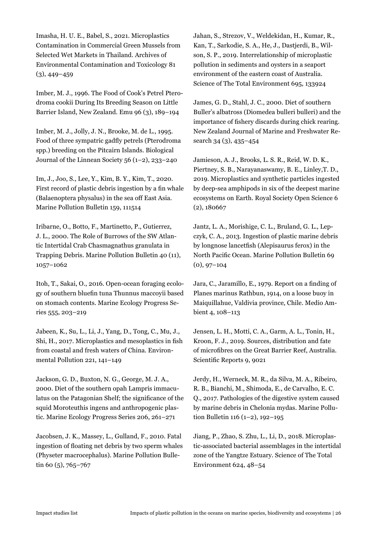Imasha, H. U. E., Babel, S., 2021. Microplastics Contamination in Commercial Green Mussels from Selected Wet Markets in Thailand. Archives of Environmental Contamination and Toxicology 81  $(3), 449 - 459$ 

Imber, M. J., 1996. The Food of Cook's Petrel Pterodroma cookii During Its Breeding Season on Little Barrier Island, New Zealand. Emu 96 (3), 189–194

Imber, M. J., Jolly, J. N., Brooke, M. de L., 1995. Food of three sympatric gadfly petrels (Pterodroma spp.) breeding on the Pitcairn Islands. Biological Journal of the Linnean Society 56 (1–2), 233–240

Im, J., Joo, S., Lee, Y., Kim, B. Y., Kim, T., 2020. First record of plastic debris ingestion by a fin whale (Balaenoptera physalus) in the sea off East Asia. Marine Pollution Bulletin 159, 111514

Iribarne, O., Botto, F., Martinetto, P., Gutierrez, J. L., 2000. The Role of Burrows of the SW Atlantic Intertidal Crab Chasmagnathus granulata in Trapping Debris. Marine Pollution Bulletin 40 (11), 1057–1062

Itoh, T., Sakai, O., 2016. Open-ocean foraging ecology of southern bluefin tuna Thunnus maccoyii based on stomach contents. Marine Ecology Progress Series 555, 203–219

Jabeen, K., Su, L., Li, J., Yang, D., Tong, C., Mu, J., Shi, H., 2017. Microplastics and mesoplastics in fish from coastal and fresh waters of China. Environmental Pollution 221, 141–149

Jackson, G. D., Buxton, N. G., George, M. J. A., 2000. Diet of the southern opah Lampris immaculatus on the Patagonian Shelf; the significance of the squid Moroteuthis ingens and anthropogenic plastic. Marine Ecology Progress Series 206, 261–271

Jacobsen, J. K., Massey, L., Gulland, F., 2010. Fatal ingestion of floating net debris by two sperm whales (Physeter macrocephalus). Marine Pollution Bulletin 60 $(5)$ , 765–767

Jahan, S., Strezov, V., Weldekidan, H., Kumar, R., Kan, T., Sarkodie, S. A., He, J., Dastjerdi, B., Wilson, S. P., 2019. Interrelationship of microplastic pollution in sediments and oysters in a seaport environment of the eastern coast of Australia. Science of The Total Environment 695, 133924

James, G. D., Stahl, J. C., 2000. Diet of southern Buller's albatross (Diomedea bulleri bulleri) and the importance of fishery discards during chick rearing. New Zealand Journal of Marine and Freshwater Research 34 (3), 435–454

Jamieson, A. J., Brooks, L. S. R., Reid, W. D. K., Piertney, S. B., Narayanaswamy, B. E., Linley,T. D., 2019. Microplastics and synthetic particles ingested by deep-sea amphipods in six of the deepest marine ecosystems on Earth. Royal Society Open Science 6 (2), 180667

Jantz, L. A., Morishige, C. L., Bruland, G. L., Lepczyk, C. A., 2013. Ingestion of plastic marine debris by longnose lancetfish (Alepisaurus ferox) in the North Pacific Ocean. Marine Pollution Bulletin 69  $(0), 97-104$ 

Jara, C., Jaramillo, E., 1979. Report on a finding of Planes marinus Rathbun, 1914, on a loose buoy in Maiquillahue, Valdivia province, Chile. Medio Ambient 4, 108–113

Jensen, L. H., Motti, C. A., Garm, A. L., Tonin, H., Kroon, F. J., 2019. Sources, distribution and fate of microfibres on the Great Barrier Reef, Australia. Scientific Reports 9, 9021

Jerdy, H., Werneck, M. R., da Silva, M. A., Ribeiro, R. B., Bianchi, M., Shimoda, E., de Carvalho, E. C. Q., 2017. Pathologies of the digestive system caused by marine debris in Chelonia mydas. Marine Pollution Bulletin 116 (1–2), 192–195

Jiang, P., Zhao, S. Zhu, L., Li, D., 2018. Microplastic-associated bacterial assemblages in the intertidal zone of the Yangtze Estuary. Science of The Total Environment 624, 48–54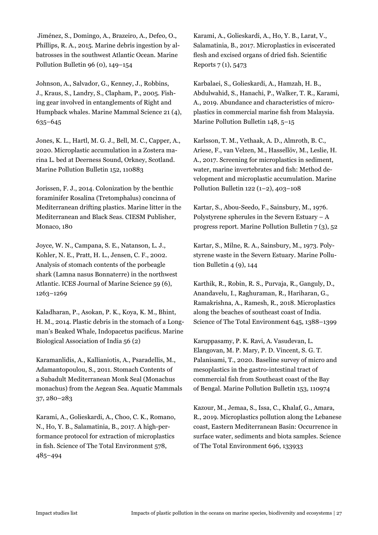Jiménez, S., Domingo, A., Brazeiro, A., Defeo, O., Phillips, R. A., 2015. Marine debris ingestion by albatrosses in the southwest Atlantic Ocean. Marine Pollution Bulletin 96 (0), 149–154

Johnson, A., Salvador, G., Kenney, J., Robbins, J., Kraus, S., Landry, S., Clapham, P., 2005. Fishing gear involved in entanglements of Right and Humpback whales. Marine Mammal Science 21 (4), 635–645

Jones, K. L., Hartl, M. G. J., Bell, M. C., Capper, A., 2020. Microplastic accumulation in a Zostera marina L. bed at Deerness Sound, Orkney, Scotland. Marine Pollution Bulletin 152, 110883

Jorissen, F. J., 2014. Colonization by the benthic foraminifer Rosalina (Tretomphalus) concinna of Mediterranean drifting plastics. Marine litter in the Mediterranean and Black Seas. CIESM Publisher, Monaco, 180

Joyce, W. N., Campana, S. E., Natanson, L. J., Kohler, N. E., Pratt, H. L., Jensen, C. F., 2002. Analysis of stomach contents of the porbeagle shark (Lamna nasus Bonnaterre) in the northwest Atlantic. ICES Journal of Marine Science 59 (6), 1263–1269

Kaladharan, P., Asokan, P. K., Koya, K. M., Bhint, H. M., 2014. Plastic debris in the stomach of a Longman's Beaked Whale, Indopacetus pacificus. Marine Biological Association of India 56 (2)

Karamanlidis, A., Kallianiotis, A., Psaradellis, M., Adamantopoulou, S., 2011. Stomach Contents of a Subadult Mediterranean Monk Seal (Monachus monachus) from the Aegean Sea. Aquatic Mammals 37, 280–283

Karami, A., Golieskardi, A., Choo, C. K., Romano, N., Ho, Y. B., Salamatinia, B., 2017. A high-performance protocol for extraction of microplastics in fish. Science of The Total Environment 578, 485–494

Karami, A., Golieskardi, A., Ho, Y. B., Larat, V., Salamatinia, B., 2017. Microplastics in eviscerated flesh and excised organs of dried fish. Scientific Reports 7 (1), 5473

Karbalaei, S., Golieskardi, A., Hamzah, H. B., Abdulwahid, S., Hanachi, P., Walker, T. R., Karami, A., 2019. Abundance and characteristics of microplastics in commercial marine fish from Malaysia. Marine Pollution Bulletin 148, 5–15

Karlsson, T. M., Vethaak, A. D., Almroth, B. C., Ariese, F., van Velzen, M., Hassellöv, M., Leslie, H. A., 2017. Screening for microplastics in sediment, water, marine invertebrates and fish: Method development and microplastic accumulation. Marine Pollution Bulletin 122 (1–2), 403–108

Kartar, S., Abou-Seedo, F., Sainsbury, M., 1976. Polystyrene spherules in the Severn Estuary  $-A$ progress report. Marine Pollution Bulletin 7 (3), 52

Kartar, S., Milne, R. A., Sainsbury, M., 1973. Polystyrene waste in the Severn Estuary. Marine Pollution Bulletin 4 (9), 144

Karthik, R., Robin, R. S., Purvaja, R., Ganguly, D., Anandavelu, I., Raghuraman, R., Hariharan, G., Ramakrishna, A., Ramesh, R., 2018. Microplastics along the beaches of southeast coast of India. Science of The Total Environment 645, 1388–1399

Karuppasamy, P. K. Ravi, A. Vasudevan, L. Elangovan, M. P. Mary, P. D. Vincent, S. G. T. Palanisami, T., 2020. Baseline survey of micro and mesoplastics in the gastro-intestinal tract of commercial fish from Southeast coast of the Bay of Bengal. Marine Pollution Bulletin 153, 110974

Kazour, M., Jemaa, S., Issa, C., Khalaf, G., Amara, R., 2019. Microplastics pollution along the Lebanese coast, Eastern Mediterranean Basin: Occurrence in surface water, sediments and biota samples. Science of The Total Environment 696, 133933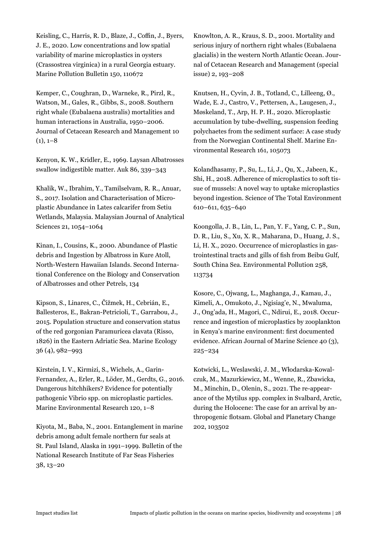Keisling, C., Harris, R. D., Blaze, J., Coffin, J., Byers, J. E., 2020. Low concentrations and low spatial variability of marine microplastics in oysters (Crassostrea virginica) in a rural Georgia estuary. Marine Pollution Bulletin 150, 110672

Kemper, C., Coughran, D., Warneke, R., Pirzl, R., Watson, M., Gales, R., Gibbs, S., 2008. Southern right whale (Eubalaena australis) mortalities and human interactions in Australia, 1950–2006. Journal of Cetacean Research and Management 10  $(1), 1-8$ 

Kenyon, K. W., Kridler, E., 1969. Laysan Albatrosses swallow indigestible matter. Auk 86, 339–343

Khalik, W., Ibrahim, Y., Tamilselvam, R. R., Anuar, S., 2017. Isolation and Characterisation of Microplastic Abundance in Lates calcarifer from Setiu Wetlands, Malaysia. Malaysian Journal of Analytical Sciences 21, 1054–1064

Kinan, I., Cousins, K., 2000. Abundance of Plastic debris and Ingestion by Albatross in Kure Atoll, North-Western Hawaiian Islands. Second International Conference on the Biology and Conservation of Albatrosses and other Petrels, 134

Kipson, S., Linares, C., Čižmek, H., Cebrián, E., Ballesteros, E., Bakran-Petricioli, T., Garrabou, J., 2015. Population structure and conservation status of the red gorgonian Paramuricea clavata (Risso, 1826) in the Eastern Adriatic Sea. Marine Ecology 36 (4), 982–993

Kirstein, I. V., Kirmizi, S., Wichels, A., Garin-Fernandez, A., Erler, R., Löder, M., Gerdts, G., 2016. Dangerous hitchhikers? Evidence for potentially pathogenic Vibrio spp. on microplastic particles. Marine Environmental Research 120, 1–8

Kiyota, M., Baba, N., 2001. Entanglement in marine debris among adult female northern fur seals at St. Paul Island, Alaska in 1991–1999. Bulletin of the National Research Institute of Far Seas Fisheries 38, 13–20

Knowlton, A. R., Kraus, S. D., 2001. Mortality and serious injury of northern right whales (Eubalaena glacialis) in the western North Atlantic Ocean. Journal of Cetacean Research and Management (special issue) 2, 193–208

Knutsen, H., Cyvin, J. B., Totland, C., Lilleeng, Ø., Wade, E. J., Castro, V., Pettersen, A., Laugesen, J., Møskeland, T., Arp, H. P. H., 2020. Microplastic accumulation by tube-dwelling, suspension feeding polychaetes from the sediment surface: A case study from the Norwegian Continental Shelf. Marine Environmental Research 161, 105073

Kolandhasamy, P., Su, L., Li, J., Qu, X., Jabeen, K., Shi, H., 2018. Adherence of microplastics to soft tissue of mussels: A novel way to uptake microplastics beyond ingestion. Science of The Total Environment 610–611, 635–640

Koongolla, J. B., Lin, L., Pan, Y. F., Yang, C. P., Sun, D. R., Liu, S., Xu, X. R., Maharana, D., Huang, J. S., Li, H. X., 2020. Occurrence of microplastics in gastrointestinal tracts and gills of fish from Beibu Gulf, South China Sea. Environmental Pollution 258, 113734

Kosore, C., Ojwang, L., Maghanga, J., Kamau, J., Kimeli, A., Omukoto, J., Ngisiag'e, N., Mwaluma, J., Ong'ada, H., Magori, C., Ndirui, E., 2018. Occurrence and ingestion of microplastics by zooplankton in Kenya's marine environment: first documented evidence. African Journal of Marine Science 40 (3), 225–234

Kotwicki, L., Weslawski, J. M., Włodarska-Kowalczuk, M., Mazurkiewicz, M., Wenne, R., Zbawicka, M., Minchin, D., Olenin, S., 2021. The re-appearance of the Mytilus spp. complex in Svalbard, Arctic, during the Holocene: The case for an arrival by anthropogenic flotsam. Global and Planetary Change 202, 103502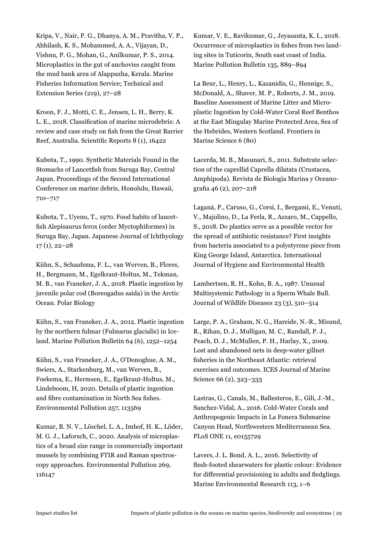Kripa, V., Nair, P. G., Dhanya, A. M., Pravitha, V. P., Abhilash, K. S., Mohammed, A. A., Vijayan, D., Vishnu, P. G., Mohan, G., Anilkumar, P. S., 2014. Microplastics in the gut of anchovies caught from the mud bank area of Alappuzha, Kerala. Marine Fisheries Information Service; Technical and Extension Series (219), 27–28

Kroon, F. J., Motti, C. E., Jensen, L. H., Berry, K. L. E., 2018. Classification of marine microdebris: A review and case study on fish from the Great Barrier Reef, Australia. Scientific Reports 8 (1), 16422

Kubota, T., 1990. Synthetic Materials Found in the Stomachs of Lancetfish from Suruga Bay, Central Japan. Proceedings of the Second International Conference on marine debris, Honolulu, Hawaii, 710–717

Kubota, T., Uyeno, T., 1970. Food habits of lancetfish Alepisaurus ferox (order Myctophiformes) in Suruga Bay, Japan. Japanese Journal of Ichthyology 17 (1), 22–28

Kühn, S., Schaafsma, F. L., van Werven, B., Flores, H., Bergmann, M., Egelkraut-Holtus, M., Tekman, M. B., van Franeker, J. A., 2018. Plastic ingestion by juvenile polar cod (Boreogadus saida) in the Arctic Ocean. Polar Biology

Kühn, S., van Franeker, J. A., 2012. Plastic ingestion by the northern fulmar (Fulmarus glacialis) in Iceland. Marine Pollution Bulletin 64 (6), 1252–1254

Kühn, S., van Franeker, J. A., O'Donoghue, A. M., Swiers, A., Starkenburg, M., van Werven, B., Foekema, E., Hermsen, E., Egelkraut-Holtus, M., Lindeboom, H, 2020. Details of plastic ingestion and fibre contamination in North Sea fishes. Environmental Pollution 257, 113569

Kumar, B. N. V., Löschel, L. A., Imhof, H. K., Löder, M. G. J., Laforsch, C., 2020. Analysis of microplastics of a broad size range in commercially important mussels by combining FTIR and Raman spectroscopy approaches. Environmental Pollution 269, 116147

Kumar, V. E., Ravikumar, G., Jeyasanta, K. I., 2018. Occurrence of microplastics in fishes from two landing sites in Tuticorin, South east coast of India. Marine Pollution Bulletin 135, 889–894

La Beur, L., Henry, L., Kazanidis, G., Hennige, S., McDonald, A., Shaver, M. P., Roberts, J. M., 2019. Baseline Assessment of Marine Litter and Microplastic Ingestion by Cold-Water Coral Reef Benthos at the East Mingulay Marine Protected Area, Sea of the Hebrides, Western Scotland. Frontiers in Marine Science 6 (80)

Lacerda, M. B., Masunari, S., 2011. Substrate selection of the caprellid Caprella dilatata (Crustacea, Amphipoda). Revista de Biologia Marina y Oceanografia 46 (2), 207–218

Laganà, P., Caruso, G., Corsi, I., Bergami, E., Venuti, V., Majolino, D., La Ferla, R., Azzaro, M., Cappello, S., 2018. Do plastics serve as a possible vector for the spread of antibiotic resistance? First insights from bacteria associated to a polystyrene piece from King George Island, Antarctica. International Journal of Hygiene and Environmental Health

Lambertsen, R. H., Kohn, B. A., 1987. Unusual Multisystemic Pathology in a Sperm Whale Bull. Journal of Wildlife Diseases 23 (3), 510–514

Large, P. A., Graham, N. G., Hareide, N.-R., Misund, R., Rihan, D. J., Mulligan, M. C., Randall, P. J., Peach, D. J., McMullen, P. H., Harlay, X., 2009. Lost and abandoned nets in deep-water gillnet fisheries in the Northeast Atlantic: retrieval exercises and outcomes. ICES Journal of Marine Science 66 (2), 323–333

Lastras, G., Canals, M., Ballesteros, E., Gili, J.-M., Sanchez-Vidal, A., 2016. Cold-Water Corals and Anthropogenic Impacts in La Fonera Submarine Canyon Head, Northwestern Mediterranean Sea. PLoS ONE 11, e0155729

Lavers, J. L. Bond, A. L., 2016. Selectivity of flesh-footed shearwaters for plastic colour: Evidence for differential provisioning in adults and fledglings. Marine Environmental Research 113, 1–6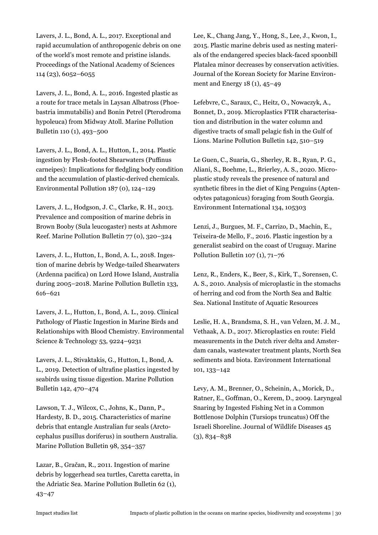Lavers, J. L., Bond, A. L., 2017. Exceptional and rapid accumulation of anthropogenic debris on one of the world's most remote and pristine islands. Proceedings of the National Academy of Sciences 114 (23), 6052–6055

Lavers, J. L., Bond, A. L., 2016. Ingested plastic as a route for trace metals in Laysan Albatross (Phoebastria immutabilis) and Bonin Petrel (Pterodroma hypoleuca) from Midway Atoll. Marine Pollution Bulletin 110 (1), 493–500

Lavers, J. L., Bond, A. L., Hutton, I., 2014. Plastic ingestion by Flesh-footed Shearwaters (Puffinus carneipes): Implications for fledgling body condition and the accumulation of plastic-derived chemicals. Environmental Pollution 187 (0), 124–129

Lavers, J. L., Hodgson, J. C., Clarke, R. H., 2013. Prevalence and composition of marine debris in Brown Booby (Sula leucogaster) nests at Ashmore Reef. Marine Pollution Bulletin 77 (0), 320–324

Lavers, J. L., Hutton, I., Bond, A. L., 2018. Ingestion of marine debris by Wedge-tailed Shearwaters (Ardenna pacifica) on Lord Howe Island, Australia during 2005–2018. Marine Pollution Bulletin 133, 616–621

Lavers, J. L., Hutton, I., Bond, A. L., 2019. Clinical Pathology of Plastic Ingestion in Marine Birds and Relationships with Blood Chemistry. Environmental Science & Technology 53, 9224–9231

Lavers, J. L., Stivaktakis, G., Hutton, I., Bond, A. L., 2019. Detection of ultrafine plastics ingested by seabirds using tissue digestion. Marine Pollution Bulletin 142, 470–474

Lawson, T. J., Wilcox, C., Johns, K., Dann, P., Hardesty, B. D., 2015. Characteristics of marine debris that entangle Australian fur seals (Arctocephalus pusillus doriferus) in southern Australia. Marine Pollution Bulletin 98, 354–357

Lazar, B., Gračan, R., 2011. Ingestion of marine debris by loggerhead sea turtles, Caretta caretta, in the Adriatic Sea. Marine Pollution Bulletin 62 (1), 43–47

Lee, K., Chang Jang, Y., Hong, S., Lee, J., Kwon, I., 2015. Plastic marine debris used as nesting materials of the endangered species black-faced spoonbill Platalea minor decreases by conservation activities. Journal of the Korean Society for Marine Environment and Energy 18 (1), 45–49

Lefebvre, C., Saraux, C., Heitz, O., Nowaczyk, A., Bonnet, D., 2019. Microplastics FTIR characterisation and distribution in the water column and digestive tracts of small pelagic fish in the Gulf of Lions. Marine Pollution Bulletin 142, 510–519

Le Guen, C., Suaria, G., Sherley, R. B., Ryan, P. G., Aliani, S., Boehme, L., Brierley, A. S., 2020. Microplastic study reveals the presence of natural and synthetic fibres in the diet of King Penguins (Aptenodytes patagonicus) foraging from South Georgia. Environment International 134, 105303

Lenzi, J., Burgues, M. F., Carrizo, D., Machin, E., Teixeira-de Mello, F., 2016. Plastic ingestion by a generalist seabird on the coast of Uruguay. Marine Pollution Bulletin 107 (1), 71–76

Lenz, R., Enders, K., Beer, S., Kirk, T., Sorensen, C. A. S., 2010. Analysis of microplastic in the stomachs of herring and cod from the North Sea and Baltic Sea. National Institute of Aquatic Resources

Leslie, H. A., Brandsma, S. H., van Velzen, M. J. M., Vethaak, A. D., 2017. Microplastics en route: Field measurements in the Dutch river delta and Amsterdam canals, wastewater treatment plants, North Sea sediments and biota. Environment International 101, 133–142

Levy, A. M., Brenner, O., Scheinin, A., Morick, D., Ratner, E., Goffman, O., Kerem, D., 2009. Laryngeal Snaring by Ingested Fishing Net in a Common Bottlenose Dolphin (Tursiops truncatus) Off the Israeli Shoreline. Journal of Wildlife Diseases 45 (3), 834–838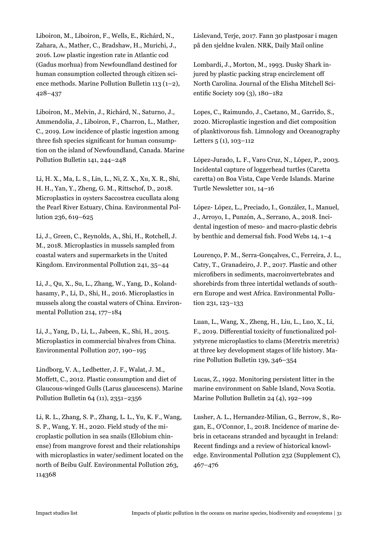Liboiron, M., Liboiron, F., Wells, E., Richárd, N., Zahara, A., Mather, C., Bradshaw, H., Murichi, J., 2016. Low plastic ingestion rate in Atlantic cod (Gadus morhua) from Newfoundland destined for human consumption collected through citizen science methods. Marine Pollution Bulletin 113 (1–2), 428–437

Liboiron, M., Melvin, J., Richárd, N., Saturno, J., Ammendolia, J., Liboiron, F., Charron, L., Mather, C., 2019. Low incidence of plastic ingestion among three fish species significant for human consumption on the island of Newfoundland, Canada. Marine Pollution Bulletin 141, 244–248

Li, H. X., Ma, L. S., Lin, L., Ni, Z. X., Xu, X. R., Shi, H. H., Yan, Y., Zheng, G. M., Rittschof, D., 2018. Microplastics in oysters Saccostrea cucullata along the Pearl River Estuary, China. Environmental Pollution 236, 619–625

Li, J., Green, C., Reynolds, A., Shi, H., Rotchell, J. M., 2018. Microplastics in mussels sampled from coastal waters and supermarkets in the United Kingdom. Environmental Pollution 241, 35–44

Li, J., Qu, X., Su, L., Zhang, W., Yang, D., Kolandhasamy, P., Li, D., Shi, H., 2016. Microplastics in mussels along the coastal waters of China. Environmental Pollution 214, 177–184

Li, J., Yang, D., Li, L., Jabeen, K., Shi, H., 2015. Microplastics in commercial bivalves from China. Environmental Pollution 207, 190–195

Lindborg, V. A., Ledbetter, J. F., Walat, J. M., Moffett, C., 2012. Plastic consumption and diet of Glaucous-winged Gulls (Larus glaucescens). Marine Pollution Bulletin 64 (11), 2351–2356

Li, R. L., Zhang, S. P., Zhang, L. L., Yu, K. F., Wang, S. P., Wang, Y. H., 2020. Field study of the microplastic pollution in sea snails (Ellobium chinense) from mangrove forest and their relationships with microplastics in water/sediment located on the north of Beibu Gulf. Environmental Pollution 263, 114368

Lislevand, Terje, 2017. Fann 30 plastposar i magen på den sjeldne kvalen. NRK, Daily Mail online

Lombardi, J., Morton, M., 1993. Dusky Shark injured by plastic packing strap encirclement off North Carolina. Journal of the Elisha Mitchell Scientific Society 109 (3), 180–182

Lopes, C., Raimundo, J., Caetano, M., Garrido, S., 2020. Microplastic ingestion and diet composition of planktivorous fish. Limnology and Oceanography Letters 5 (1), 103–112

López-Jurado, L. F., Varo Cruz, N., López, P., 2003. Incidental capture of loggerhead turtles (Caretta caretta) on Boa Vista, Cape Verde Islands. Marine Turtle Newsletter 101, 14–16

López- López, L., Preciado, I., González, I., Manuel, J., Arroyo, I., Punzón, A., Serrano, A., 2018. Incidental ingestion of meso- and macro-plastic debris by benthic and demersal fish. Food Webs 14, 1–4

Lourenço, P. M., Serra-Gonçalves, C., Ferreira, J. L., Catry, T., Granadeiro, J. P., 2017. Plastic and other microfibers in sediments, macroinvertebrates and shorebirds from three intertidal wetlands of southern Europe and west Africa. Environmental Pollution 231, 123–133

Luan, L., Wang, X., Zheng, H., Liu, L., Luo, X., Li, F., 2019. Differential toxicity of functionalized polystyrene microplastics to clams (Meretrix meretrix) at three key development stages of life history. Marine Pollution Bulletin 139, 346–354

Lucas, Z., 1992. Monitoring persistent litter in the marine environment on Sable Island, Nova Scotia. Marine Pollution Bulletin 24 (4), 192–199

Lusher, A. L., Hernandez-Milian, G., Berrow, S., Rogan, E., O'Connor, I., 2018. Incidence of marine debris in cetaceans stranded and bycaught in Ireland: Recent findings and a review of historical knowledge. Environmental Pollution 232 (Supplement C), 467–476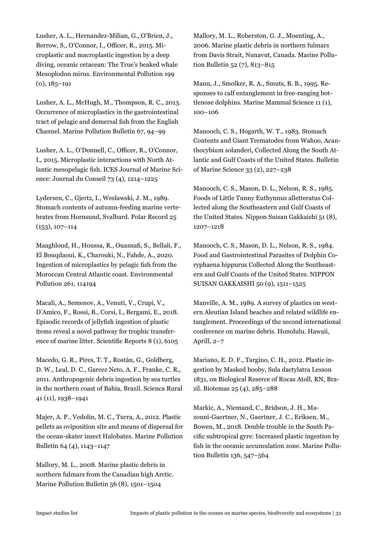Lusher, A. L., Hernandez-Milian, G., O'Brien, J., Berrow, S., O'Connor, I., Officer, R., 2015. Microplastic and macroplastic ingestion by a deep diving, oceanic cetacean: The True's beaked whale Mesoplodon mirus. Environmental Pollution 199  $(0), 185 - 191$ 

Lusher, A. L., McHugh, M., Thompson, R. C., 2013. Occurrence of microplastics in the gastrointestinal tract of pelagic and demersal fish from the English Channel. Marine Pollution Bulletin 67, 94–99

Lusher, A. L., O'Donnell, C., Officer, R., O'Connor, I., 2015. Microplastic interactions with North Atlantic mesopelagic fish. ICES Journal of Marine Science: Journal du Conseil 73 (4), 1214–1225

Lydersen, C., Gjertz, I., Weslawski, J. M., 1989. Stomach contents of autumn-feeding marine vertebrates from Hornsund, Svalbard. Polar Record 25 (153), 107–114

Maaghloud, H., Houssa, R., Ouansafi, S., Bellali, F., El Bouqdaoui, K., Charouki, N., Fahde, A., 2020. Ingestion of microplastics by pelagic fish from the Moroccan Central Atlantic coast. Environmental Pollution 261, 114194

Macali, A., Semenov, A., Venuti, V., Crupi, V., D'Amico, F., Rossi, B., Corsi, I., Bergami, E., 2018. Episodic records of jellyfish ingestion of plastic items reveal a novel pathway for trophic transference of marine litter. Scientific Reports 8 (1), 6105

Macedo, G. R., Pires, T. T., Rostán, G., Goldberg, D. W., Leal, D. C., Garcez Neto, A. F., Franke, C. R., 2011. Anthropogenic debris ingestion by sea turtles in the northern coast of Bahia, Brazil. Scienca Rural 41 (11), 1938–1941

Majer, A. P., Vedolin, M. C., Turra, A., 2012. Plastic pellets as oviposition site and means of dispersal for the ocean-skater insect Halobates. Marine Pollution Bulletin 64 (4), 1143–1147

Mallory, M. L., 2008. Marine plastic debris in northern fulmars from the Canadian high Arctic. Marine Pollution Bulletin 56 (8), 1501–1504

Mallory, M. L., Roberston, G. J., Moenting, A., 2006. Marine plastic debris in northern fulmars from Davis Strait, Nunavut, Canada. Marine Pollution Bulletin 52 (7), 813–815

Mann, J., Smolker, R. A., Smuts, B. B., 1995. Responses to calf entanglement in free-ranging bottlenose dolphins. Marine Mammal Science 11 (1), 100–106

Manooch, C. S., Hogarth, W. T., 1983. Stomach Contents and Giant Trematodes from Wahoo, Acanthocybium solanderi, Collected Along the South Atlantic and Gulf Coasts of the United States. Bulletin of Marine Science 33 (2), 227–238

Manooch, C. S., Mason, D. L., Nelson, R. S., 1985. Foods of Little Tunny Euthynnus alletteratus Collected along the Southeastern and Gulf Coasts of the United States. Nippon Suisan Gakkaishi 51 (8), 1207–1218

Manooch, C. S., Mason, D. L., Nelson, R. S., 1984. Food and Gastrointestinal Parasites of Dolphin Coryphaena hippurus Collected Along the Southeastern and Gulf Coasts of the United States. NIPPON SUISAN GAKKAISHI 50 (9), 1511–1525

Manville, A. M., 1989. A survey of plastics on western Aleutian Island beaches and related wildlife entanglement. Proceedings of the second international conference on marine debris. Honolulu. Hawaii, Aprill, 2–7

Mariano, E. D. F., Targino, C. H., 2012. Plastic ingestion by Masked booby, Sula dactylatra Lesson 1831, on Biological Reserce of Rocas Atoll, RN, Brazil. Biotemas 25 (4), 285–288

Markic, A., Niemand, C., Bridson, J. H., Mazouni-Gaertner, N., Gaertner, J. C., Eriksen, M., Bowen, M., 2018. Double trouble in the South Pacific subtropical gyre: Increased plastic ingestion by fish in the oceanic accumulation zone. Marine Pollution Bulletin 136, 547–564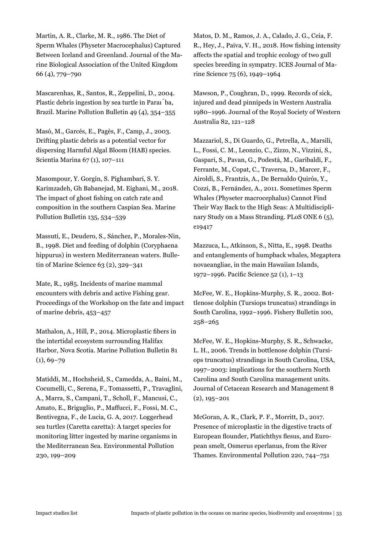Martin, A. R., Clarke, M. R., 1986. The Diet of Sperm Whales (Physeter Macrocephalus) Captured Between Iceland and Greenland. Journal of the Marine Biological Association of the United Kingdom 66 (4), 779–790

Mascarenhas, R., Santos, R., Zeppelini, D., 2004. Plastic debris ingestion by sea turtle in Paraı́ba, Brazil. Marine Pollution Bulletin 49 (4), 354–355

Masó, M., Garcés, E., Pagès, F., Camp, J., 2003. Drifting plastic debris as a potential vector for dispersing Harmful Algal Bloom (HAB) species. Scientia Marina 67 (1), 107–111

Masompour, Y. Gorgin, S. Pighambari, S. Y. Karimzadeh, Gh Babanejad, M. Eighani, M., 2018. The impact of ghost fishing on catch rate and composition in the southern Caspian Sea. Marine Pollution Bulletin 135, 534–539

Massutí, E., Deudero, S., Sánchez, P., Morales-Nin, B., 1998. Diet and feeding of dolphin (Coryphaena hippurus) in western Mediterranean waters. Bulletin of Marine Science 63 (2), 329–341

Mate, R., 1985. Incidents of marine mammal encounters with debris and active Fishing gear. Proceedings of the Workshop on the fate and impact of marine debris, 453–457

Mathalon, A., Hill, P., 2014. Microplastic fibers in the intertidal ecosystem surrounding Halifax Harbor, Nova Scotia. Marine Pollution Bulletin 81  $(1), 69 - 79$ 

Matiddi, M., Hochsheid, S., Camedda, A., Baini, M., Cocumelli, C., Serena, F., Tomassetti, P., Travaglini, A., Marra, S., Campani, T., Scholl, F., Mancusi, C., Amato, E., Briguglio, P., Maffucci, F., Fossi, M. C., Bentivegna, F., de Lucia, G. A, 2017. Loggerhead sea turtles (Caretta caretta): A target species for monitoring litter ingested by marine organisms in the Mediterranean Sea. Environmental Pollution 230, 199–209

Matos, D. M., Ramos, J. A., Calado, J. G., Ceia, F. R., Hey, J., Paiva, V. H., 2018. How fishing intensity affects the spatial and trophic ecology of two gull species breeding in sympatry. ICES Journal of Marine Science 75 (6), 1949–1964

Mawson, P., Coughran, D., 1999. Records of sick, injured and dead pinnipeds in Western Australia 1980–1996. Journal of the Royal Society of Western Australia 82, 121–128

Mazzariol, S., Di Guardo, G., Petrella, A., Marsili, L., Fossi, C. M., Leonzio, C., Zizzo, N., Vizzini, S., Gaspari, S., Pavan, G., Podestà, M., Garibaldi, F., Ferrante, M., Copat, C., Traversa, D., Marcer, F., Airoldi, S., Frantzis, A., De Bernaldo Quirós, Y., Cozzi, B., Fernández, A., 2011. Sometimes Sperm Whales (Physeter macrocephalus) Cannot Find Their Way Back to the High Seas: A Multidisciplinary Study on a Mass Stranding. PLoS ONE 6 (5), e19417

Mazzuca, L., Atkinson, S., Nitta, E., 1998. Deaths and entanglements of humpback whales, Megaptera novaeangliae, in the main Hawaiian Islands, 1972–1996. Pacific Science 52 (1), 1–13

McFee, W. E., Hopkins-Murphy, S. R., 2002. Bottlenose dolphin (Tursiops truncatus) strandings in South Carolina, 1992–1996. Fishery Bulletin 100, 258–265

McFee, W. E., Hopkins-Murphy, S. R., Schwacke, L. H., 2006. Trends in bottlenose dolphin (Tursiops truncatus) strandings in South Carolina, USA, 1997–2003: implications for the southern North Carolina and South Carolina management units. Journal of Cetacean Research and Management 8 (2), 195–201

McGoran, A. R., Clark, P. F., Morritt, D., 2017. Presence of microplastic in the digestive tracts of European flounder, Platichthys flesus, and European smelt, Osmerus eperlanus, from the River Thames. Environmental Pollution 220, 744–751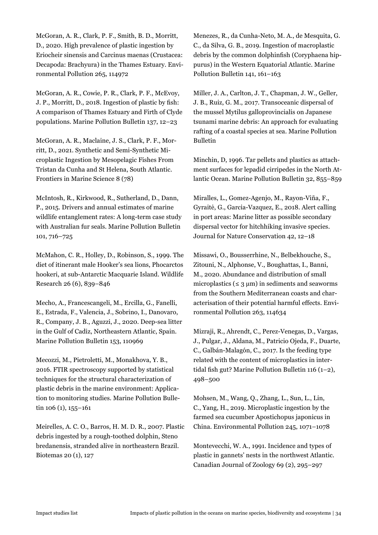McGoran, A. R., Clark, P. F., Smith, B. D., Morritt, D., 2020. High prevalence of plastic ingestion by Eriocheir sinensis and Carcinus maenas (Crustacea: Decapoda: Brachyura) in the Thames Estuary. Environmental Pollution 265, 114972

McGoran, A. R., Cowie, P. R., Clark, P. F., McEvoy, J. P., Morritt, D., 2018. Ingestion of plastic by fish: A comparison of Thames Estuary and Firth of Clyde populations. Marine Pollution Bulletin 137, 12–23

McGoran, A. R., Maclaine, J. S., Clark, P. F., Morritt, D., 2021. Synthetic and Semi-Synthetic Microplastic Ingestion by Mesopelagic Fishes From Tristan da Cunha and St Helena, South Atlantic. Frontiers in Marine Science 8 (78)

McIntosh, R., Kirkwood, R., Sutherland, D., Dann, P., 2015. Drivers and annual estimates of marine wildlife entanglement rates: A long-term case study with Australian fur seals. Marine Pollution Bulletin 101, 716–725

McMahon, C. R., Holley, D., Robinson, S., 1999. The diet of itinerant male Hooker's sea lions, Phocarctos hookeri, at sub-Antarctic Macquarie Island. Wildlife Research 26 (6), 839–846

Mecho, A., Francescangeli, M., Ercilla, G., Fanelli, E., Estrada, F., Valencia, J., Sobrino, I., Danovaro, R., Company, J. B., Aguzzi, J., 2020. Deep-sea litter in the Gulf of Cadiz, Northeastern Atlantic, Spain. Marine Pollution Bulletin 153, 110969

Mecozzi, M., Pietroletti, M., Monakhova, Y. B., 2016. FTIR spectroscopy supported by statistical techniques for the structural characterization of plastic debris in the marine environment: Application to monitoring studies. Marine Pollution Bulletin 106 (1), 155-161

Meirelles, A. C. O., Barros, H. M. D. R., 2007. Plastic debris ingested by a rough-toothed dolphin, Steno bredanensis, stranded alive in northeastern Brazil. Biotemas 20 (1), 127

Menezes, R., da Cunha-Neto, M. A., de Mesquita, G. C., da Silva, G. B., 2019. Ingestion of macroplastic debris by the common dolphinfish (Coryphaena hippurus) in the Western Equatorial Atlantic. Marine Pollution Bulletin 141, 161–163

Miller, J. A., Carlton, J. T., Chapman, J. W., Geller, J. B., Ruiz, G. M., 2017. Transoceanic dispersal of the mussel Mytilus galloprovincialis on Japanese tsunami marine debris: An approach for evaluating rafting of a coastal species at sea. Marine Pollution Bulletin

Minchin, D, 1996. Tar pellets and plastics as attachment surfaces for lepadid cirripedes in the North Atlantic Ocean. Marine Pollution Bulletin 32, 855–859

Miralles, L., Gomez-Agenjo, M., Rayon-Viña, F., Gyraitė, G., Garcia-Vazquez, E., 2018. Alert calling in port areas: Marine litter as possible secondary dispersal vector for hitchhiking invasive species. Journal for Nature Conservation 42, 12–18

Missawi, O., Bousserrhine, N., Belbekhouche, S., Zitouni, N., Alphonse, V., Boughattas, I., Banni, M., 2020. Abundance and distribution of small microplastics ( $\leq 3 \mu m$ ) in sediments and seaworms from the Southern Mediterranean coasts and characterisation of their potential harmful effects. Environmental Pollution 263, 114634

Mizraji, R., Ahrendt, C., Perez-Venegas, D., Vargas, J., Pulgar, J., Aldana, M., Patricio Ojeda, F., Duarte, C., Galbán-Malagón, C., 2017. Is the feeding type related with the content of microplastics in intertidal fish gut? Marine Pollution Bulletin 116 (1–2), 498–500

Mohsen, M., Wang, Q., Zhang, L., Sun, L., Lin, C., Yang, H., 2019. Microplastic ingestion by the farmed sea cucumber Apostichopus japonicus in China. Environmental Pollution 245, 1071–1078

Montevecchi, W. A., 1991. Incidence and types of plastic in gannets' nests in the northwest Atlantic. Canadian Journal of Zoology 69 (2), 295–297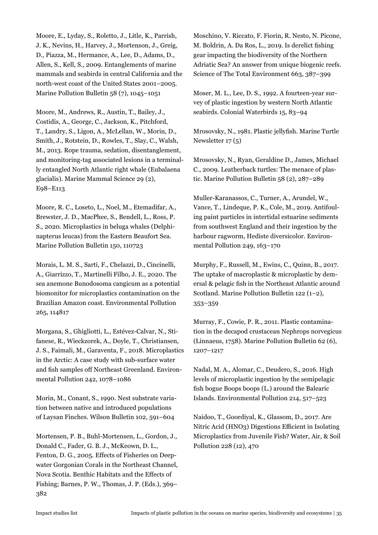Moore, E., Lyday, S., Roletto, J., Litle, K., Parrish, J. K., Nevins, H., Harvey, J., Mortenson, J., Greig, D., Piazza, M., Hermance, A., Lee, D., Adams, D., Allen, S., Kell, S., 2009. Entanglements of marine mammals and seabirds in central California and the north-west coast of the United States 2001–2005. Marine Pollution Bulletin 58 (7), 1045–1051

Moore, M., Andrews, R., Austin, T., Bailey, J., Costidis, A., George, C., Jackson, K., Pitchford, T., Landry, S., Ligon, A., McLellan, W., Morin, D., Smith, J., Rotstein, D., Rowles, T., Slay, C., Walsh, M., 2013. Rope trauma, sedation, disentanglement, and monitoring-tag associated lesions in a terminally entangled North Atlantic right whale (Eubalaena glacialis). Marine Mammal Science 29 (2), E98–E113

Moore, R. C., Loseto, L., Noel, M., Etemadifar, A., Brewster, J. D., MacPhee, S., Bendell, L., Ross, P. S., 2020. Microplastics in beluga whales (Delphinapterus leucas) from the Eastern Beaufort Sea. Marine Pollution Bulletin 150, 110723

Morais, L. M. S., Sarti, F., Chelazzi, D., Cincinelli, A., Giarrizzo, T., Martinelli Filho, J. E., 2020. The sea anemone Bunodosoma cangicum as a potential biomonitor for microplastics contamination on the Brazilian Amazon coast. Environmental Pollution 265, 114817

Morgana, S., Ghigliotti, L., Estévez-Calvar, N., Stifanese, R., Wieckzorek, A., Doyle, T., Christiansen, J. S., Faimali, M., Garaventa, F., 2018. Microplastics in the Arctic: A case study with sub-surface water and fish samples off Northeast Greenland. Environmental Pollution 242, 1078–1086

Morin, M., Conant, S., 1990. Nest substrate variation between native and introduced populations of Laysan Finches. Wilson Bulletin 102, 591–604

Mortensen, P. B., Buhl-Mortensen, L., Gordon, J., Donald C., Fader, G. B. J., McKeown, D. L., Fenton, D. G., 2005. Effects of Fisheries on Deepwater Gorgonian Corals in the Northeast Channel, Nova Scotia. Benthic Habitats and the Effects of Fishing; Barnes, P. W., Thomas, J. P. (Eds.), 369– 382

Moschino, V. Riccato, F. Fiorin, R. Nesto, N. Picone, M. Boldrin, A. Da Ros, L., 2019. Is derelict fishing gear impacting the biodiversity of the Northern Adriatic Sea? An answer from unique biogenic reefs. Science of The Total Environment 663, 387–399

Moser, M. L., Lee, D. S., 1992. A fourteen-year survey of plastic ingestion by western North Atlantic seabirds. Colonial Waterbirds 15, 83–94

Mrosovsky, N., 1981. Plastic jellyfish. Marine Turtle Newsletter 17 (5)

Mrosovsky, N., Ryan, Geraldine D., James, Michael C., 2009. Leatherback turtles: The menace of plastic. Marine Pollution Bulletin 58 (2), 287–289

Muller-Karanassos, C., Turner, A., Arundel, W., Vance, T., Lindeque, P. K., Cole, M., 2019. Antifouling paint particles in intertidal estuarine sediments from southwest England and their ingestion by the harbour ragworm, Hediste diversicolor. Environmental Pollution 249, 163–170

Murphy, F., Russell, M., Ewins, C., Quinn, B., 2017. The uptake of macroplastic & microplastic by demersal & pelagic fish in the Northeast Atlantic around Scotland. Marine Pollution Bulletin 122 (1–2), 353–359

Murray, F., Cowie, P. R., 2011. Plastic contamination in the decapod crustacean Nephrops norvegicus (Linnaeus, 1758). Marine Pollution Bulletin 62 (6), 1207–1217

Nadal, M. A., Alomar, C., Deudero, S., 2016. High levels of microplastic ingestion by the semipelagic fish bogue Boops boops (L.) around the Balearic Islands. Environmental Pollution 214, 517–523

Naidoo, T., Goordiyal, K., Glassom, D., 2017. Are Nitric Acid (HNO3) Digestions Efficient in Isolating Microplastics from Juvenile Fish? Water, Air, & Soil Pollution 228 (12), 470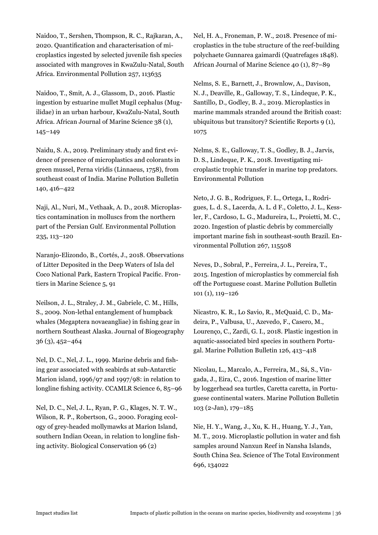Naidoo, T., Sershen, Thompson, R. C., Rajkaran, A., 2020. Quantification and characterisation of microplastics ingested by selected juvenile fish species associated with mangroves in KwaZulu-Natal, South Africa. Environmental Pollution 257, 113635

Naidoo, T., Smit, A. J., Glassom, D., 2016. Plastic ingestion by estuarine mullet Mugil cephalus (Mugilidae) in an urban harbour, KwaZulu-Natal, South Africa. African Journal of Marine Science 38 (1), 145–149

Naidu, S. A., 2019. Preliminary study and first evidence of presence of microplastics and colorants in green mussel, Perna viridis (Linnaeus, 1758), from southeast coast of India. Marine Pollution Bulletin 140, 416–422

Naji, Al., Nuri, M., Vethaak, A. D., 2018. Microplastics contamination in molluscs from the northern part of the Persian Gulf. Environmental Pollution 235, 113–120

Naranjo-Elizondo, B., Cortés, J., 2018. Observations of Litter Deposited in the Deep Waters of Isla del Coco National Park, Eastern Tropical Pacific. Frontiers in Marine Science 5, 91

Neilson, J. L., Straley, J. M., Gabriele, C. M., Hills, S., 2009. Non-lethal entanglement of humpback whales (Megaptera novaeangliae) in fishing gear in northern Southeast Alaska. Journal of Biogeography 36 (3), 452–464

Nel, D. C., Nel, J. L., 1999. Marine debris and fishing gear associated with seabirds at sub-Antarctic Marion island, 1996/97 and 1997/98: in relation to longline fishing activity. CCAMLR Science 6, 85–96

Nel, D. C., Nel, J. L., Ryan, P. G., Klages, N. T. W., Wilson, R. P., Robertson, G., 2000. Foraging ecology of grey-headed mollymawks at Marion Island, southern Indian Ocean, in relation to longline fishing activity. Biological Conservation 96 (2)

Nel, H. A., Froneman, P. W., 2018. Presence of microplastics in the tube structure of the reef-building polychaete Gunnarea gaimardi (Quatrefages 1848). African Journal of Marine Science 40 (1), 87–89

Nelms, S. E., Barnett, J., Brownlow, A., Davison, N. J., Deaville, R., Galloway, T. S., Lindeque, P. K., Santillo, D., Godley, B. J., 2019. Microplastics in marine mammals stranded around the British coast: ubiquitous but transitory? Scientific Reports 9 (1), 1075

Nelms, S. E., Galloway, T. S., Godley, B. J., Jarvis, D. S., Lindeque, P. K., 2018. Investigating microplastic trophic transfer in marine top predators. Environmental Pollution

Neto, J. G. B., Rodrigues, F. L., Ortega, I., Rodrigues, L. d. S., Lacerda, A. L. d F., Coletto, J. L., Kessler, F., Cardoso, L. G., Madureira, L., Proietti, M. C., 2020. Ingestion of plastic debris by commercially important marine fish in southeast-south Brazil. Environmental Pollution 267, 115508

Neves, D., Sobral, P., Ferreira, J. L., Pereira, T., 2015. Ingestion of microplastics by commercial fish off the Portuguese coast. Marine Pollution Bulletin 101 (1), 119–126

Nicastro, K. R., Lo Savio, R., McQuaid, C. D., Madeira, P., Valbusa, U., Azevedo, F., Casero, M., Lourenço, C., Zardi, G. I., 2018. Plastic ingestion in aquatic-associated bird species in southern Portugal. Marine Pollution Bulletin 126, 413–418

Nicolau, L., Marcalo, A., Ferreira, M., Sá, S., Vingada, J., Eira, C., 2016. Ingestion of marine litter by loggerhead sea turtles, Caretta caretta, in Portuguese continental waters. Marine Pollution Bulletin 103 (2-Jan), 179–185

Nie, H. Y., Wang, J., Xu, K. H., Huang, Y. J., Yan, M. T., 2019. Microplastic pollution in water and fish samples around Nanxun Reef in Nansha Islands, South China Sea. Science of The Total Environment 696, 134022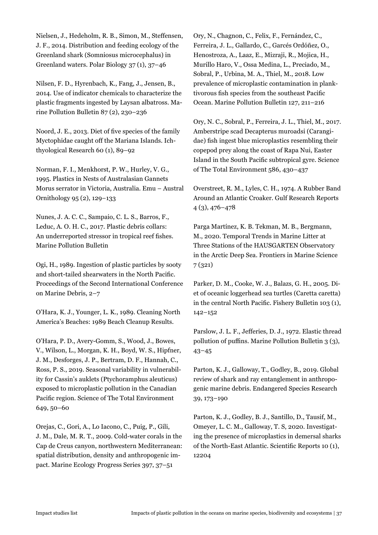Nielsen, J., Hedeholm, R. B., Simon, M., Steffensen, J. F., 2014. Distribution and feeding ecology of the Greenland shark (Somniosus microcephalus) in Greenland waters. Polar Biology 37 (1), 37–46

Nilsen, F. D., Hyrenbach, K., Fang, J., Jensen, B., 2014. Use of indicator chemicals to characterize the plastic fragments ingested by Laysan albatross. Marine Pollution Bulletin 87 (2), 230–236

Noord, J. E., 2013. Diet of five species of the family Myctophidae caught off the Mariana Islands. Ichthyological Research 60 (1), 89–92

Norman, F. I., Menkhorst, P. W., Hurley, V. G., 1995. Plastics in Nests of Australasian Gannets Morus serrator in Victoria, Australia. Emu – Austral Ornithology 95 (2), 129–133

Nunes, J. A. C. C., Sampaio, C. L. S., Barros, F., Leduc, A. O. H. C., 2017. Plastic debris collars: An underreported stressor in tropical reef fishes. Marine Pollution Bulletin

Ogi, H., 1989. Ingestion of plastic particles by sooty and short-tailed shearwaters in the North Pacific. Proceedings of the Second International Conference on Marine Debris, 2–7

O'Hara, K. J., Younger, L. K., 1989. Cleaning North America's Beaches: 1989 Beach Cleanup Results.

O'Hara, P. D., Avery-Gomm, S., Wood, J., Bowes, V., Wilson, L., Morgan, K. H., Boyd, W. S., Hipfner, J. M., Desforges, J. P., Bertram, D. F., Hannah, C., Ross, P. S., 2019. Seasonal variability in vulnerability for Cassin's auklets (Ptychoramphus aleuticus) exposed to microplastic pollution in the Canadian Pacific region. Science of The Total Environment 649, 50–60

Orejas, C., Gori, A., Lo Iacono, C., Puig, P., Gili, J. M., Dale, M. R. T., 2009. Cold-water corals in the Cap de Creus canyon, northwestern Mediterranean: spatial distribution, density and anthropogenic impact. Marine Ecology Progress Series 397, 37–51

Ory, N., Chagnon, C., Felix, F., Fernández, C., Ferreira, J. L., Gallardo, C., Garcés Ordóñez, O., Henostroza, A., Laaz, E., Mizraji, R., Mojica, H., Murillo Haro, V., Ossa Medina, L., Preciado, M., Sobral, P., Urbina, M. A., Thiel, M., 2018. Low prevalence of microplastic contamination in planktivorous fish species from the southeast Pacific Ocean. Marine Pollution Bulletin 127, 211–216

Ory, N. C., Sobral, P., Ferreira, J. L., Thiel, M., 2017. Amberstripe scad Decapterus muroadsi (Carangidae) fish ingest blue microplastics resembling their copepod prey along the coast of Rapa Nui, Easter Island in the South Pacific subtropical gyre. Science of The Total Environment 586, 430–437

Overstreet, R. M., Lyles, C. H., 1974. A Rubber Band Around an Atlantic Croaker. Gulf Research Reports 4 (3), 476–478

Parga Martínez, K. B. Tekman, M. B., Bergmann, M., 2020. Temporal Trends in Marine Litter at Three Stations of the HAUSGARTEN Observatory in the Arctic Deep Sea. Frontiers in Marine Science 7 (321)

Parker, D. M., Cooke, W. J., Balazs, G. H., 2005. Diet of oceanic loggerhead sea turtles (Caretta caretta) in the central North Pacific. Fishery Bulletin 103 (1), 142–152

Parslow, J. L. F., Jefferies, D. J., 1972. Elastic thread pollution of puffins. Marine Pollution Bulletin 3 (3), 43–45

Parton, K. J., Galloway, T., Godley, B., 2019. Global review of shark and ray entanglement in anthropogenic marine debris. Endangered Species Research 39, 173–190

Parton, K. J., Godley, B. J., Santillo, D., Tausif, M., Omeyer, L. C. M., Galloway, T. S, 2020. Investigating the presence of microplastics in demersal sharks of the North-East Atlantic. Scientific Reports 10 (1), 12204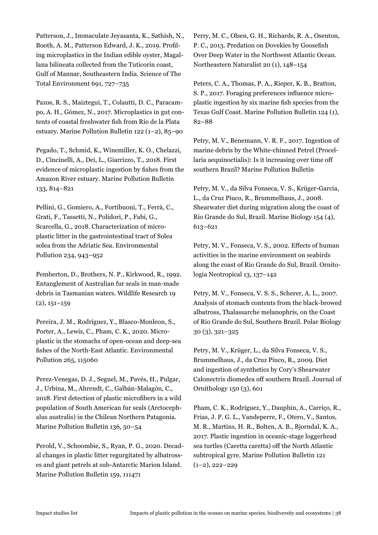Patterson, J., Immaculate Jeyasanta, K., Sathish, N., Booth, A. M., Patterson Edward, J. K., 2019. Profiling microplastics in the Indian edible oyster, Magallana bilineata collected from the Tuticorin coast, Gulf of Mannar, Southeastern India. Science of The Total Environment 691, 727–735

Pazos, R. S., Maiztegui, T., Colautti, D. C., Paracampo, A. H., Gómez, N., 2017. Microplastics in gut contents of coastal freshwater fish from Río de la Plata estuary. Marine Pollution Bulletin 122 (1–2), 85–90

Pegado, T., Schmid, K., Winemiller, K. O., Chelazzi, D., Cincinelli, A., Dei, L., Giarrizzo, T., 2018. First evidence of microplastic ingestion by fishes from the Amazon River estuary. Marine Pollution Bulletin 133, 814–821

Pellini, G., Gomiero, A., Fortibuoni, T., Ferrà, C., Grati, F., Tassetti, N., Polidori, P., Fabi, G., Scarcella, G., 2018. Characterization of microplastic litter in the gastrointestinal tract of Solea solea from the Adriatic Sea. Environmental Pollution 234, 943–952

Pemberton, D., Brothers, N. P., Kirkwood, R., 1992. Entanglement of Australian fur seals in man-made debris in Tasmanian waters. Wildlife Research 19  $(2), 151-159$ 

Pereira, J. M., Rodríguez, Y., Blasco-Monleon, S., Porter, A., Lewis, C., Pham, C. K., 2020. Microplastic in the stomachs of open-ocean and deep-sea fishes of the North-East Atlantic. Environmental Pollution 265, 115060

Perez-Venegas, D. J., Seguel, M., Pavés, H., Pulgar, J., Urbina, M., Ahrendt, C., Galbán-Malagón, C., 2018. First detection of plastic microfibers in a wild population of South American fur seals (Arctocephalus australis) in the Chilean Northern Patagonia. Marine Pollution Bulletin 136, 50–54

Perold, V., Schoombie, S., Ryan, P. G., 2020. Decadal changes in plastic litter regurgitated by albatrosses and giant petrels at sub-Antarctic Marion Island. Marine Pollution Bulletin 159, 111471

Perry, M. C., Olsen, G. H., Richards, R. A., Osenton, P. C., 2013. Predation on Dovekies by Goosefish Over Deep Water in the Northwest Atlantic Ocean. Northeastern Naturalist 20 (1), 148–154

Peters, C. A., Thomas, P. A., Rieper, K. B., Bratton, S. P., 2017. Foraging preferences influence microplastic ingestion by six marine fish species from the Texas Gulf Coast. Marine Pollution Bulletin 124 (1), 82–88

Petry, M. V., Benemann, V. R. F., 2017. Ingestion of marine debris by the White-chinned Petrel (Procellaria aequinoctialis): Is it increasing over time off southern Brazil? Marine Pollution Bulletin

Petry, M. V., da Silva Fonseca, V. S., Krüger-Garcia, L., da Cruz Piuco, R., Brummelhaus, J., 2008. Shearwater diet during migration along the coast of Rio Grande do Sul, Brazil. Marine Biology 154 (4), 613–621

Petry, M. V., Fonseca, V. S., 2002. Effects of human activities in the marine environment on seabirds along the coast of Rio Grande do Sul, Brazil. Ornitologia Neotropical 13, 137–142

Petry, M. V., Fonseca, V. S. S., Scherer, A. L., 2007. Analysis of stomach contents from the black-browed albatross, Thalassarche melanophris, on the Coast of Rio Grande do Sul, Southern Brazil. Polar Biology 30 (3), 321–325

Petry, M. V., Krüger, L., da Silva Fonseca, V. S., Brummelhaus, J., da Cruz Piuco, R., 2009. Diet and ingestion of synthetics by Cory's Shearwater Calonectris diomedea off southern Brazil. Journal of Ornithology 150 (3), 601

Pham, C. K., Rodríguez, Y., Dauphin, A., Carriço, R., Frias, J. P. G. L., Vandeperre, F., Otero, V., Santos, M. R., Martins, H. R., Bolten, A. B., Bjorndal, K. A., 2017. Plastic ingestion in oceanic-stage loggerhead sea turtles (Caretta caretta) off the North Atlantic subtropical gyre. Marine Pollution Bulletin 121  $(1-2)$ , 222-229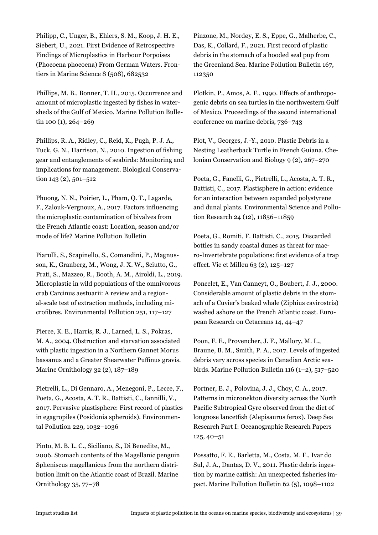Philipp, C., Unger, B., Ehlers, S. M., Koop, J. H. E., Siebert, U., 2021. First Evidence of Retrospective Findings of Microplastics in Harbour Porpoises (Phocoena phocoena) From German Waters. Frontiers in Marine Science 8 (508), 682532

Phillips, M. B., Bonner, T. H., 2015. Occurrence and amount of microplastic ingested by fishes in watersheds of the Gulf of Mexico. Marine Pollution Bulletin 100 (1), 264-269

Phillips, R. A., Ridley, C., Reid, K., Pugh, P. J. A., Tuck, G. N., Harrison, N., 2010. Ingestion of fishing gear and entanglements of seabirds: Monitoring and implications for management. Biological Conservation 143 (2), 501–512

Phuong, N. N., Poirier, L., Pham, Q. T., Lagarde, F., Zalouk-Vergnoux, A., 2017. Factors influencing the microplastic contamination of bivalves from the French Atlantic coast: Location, season and/or mode of life? Marine Pollution Bulletin

Piarulli, S., Scapinello, S., Comandini, P., Magnusson, K., Granberg, M., Wong, J. X. W., Sciutto, G., Prati, S., Mazzeo, R., Booth, A. M., Airoldi, L., 2019. Microplastic in wild populations of the omnivorous crab Carcinus aestuarii: A review and a regional-scale test of extraction methods, including microfibres. Environmental Pollution 251, 117–127

Pierce, K. E., Harris, R. J., Larned, L. S., Pokras, M. A., 2004. Obstruction and starvation associated with plastic ingestion in a Northern Gannet Morus bassanus and a Greater Shearwater Puffinus gravis. Marine Ornithology 32 (2), 187–189

Pietrelli, L., Di Gennaro, A., Menegoni, P., Lecce, F., Poeta, G., Acosta, A. T. R., Battisti, C., Iannilli, V., 2017. Pervasive plastisphere: First record of plastics in egagropiles (Posidonia spheroids). Environmental Pollution 229, 1032–1036

Pinto, M. B. L. C., Siciliano, S., Di Benedite, M., 2006. Stomach contents of the Magellanic penguin Spheniscus magellanicus from the northern distribution limit on the Atlantic coast of Brazil. Marine Ornithology 35, 77–78

Pinzone, M., Nordøy, E. S., Eppe, G., Malherbe, C., Das, K., Collard, F., 2021. First record of plastic debris in the stomach of a hooded seal pup from the Greenland Sea. Marine Pollution Bulletin 167, 112350

Plotkin, P., Amos, A. F., 1990. Effects of anthropogenic debris on sea turtles in the northwestern Gulf of Mexico. Proceedings of the second international conference on marine debris, 736–743

Plot, V., Georges, J.-Y., 2010. Plastic Debris in a Nesting Leatherback Turtle in French Guiana. Chelonian Conservation and Biology 9 (2), 267–270

Poeta, G., Fanelli, G., Pietrelli, L., Acosta, A. T. R., Battisti, C., 2017. Plastisphere in action: evidence for an interaction between expanded polystyrene and dunal plants. Environmental Science and Pollution Research 24 (12), 11856–11859

Poeta, G., Romiti, F. Battisti, C., 2015. Discarded bottles in sandy coastal dunes as threat for macro-Invertebrate populations: first evidence of a trap effect. Vie et Milleu 63 (2), 125–127

Poncelet, E., Van Canneyt, O., Boubert, J. J., 2000. Considerable amount of plastic debris in the stomach of a Cuvier's beaked whale (Ziphius cavirostris) washed ashore on the French Atlantic coast. European Research on Cetaceans 14, 44–47

Poon, F. E., Provencher, J. F., Mallory, M. L., Braune, B. M., Smith, P. A., 2017. Levels of ingested debris vary across species in Canadian Arctic seabirds. Marine Pollution Bulletin 116  $(1-2)$ , 517–520

Portner, E. J., Polovina, J. J., Choy, C. A., 2017. Patterns in micronekton diversity across the North Pacific Subtropical Gyre observed from the diet of longnose lancetfish (Alepisaurus ferox). Deep Sea Research Part I: Oceanographic Research Papers 125, 40–51

Possatto, F. E., Barletta, M., Costa, M. F., Ivar do Sul, J. A., Dantas, D. V., 2011. Plastic debris ingestion by marine catfish: An unexpected fisheries impact. Marine Pollution Bulletin 62 (5), 1098–1102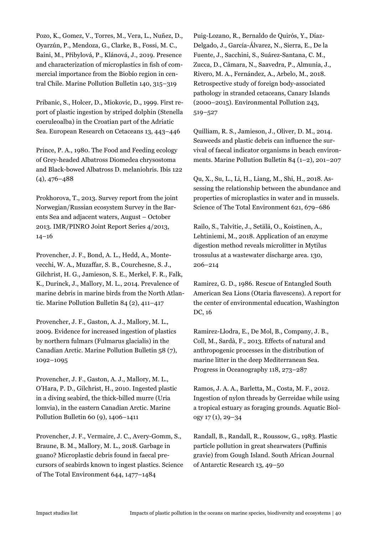Pozo, K., Gomez, V., Torres, M., Vera, L., Nuñez, D., Oyarzún, P., Mendoza, G., Clarke, B., Fossi, M. C., Baini, M., Přibylová, P., Klánová, J., 2019. Presence and characterization of microplastics in fish of commercial importance from the Biobío region in central Chile. Marine Pollution Bulletin 140, 315–319

Pribanic, S., Holcer, D., Miokovic, D., 1999. First report of plastic ingestion by striped dolphin (Stenella coeruleoalba) in the Croatian part of the Adriatic Sea. European Research on Cetaceans 13, 443–446

Prince, P. A., 1980. The Food and Feeding ecology of Grey-headed Albatross Diomedea chrysostoma and Black-bowed Albatross D. melaniohris. Ibis 122 (4), 476–488

Prokhorova, T., 2013. Survey report from the joint Norwegian/Russian ecosystem Survey in the Barents Sea and adjacent waters, August – October 2013. IMR/PINRO Joint Report Series 4/2013, 14–16

Provencher, J. F., Bond, A. L., Hedd, A., Montevecchi, W. A., Muzaffar, S. B., Courchesne, S. J., Gilchrist, H. G., Jamieson, S. E., Merkel, F. R., Falk, K., Durinck, J., Mallory, M. L., 2014. Prevalence of marine debris in marine birds from the North Atlantic. Marine Pollution Bulletin 84 (2), 411–417

Provencher, J. F., Gaston, A. J., Mallory, M. L., 2009. Evidence for increased ingestion of plastics by northern fulmars (Fulmarus glacialis) in the Canadian Arctic. Marine Pollution Bulletin 58 (7), 1092–1095

Provencher, J. F., Gaston, A. J., Mallory, M. L., O'Hara, P. D., Gilchrist, H., 2010. Ingested plastic in a diving seabird, the thick-billed murre (Uria lomvia), in the eastern Canadian Arctic. Marine Pollution Bulletin 60 (9), 1406–1411

Provencher, J. F., Vermaire, J. C., Avery-Gomm, S., Braune, B. M., Mallory, M. L., 2018. Garbage in guano? Microplastic debris found in faecal precursors of seabirds known to ingest plastics. Science of The Total Environment 644, 1477–1484

Puig-Lozano, R., Bernaldo de Quirós, Y., Díaz-Delgado, J., García-Álvarez, N., Sierra, E., De la Fuente, J., Sacchini, S., Suárez-Santana, C. M., Zucca, D., Câmara, N., Saavedra, P., Almunia, J., Rivero, M. A., Fernández, A., Arbelo, M., 2018. Retrospective study of foreign body-associated pathology in stranded cetaceans, Canary Islands (2000–2015). Environmental Pollution 243, 519–527

Quilliam, R. S., Jamieson, J., Oliver, D. M., 2014. Seaweeds and plastic debris can influence the survival of faecal indicator organisms in beach environments. Marine Pollution Bulletin 84 (1–2), 201–207

Qu, X., Su, L., Li, H., Liang, M., Shi, H., 2018. Assessing the relationship between the abundance and properties of microplastics in water and in mussels. Science of The Total Environment 621, 679–686

Railo, S., Talvitie, J., Setälä, O., Koistinen, A., Lehtiniemi, M., 2018. Application of an enzyme digestion method reveals microlitter in Mytilus trossulus at a wastewater discharge area. 130, 206–214

Ramirez, G. D., 1986. Rescue of Entangled South American Sea Lions (Otaria flavescens). A report for the center of environmental education, Washington DC, 16

Ramirez-Llodra, E., De Mol, B., Company, J. B., Coll, M., Sardà, F., 2013. Effects of natural and anthropogenic processes in the distribution of marine litter in the deep Mediterranean Sea. Progress in Oceanography 118, 273–287

Ramos, J. A. A., Barletta, M., Costa, M. F., 2012. Ingestion of nylon threads by Gerreidae while using a tropical estuary as foraging grounds. Aquatic Biology 17 (1), 29–34

Randall, B., Randall, R., Roussow, G., 1983. Plastic particle pollution in great shearwaters (Puffinis gravie) from Gough Island. South African Journal of Antarctic Research 13, 49–50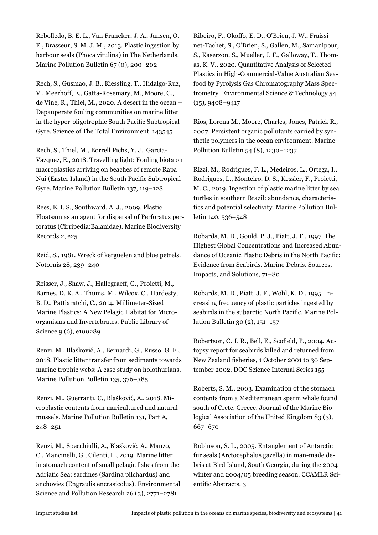Rebolledo, B. E. L., Van Franeker, J. A., Jansen, O. E., Brasseur, S. M. J. M., 2013. Plastic ingestion by harbour seals (Phoca vitulina) in The Netherlands. Marine Pollution Bulletin 67 (0), 200–202

Rech, S., Gusmao, J. B., Kiessling, T., Hidalgo-Ruz, V., Meerhoff, E., Gatta-Rosemary, M., Moore, C., de Vine, R., Thiel, M., 2020. A desert in the ocean – Depauperate fouling communities on marine litter in the hyper-oligotrophic South Pacific Subtropical Gyre. Science of The Total Environment, 143545

Rech, S., Thiel, M., Borrell Pichs, Y. J., García-Vazquez, E., 2018. Travelling light: Fouling biota on macroplastics arriving on beaches of remote Rapa Nui (Easter Island) in the South Pacific Subtropical Gyre. Marine Pollution Bulletin 137, 119–128

Rees, E. I. S., Southward, A. J., 2009. Plastic Floatsam as an agent for dispersal of Perforatus perforatus (Cirripedia:Balanidae). Marine Biodiversity Records 2, e25

Reid, S., 1981. Wreck of kerguelen and blue petrels. Notornis 28, 239–240

Reisser, J., Shaw, J., Hallegraeff, G., Proietti, M., Barnes, D. K. A., Thums, M., Wilcox, C., Hardesty, B. D., Pattiaratchi, C., 2014. Millimeter-Sized Marine Plastics: A New Pelagic Habitat for Microorganisms and Invertebrates. Public Library of Science 9 (6), e100289

Renzi, M., Blašković, A., Bernardi, G., Russo, G. F., 2018. Plastic litter transfer from sediments towards marine trophic webs: A case study on holothurians. Marine Pollution Bulletin 135, 376–385

Renzi, M., Guerranti, C., Blašković, A., 2018. Microplastic contents from maricultured and natural mussels. Marine Pollution Bulletin 131, Part A, 248–251

Renzi, M., Specchiulli, A., Blašković, A., Manzo, C., Mancinelli, G., Cilenti, L., 2019. Marine litter in stomach content of small pelagic fishes from the Adriatic Sea: sardines (Sardina pilchardus) and anchovies (Engraulis encrasicolus). Environmental Science and Pollution Research 26 (3), 2771–2781

Ribeiro, F., Okoffo, E. D., O'Brien, J. W., Fraissinet-Tachet, S., O'Brien, S., Gallen, M., Samanipour, S., Kaserzon, S., Mueller, J. F., Galloway, T., Thomas, K. V., 2020. Quantitative Analysis of Selected Plastics in High-Commercial-Value Australian Seafood by Pyrolysis Gas Chromatography Mass Spectrometry. Environmental Science & Technology 54 (15), 9408–9417

Rios, Lorena M., Moore, Charles, Jones, Patrick R., 2007. Persistent organic pollutants carried by synthetic polymers in the ocean environment. Marine Pollution Bulletin 54 (8), 1230–1237

Rizzi, M., Rodrigues, F. L., Medeiros, L., Ortega, I., Rodrigues, L., Monteiro, D. S., Kessler, F., Proietti, M. C., 2019. Ingestion of plastic marine litter by sea turtles in southern Brazil: abundance, characteristics and potential selectivity. Marine Pollution Bulletin 140, 536–548

Robards, M. D., Gould, P. J., Piatt, J. F., 1997. The Highest Global Concentrations and Increased Abundance of Oceanic Plastic Debris in the North Pacific: Evidence from Seabirds. Marine Debris. Sources, Impacts, and Solutions, 71–80

Robards, M. D., Piatt, J. F., Wohl, K. D., 1995. Increasing frequency of plastic particles ingested by seabirds in the subarctic North Pacific. Marine Pollution Bulletin 30 (2), 151–157

Robertson, C. J. R., Bell, E., Scofield, P., 2004. Autopsy report for seabirds killed and returned from New Zealand fisheries, 1 October 2001 to 30 September 2002. DOC Science Internal Series 155

Roberts, S. M., 2003. Examination of the stomach contents from a Mediterranean sperm whale found south of Crete, Greece. Journal of the Marine Biological Association of the United Kingdom 83 (3), 667–670

Robinson, S. L., 2005. Entanglement of Antarctic fur seals (Arctocephalus gazella) in man-made debris at Bird Island, South Georgia, during the 2004 winter and 2004/05 breeding season. CCAMLR Scientific Abstracts, 3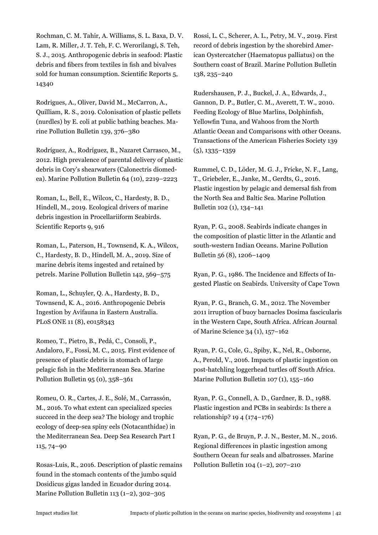Rochman, C. M. Tahir, A. Williams, S. L. Baxa, D. V. Lam, R. Miller, J. T. Teh, F. C. Werorilangi, S. Teh, S. J., 2015. Anthropogenic debris in seafood: Plastic debris and fibers from textiles in fish and bivalves sold for human consumption. Scientific Reports 5, 14340

Rodrigues, A., Oliver, David M., McCarron, A., Quilliam, R. S., 2019. Colonisation of plastic pellets (nurdles) by E. coli at public bathing beaches. Marine Pollution Bulletin 139, 376–380

Rodríguez, A., Rodríguez, B., Nazaret Carrasco, M., 2012. High prevalence of parental delivery of plastic debris in Cory's shearwaters (Calonectris diomedea). Marine Pollution Bulletin 64 (10), 2219–2223

Roman, L., Bell, E., Wilcox, C., Hardesty, B. D., Hindell, M., 2019. Ecological drivers of marine debris ingestion in Procellariiform Seabirds. Scientific Reports 9, 916

Roman, L., Paterson, H., Townsend, K. A., Wilcox, C., Hardesty, B. D., Hindell, M. A., 2019. Size of marine debris items ingested and retained by petrels. Marine Pollution Bulletin 142, 569–575

Roman, L., Schuyler, Q. A., Hardesty, B. D., Townsend, K. A., 2016. Anthropogenic Debris Ingestion by Avifauna in Eastern Australia. PLoS ONE 11 (8), e0158343

Romeo, T., Pietro, B., Pedá, C., Consoli, P., Andaloro, F., Fossi, M. C., 2015. First evidence of presence of plastic debris in stomach of large pelagic fish in the Mediterranean Sea. Marine Pollution Bulletin 95 (0), 358–361

Romeu, O. R., Cartes, J. E., Solé, M., Carrassón, M., 2016. To what extent can specialized species succeed in the deep sea? The biology and trophic ecology of deep-sea spiny eels (Notacanthidae) in the Mediterranean Sea. Deep Sea Research Part I 115, 74–90

Rosas-Luis, R., 2016. Description of plastic remains found in the stomach contents of the jumbo squid Dosidicus gigas landed in Ecuador during 2014. Marine Pollution Bulletin 113 (1–2), 302–305

Rossi, L. C., Scherer, A. L., Petry, M. V., 2019. First record of debris ingestion by the shorebird American Oystercatcher (Haematopus palliatus) on the Southern coast of Brazil. Marine Pollution Bulletin 138, 235–240

Rudershausen, P. J., Buckel, J. A., Edwards, J., Gannon, D. P., Butler, C. M., Averett, T. W., 2010. Feeding Ecology of Blue Marlins, Dolphinfish, Yellowfin Tuna, and Wahoos from the North Atlantic Ocean and Comparisons with other Oceans. Transactions of the American Fisheries Society 139 (5), 1335–1359

Rummel, C. D., Löder, M. G. J., Fricke, N. F., Lang, T., Griebeler, E., Janke, M., Gerdts, G., 2016. Plastic ingestion by pelagic and demersal fish from the North Sea and Baltic Sea. Marine Pollution Bulletin 102 (1), 134–141

Ryan, P. G., 2008. Seabirds indicate changes in the composition of plastic litter in the Atlantic and south-western Indian Oceans. Marine Pollution Bulletin 56 (8), 1206–1409

Ryan, P. G., 1986. The Incidence and Effects of Ingested Plastic on Seabirds. University of Cape Town

Ryan, P. G., Branch, G. M., 2012. The November 2011 irruption of buoy barnacles Dosima fascicularis in the Western Cape, South Africa. African Journal of Marine Science 34 (1), 157–162

Ryan, P. G., Cole, G., Spiby, K., Nel, R., Osborne, A., Perold, V., 2016. Impacts of plastic ingestion on post-hatchling loggerhead turtles off South Africa. Marine Pollution Bulletin 107 (1), 155–160

Ryan, P. G., Connell, A. D., Gardner, B. D., 1988. Plastic ingestion and PCBs in seabirds: Is there a relationship? 19 4 (174–176)

Ryan, P. G., de Bruyn, P. J. N., Bester, M. N., 2016. Regional differences in plastic ingestion among Southern Ocean fur seals and albatrosses. Marine Pollution Bulletin 104 (1–2), 207–210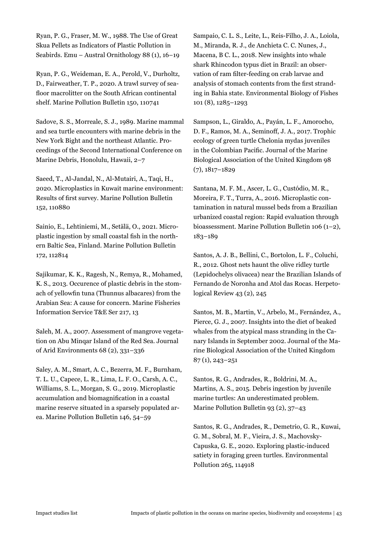Ryan, P. G., Fraser, M. W., 1988. The Use of Great Skua Pellets as Indicators of Plastic Pollution in Seabirds. Emu – Austral Ornithology 88 (1), 16–19

Ryan, P. G., Weideman, E. A., Perold, V., Durholtz, D., Fairweather, T. P., 2020. A trawl survey of seafloor macrolitter on the South African continental shelf. Marine Pollution Bulletin 150, 110741

Sadove, S. S., Morreale, S. J., 1989. Marine mammal and sea turtle encounters with marine debris in the New York Bight and the northeast Atlantic. Proceedings of the Second International Conference on Marine Debris, Honolulu, Hawaii, 2–7

Saeed, T., Al-Jandal, N., Al-Mutairi, A., Taqi, H., 2020. Microplastics in Kuwait marine environment: Results of first survey. Marine Pollution Bulletin 152, 110880

Sainio, E., Lehtiniemi, M., Setälä, O., 2021. Microplastic ingestion by small coastal fish in the northern Baltic Sea, Finland. Marine Pollution Bulletin 172, 112814

Sajikumar, K. K., Ragesh, N., Remya, R., Mohamed, K. S., 2013. Occurence of plastic debris in the stomach of yellowfin tuna (Thunnus albacares) from the Arabian Sea: A cause for concern. Marine Fisheries Information Service T&E Ser 217, 13

Saleh, M. A., 2007. Assessment of mangrove vegetation on Abu Minqar Island of the Red Sea. Journal of Arid Environments 68 (2), 331–336

Saley, A. M., Smart, A. C., Bezerra, M. F., Burnham, T. L. U., Capece, L. R., Lima, L. F. O., Carsh, A. C., Williams, S. L., Morgan, S. G., 2019. Microplastic accumulation and biomagnification in a coastal marine reserve situated in a sparsely populated area. Marine Pollution Bulletin 146, 54–59

Sampaio, C. L. S., Leite, L., Reis-Filho, J. A., Loiola, M., Miranda, R. J., de Anchieta C. C. Nunes, J., Macena, B C. L., 2018. New insights into whale shark Rhincodon typus diet in Brazil: an observation of ram filter-feeding on crab larvae and analysis of stomach contents from the first stranding in Bahia state. Environmental Biology of Fishes 101 (8), 1285–1293

Sampson, L., Giraldo, A., Payán, L. F., Amorocho, D. F., Ramos, M. A., Seminoff, J. A., 2017. Trophic ecology of green turtle Chelonia mydas juveniles in the Colombian Pacific. Journal of the Marine Biological Association of the United Kingdom 98 (7), 1817–1829

Santana, M. F. M., Ascer, L. G., Custódio, M. R., Moreira, F. T., Turra, A., 2016. Microplastic contamination in natural mussel beds from a Brazilian urbanized coastal region: Rapid evaluation through bioassessment. Marine Pollution Bulletin 106 (1–2), 183–189

Santos, A. J. B., Bellini, C., Bortolon, L. F., Coluchi, R., 2012. Ghost nets haunt the olive ridley turtle (Lepidochelys olivacea) near the Brazilian Islands of Fernando de Noronha and Atol das Rocas. Herpetological Review 43 (2), 245

Santos, M. B., Martin, V., Arbelo, M., Fernández, A., Pierce, G. J., 2007. Insights into the diet of beaked whales from the atypical mass stranding in the Canary Islands in September 2002. Journal of the Marine Biological Association of the United Kingdom 87 (1), 243–251

Santos, R. G., Andrades, R., Boldrini, M. A., Martins, A. S., 2015. Debris ingestion by juvenile marine turtles: An underestimated problem. Marine Pollution Bulletin 93 (2), 37–43

Santos, R. G., Andrades, R., Demetrio, G. R., Kuwai, G. M., Sobral, M. F., Vieira, J. S., Machovsky-Capuska, G. E., 2020. Exploring plastic-induced satiety in foraging green turtles. Environmental Pollution 265, 114918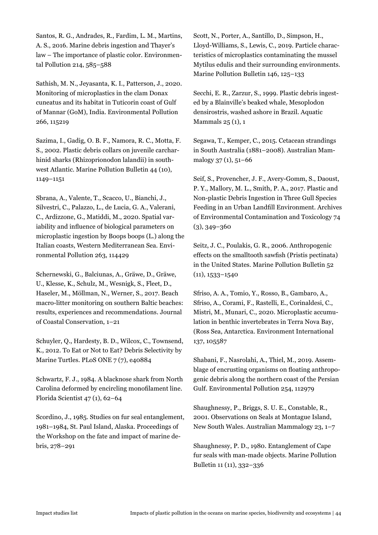Santos, R. G., Andrades, R., Fardim, L. M., Martins, A. S., 2016. Marine debris ingestion and Thayer's law – The importance of plastic color. Environmental Pollution 214, 585–588

Sathish, M. N., Jeyasanta, K. I., Patterson, J., 2020. Monitoring of microplastics in the clam Donax cuneatus and its habitat in Tuticorin coast of Gulf of Mannar (GoM), India. Environmental Pollution 266, 115219

Sazima, I., Gadig, O. B. F., Namora, R. C., Motta, F. S., 2002. Plastic debris collars on juvenile carcharhinid sharks (Rhizoprionodon lalandii) in southwest Atlantic. Marine Pollution Bulletin 44 (10), 1149–1151

Sbrana, A., Valente, T., Scacco, U., Bianchi, J., Silvestri, C., Palazzo, L., de Lucia, G. A., Valerani, C., Ardizzone, G., Matiddi, M., 2020. Spatial variability and influence of biological parameters on microplastic ingestion by Boops boops (L.) along the Italian coasts, Western Mediterranean Sea. Environmental Pollution 263, 114429

Schernewski, G., Balciunas, A., Gräwe, D., Gräwe, U., Klesse, K., Schulz, M., Wesnigk, S., Fleet, D., Haseler, M., Möllman, N., Werner, S., 2017. Beach macro-litter monitoring on southern Baltic beaches: results, experiences and recommendations. Journal of Coastal Conservation, 1–21

Schuyler, Q., Hardesty, B. D., Wilcox, C., Townsend, K., 2012. To Eat or Not to Eat? Debris Selectivity by Marine Turtles. PLoS ONE 7 (7), e40884

Schwartz, F. J., 1984. A blacknose shark from North Carolina deformed by encircling monofilament line. Florida Scientist 47 (1), 62–64

Scordino, J., 1985. Studies on fur seal entanglement, 1981–1984, St. Paul Island, Alaska. Proceedings of the Workshop on the fate and impact of marine debris, 278–291

Scott, N., Porter, A., Santillo, D., Simpson, H., Lloyd-Williams, S., Lewis, C., 2019. Particle characteristics of microplastics contaminating the mussel Mytilus edulis and their surrounding environments. Marine Pollution Bulletin 146, 125–133

Secchi, E. R., Zarzur, S., 1999. Plastic debris ingested by a Blainville's beaked whale, Mesoplodon densirostris, washed ashore in Brazil. Aquatic Mammals 25 (1), 1

Segawa, T., Kemper, C., 2015. Cetacean strandings in South Australia (1881–2008). Australian Mammalogy 37 (1), 51–66

Seif, S., Provencher, J. F., Avery-Gomm, S., Daoust, P. Y., Mallory, M. L., Smith, P. A., 2017. Plastic and Non-plastic Debris Ingestion in Three Gull Species Feeding in an Urban Landfill Environment. Archives of Environmental Contamination and Toxicology 74 (3), 349–360

Seitz, J. C., Poulakis, G. R., 2006. Anthropogenic effects on the smalltooth sawfish (Pristis pectinata) in the United States. Marine Pollution Bulletin 52  $(11), 1533 - 1540$ 

Sfriso, A. A., Tomio, Y., Rosso, B., Gambaro, A., Sfriso, A., Corami, F., Rastelli, E., Corinaldesi, C., Mistri, M., Munari, C., 2020. Microplastic accumulation in benthic invertebrates in Terra Nova Bay, (Ross Sea, Antarctica. Environment International 137, 105587

Shabani, F., Nasrolahi, A., Thiel, M., 2019. Assemblage of encrusting organisms on floating anthropogenic debris along the northern coast of the Persian Gulf. Environmental Pollution 254, 112979

Shaughnessy, P., Briggs, S. U. E., Constable, R., 2001. Observations on Seals at Montague Island, New South Wales. Australian Mammalogy 23, 1–7

Shaughnessy, P. D., 1980. Entanglement of Cape fur seals with man-made objects. Marine Pollution Bulletin 11 (11), 332–336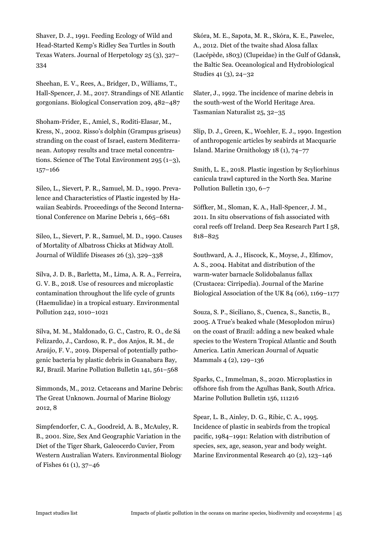Shaver, D. J., 1991. Feeding Ecology of Wild and Head-Started Kemp's Ridley Sea Turtles in South Texas Waters. Journal of Herpetology 25 (3), 327– 334

Sheehan, E. V., Rees, A., Bridger, D., Williams, T., Hall-Spencer, J. M., 2017. Strandings of NE Atlantic gorgonians. Biological Conservation 209, 482–487

Shoham-Frider, E., Amiel, S., Roditi-Elasar, M., Kress, N., 2002. Risso's dolphin (Grampus griseus) stranding on the coast of Israel, eastern Mediterranean. Autopsy results and trace metal concentrations. Science of The Total Environment 295 (1–3), 157–166

Sileo, L., Sievert, P. R., Samuel, M. D., 1990. Prevalence and Characteristics of Plastic ingested by Hawaiian Seabirds. Proceedings of the Second International Conference on Marine Debris 1, 665–681

Sileo, L., Sievert, P. R., Samuel, M. D., 1990. Causes of Mortality of Albatross Chicks at Midway Atoll. Journal of Wildlife Diseases 26 (3), 329–338

Silva, J. D. B., Barletta, M., Lima, A. R. A., Ferreira, G. V. B., 2018. Use of resources and microplastic contamination throughout the life cycle of grunts (Haemulidae) in a tropical estuary. Environmental Pollution 242, 1010–1021

Silva, M. M., Maldonado, G. C., Castro, R. O., de Sá Felizardo, J., Cardoso, R. P., dos Anjos, R. M., de Araújo, F. V., 2019. Dispersal of potentially pathogenic bacteria by plastic debris in Guanabara Bay, RJ, Brazil. Marine Pollution Bulletin 141, 561–568

Simmonds, M., 2012. Cetaceans and Marine Debris: The Great Unknown. Journal of Marine Biology 2012, 8

Simpfendorfer, C. A., Goodreid, A. B., McAuley, R. B., 2001. Size, Sex And Geographic Variation in the Diet of the Tiger Shark, Galeocerdo Cuvier, From Western Australian Waters. Environmental Biology of Fishes 61 (1), 37–46

Skóra, M. E., Sapota, M. R., Skóra, K. E., Pawelec, A., 2012. Diet of the twaite shad Alosa fallax (Lacépède, 1803) (Clupeidae) in the Gulf of Gdansk, the Baltic Sea. Oceanological and Hydrobiological Studies 41 (3), 24–32

Slater, J., 1992. The incidence of marine debris in the south-west of the World Heritage Area. Tasmanian Naturalist 25, 32–35

Slip, D. J., Green, K., Woehler, E. J., 1990. Ingestion of anthropogenic articles by seabirds at Macquarie Island. Marine Ornithology 18 (1), 74–77

Smith, L. E., 2018. Plastic ingestion by Scyliorhinus canicula trawl captured in the North Sea. Marine Pollution Bulletin 130, 6–7

Söffker, M., Sloman, K. A., Hall-Spencer, J. M., 2011. In situ observations of fish associated with coral reefs off Ireland. Deep Sea Research Part I 58, 818–825

Southward, A. J., Hiscock, K., Moyse, J., Elfimov, A. S., 2004. Habitat and distribution of the warm-water barnacle Solidobalanus fallax (Crustacea: Cirripedia). Journal of the Marine Biological Association of the UK 84 (06), 1169–1177

Souza, S. P., Siciliano, S., Cuenca, S., Sanctis, B., 2005. A True's beaked whale (Mesoplodon mirus) on the coast of Brazil: adding a new beaked whale species to the Western Tropical Atlantic and South America. Latin American Journal of Aquatic Mammals 4 (2), 129–136

Sparks, C., Immelman, S., 2020. Microplastics in offshore fish from the Agulhas Bank, South Africa. Marine Pollution Bulletin 156, 111216

Spear, L. B., Ainley, D. G., Ribic, C. A., 1995. Incidence of plastic in seabirds from the tropical pacific, 1984–1991: Relation with distribution of species, sex, age, season, year and body weight. Marine Environmental Research 40 (2), 123–146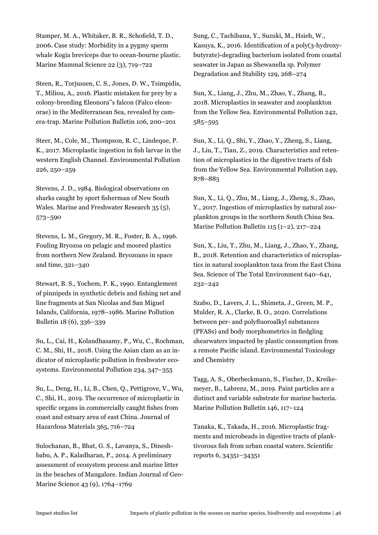Stamper, M. A., Whitaker, B. R., Schofield, T. D., 2006. Case study: Morbidity in a pygmy sperm whale Kogia breviceps due to ocean-bourne plastic. Marine Mammal Science 22 (3), 719–722

Steen, R., Torjussen, C. S., Jones, D. W., Tsimpidis, T., Miliou, A., 2016. Plastic mistaken for prey by a colony-breeding Eleonora''s falcon (Falco eleonorae) in the Mediterranean Sea, revealed by camera-trap. Marine Pollution Bulletin 106, 200–201

Steer, M., Cole, M., Thompson, R. C., Lindeque, P. K., 2017. Microplastic ingestion in fish larvae in the western English Channel. Environmental Pollution 226, 250–259

Stevens, J. D., 1984. Biological observations on sharks caught by sport fisherman of New South Wales. Marine and Freshwater Research 35 (5), 573–590

Stevens, L. M., Gregory, M. R., Foster, B. A., 1996. Fouling Bryozoa on pelagic and moored plastics from northern New Zealand. Bryozoans in space and time, 321–340

Stewart, B. S., Yochem, P. K., 1990. Entanglement of pinnipeds in synthetic debris and fishing net and line fragments at San Nicolas and San Miguel Islands, California, 1978–1986. Marine Pollution Bulletin 18 (6), 336–339

Su, L., Cai, H., Kolandhasamy, P., Wu, C., Rochman, C. M., Shi, H., 2018. Using the Asian clam as an indicator of microplastic pollution in freshwater ecosystems. Environmental Pollution 234, 347–355

Su, L., Deng, H., Li, B., Chen, Q., Pettigrove, V., Wu, C., Shi, H., 2019. The occurrence of microplastic in specific organs in commercially caught fishes from coast and estuary area of east China. Journal of Hazardous Materials 365, 716–724

Sulochanan, B., Bhat, G. S., Lavanya, S., Dineshbabu, A. P., Kaladharan, P., 2014. A preliminary assessment of ecosystem process and marine litter in the beaches of Mangalore. Indian Journal of Geo-Marine Science 43 (9), 1764–1769

Sung, C., Tachibana, Y., Suzuki, M., Hsieh, W., Kasuya, K., 2016. Identification of a poly(3-hydroxybutyrate)-degrading bacterium isolated from coastal seawater in Japan as Shewanella sp. Polymer Degradation and Stability 129, 268–274

Sun, X., Liang, J., Zhu, M., Zhao, Y., Zhang, B., 2018. Microplastics in seawater and zooplankton from the Yellow Sea. Environmental Pollution 242, 585–595

Sun, X., Li, Q., Shi, Y., Zhao, Y., Zheng, S., Liang, J., Liu, T., Tian, Z., 2019. Characteristics and retention of microplastics in the digestive tracts of fish from the Yellow Sea. Environmental Pollution 249, 878–885

Sun, X., Li, Q., Zhu, M., Liang, J., Zheng, S., Zhao, Y., 2017. Ingestion of microplastics by natural zooplankton groups in the northern South China Sea. Marine Pollution Bulletin 115 (1–2), 217–224

Sun, X., Liu, T., Zhu, M., Liang, J., Zhao, Y., Zhang, B., 2018. Retention and characteristics of microplastics in natural zooplankton taxa from the East China Sea. Science of The Total Environment 640–641, 232–242

Szabo, D., Lavers, J. L., Shimeta, J., Green, M. P., Mulder, R. A., Clarke, B. O., 2020. Correlations between per- and polyfluoroalkyl substances (PFASs) and body morphometrics in fledgling shearwaters impacted by plastic consumption from a remote Pacific island. Environmental Toxicology and Chemistry

Tagg, A. S., Oberbeckmann, S., Fischer, D., Kreikemeyer, B., Labrenz, M., 2019. Paint particles are a distinct and variable substrate for marine bacteria. Marine Pollution Bulletin 146, 117–124

Tanaka, K., Takada, H., 2016. Microplastic fragments and microbeads in digestive tracts of planktivorous fish from urban coastal waters. Scientific reports 6, 34351–34351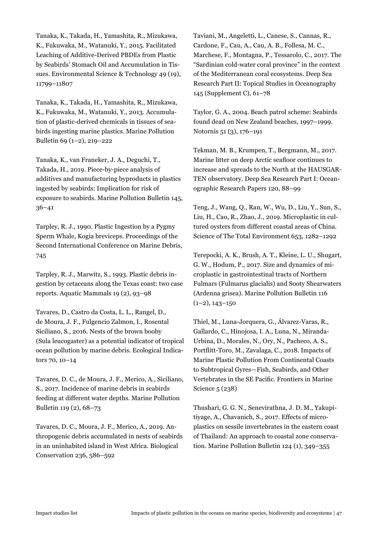Tanaka, K., Takada, H., Yamashita, R., Mizukawa, K., Fukuwaka, M., Watanuki, Y., 2015. Facilitated Leaching of Additive-Derived PBDEs from Plastic by Seabirds' Stomach Oil and Accumulation in Tissues. Environmental Science & Technology 49 (19), 11799–11807

Tanaka, K., Takada, H., Yamashita, R., Mizukawa, K., Fukuwaka, M., Watanuki, Y., 2013. Accumulation of plastic-derived chemicals in tissues of seabirds ingesting marine plastics. Marine Pollution Bulletin 69 (1–2), 219–222

Tanaka, K., van Franeker, J. A., Deguchi, T., Takada, H., 2019. Piece-by-piece analysis of additives and manufacturing byproducts in plastics ingested by seabirds: Implication for risk of exposure to seabirds. Marine Pollution Bulletin 145, 36–41

Tarpley, R. J., 1990. Plastic Ingestion by a Pygmy Sperm Whale, Kogia breviceps. Proceedings of the Second International Conference on Marine Debris, 745

Tarpley, R. J., Marwitz, S., 1993. Plastic debris ingestion by cetaceans along the Texas coast: two case reports. Aquatic Mammals 19 (2), 93–98

Tavares, D., Castro da Costa, L. L., Rangel, D., de Moura, J. F., Fulgencio Zalmon, I., Rosental Siciliano, S., 2016. Nests of the brown booby (Sula leucogaster) as a potential indicator of tropical ocean pollution by marine debris. Ecological Indicators 70, 10–14

Tavares, D. C., de Moura, J. F., Merico, A., Siciliano, S., 2017. Incidence of marine debris in seabirds feeding at different water depths. Marine Pollution Bulletin 119 (2), 68–73

Tavares, D. C., Moura, J. F., Merico, A., 2019. Anthropogenic debris accumulated in nests of seabirds in an uninhabited island in West Africa. Biological Conservation 236, 586–592

Taviani, M., Angeletti, L., Canese, S., Cannas, R., Cardone, F., Cau, A., Cau, A. B., Follesa, M. C., Marchese, F., Montagna, P., Tessarolo, C., 2017. The "Sardinian cold-water coral province" in the context of the Mediterranean coral ecosystems. Deep Sea Research Part II: Topical Studies in Oceanography 145 (Supplement C), 61–78

Taylor, G. A., 2004. Beach patrol scheme: Seabirds found dead on New Zealand beaches, 1997–1999. Notornis 51 (3), 176–191

Tekman, M. B., Krumpen, T., Bergmann, M., 2017. Marine litter on deep Arctic seafloor continues to increase and spreads to the North at the HAUSGAR-TEN observatory. Deep Sea Research Part I: Oceanographic Research Papers 120, 88–99

Teng, J., Wang, Q., Ran, W., Wu, D., Liu, Y., Sun, S., Liu, H., Cao, R., Zhao, J., 2019. Microplastic in cultured oysters from different coastal areas of China. Science of The Total Environment 653, 1282–1292

Terepocki, A. K., Brush, A. T., Kleine, L. U., Shugart, G. W., Hodum, P., 2017. Size and dynamics of microplastic in gastrointestinal tracts of Northern Fulmars (Fulmarus glacialis) and Sooty Shearwaters (Ardenna grisea). Marine Pollution Bulletin 116  $(1-2)$ ,  $143-150$ 

Thiel, M., Luna-Jorquera, G., Álvarez-Varas, R., Gallardo, C., Hinojosa, I. A., Luna, N., Miranda-Urbina, D., Morales, N., Ory, N., Pacheco, A. S., Portflitt-Toro, M., Zavalaga, C., 2018. Impacts of Marine Plastic Pollution From Continental Coasts to Subtropical Gyres—Fish, Seabirds, and Other Vertebrates in the SE Pacific. Frontiers in Marine Science 5 (238)

Thushari, G. G. N., Senevirathna, J. D. M., Yakupitiyage, A., Chavanich, S., 2017. Effects of microplastics on sessile invertebrates in the eastern coast of Thailand: An approach to coastal zone conservation. Marine Pollution Bulletin 124 (1), 349–355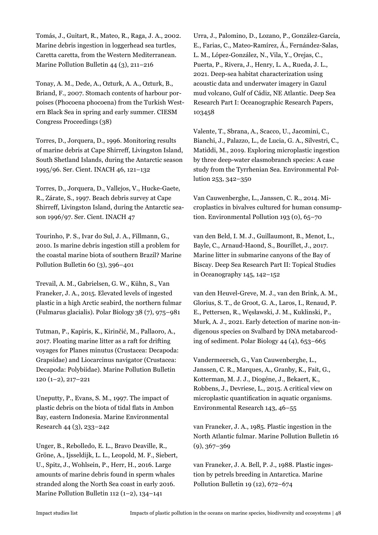Tomás, J., Guitart, R., Mateo, R., Raga, J. A., 2002. Marine debris ingestion in loggerhead sea turtles, Caretta caretta, from the Western Mediterranean. Marine Pollution Bulletin 44 (3), 211–216

Tonay, A. M., Dede, A., Ozturk, A. A., Ozturk, B., Briand, F., 2007. Stomach contents of harbour porpoises (Phocoena phocoena) from the Turkish Western Black Sea in spring and early summer. CIESM Congress Proceedings (38)

Torres, D., Jorquera, D., 1996. Monitoring results of marine debris at Cape Shirreff, Livingston Island, South Shetland Islands, during the Antarctic season 1995/96. Ser. Cient. INACH 46, 121–132

Torres, D., Jorquera, D., Vallejos, V., Hucke-Gaete, R., Zárate, S., 1997. Beach debris survey at Cape Shirreff, Livingston Island, during the Antarctic season 1996/97. Ser. Cient. INACH 47

Tourinho, P. S., Ivar do Sul, J. A., Fillmann, G., 2010. Is marine debris ingestion still a problem for the coastal marine biota of southern Brazil? Marine Pollution Bulletin 60 (3), 396–401

Trevail, A. M., Gabrielsen, G. W., Kühn, S., Van Franeker, J. A., 2015. Elevated levels of ingested plastic in a high Arctic seabird, the northern fulmar (Fulmarus glacialis). Polar Biology 38 (7), 975–981

Tutman, P., Kapiris, K., Kirinčić, M., Pallaoro, A., 2017. Floating marine litter as a raft for drifting voyages for Planes minutus (Crustacea: Decapoda: Grapsidae) and Liocarcinus navigator (Crustacea: Decapoda: Polybiidae). Marine Pollution Bulletin 120 (1–2), 217–221

Uneputty, P., Evans, S. M., 1997. The impact of plastic debris on the biota of tidal flats in Ambon Bay, eastern Indonesia. Marine Environmental Research 44 (3), 233–242

Unger, B., Rebolledo, E. L., Bravo Deaville, R., Gröne, A., Ijsseldijk, L. L., Leopold, M. F., Siebert, U., Spitz, J., Wohlsein, P., Herr, H., 2016. Large amounts of marine debris found in sperm whales stranded along the North Sea coast in early 2016. Marine Pollution Bulletin 112 (1–2), 134–141

Urra, J., Palomino, D., Lozano, P., González-García, E., Farias, C., Mateo-Ramírez, Á., Fernández-Salas, L. M., López-González, N., Vila, Y., Orejas, C., Puerta, P., Rivera, J., Henry, L. A., Rueda, J. L., 2021. Deep-sea habitat characterization using acoustic data and underwater imagery in Gazul mud volcano, Gulf of Cádiz, NE Atlantic. Deep Sea Research Part I: Oceanographic Research Papers, 103458

Valente, T., Sbrana, A., Scacco, U., Jacomini, C., Bianchi, J., Palazzo, L., de Lucia, G. A., Silvestri, C., Matiddi, M., 2019. Exploring microplastic ingestion by three deep-water elasmobranch species: A case study from the Tyrrhenian Sea. Environmental Pollution 253, 342–350

Van Cauwenberghe, L., Janssen, C. R., 2014. Microplastics in bivalves cultured for human consumption. Environmental Pollution 193 (0), 65–70

van den Beld, I. M. J., Guillaumont, B., Menot, L., Bayle, C., Arnaud-Haond, S., Bourillet, J., 2017. Marine litter in submarine canyons of the Bay of Biscay. Deep Sea Research Part II: Topical Studies in Oceanography 145, 142–152

van den Heuvel-Greve, M. J., van den Brink, A. M., Glorius, S. T., de Groot, G. A., Laros, I., Renaud, P. E., Pettersen, R., Węsławski, J. M., Kuklinski, P., Murk, A. J., 2021. Early detection of marine non-indigenous species on Svalbard by DNA metabarcoding of sediment. Polar Biology 44 (4), 653–665

Vandermeersch, G., Van Cauwenberghe, L., Janssen, C. R., Marques, A., Granby, K., Fait, G., Kotterman, M. J. J., Diogéne, J., Bekaert, K., Robbens, J., Devriese, L., 2015. A critical view on microplastic quantification in aquatic organisms. Environmental Research 143, 46–55

van Franeker, J. A., 1985. Plastic ingestion in the North Atlantic fulmar. Marine Pollution Bulletin 16  $(9), 367 - 369$ 

van Franeker, J. A. Bell, P. J., 1988. Plastic ingestion by petrels breeding in Antarctica. Marine Pollution Bulletin 19 (12), 672–674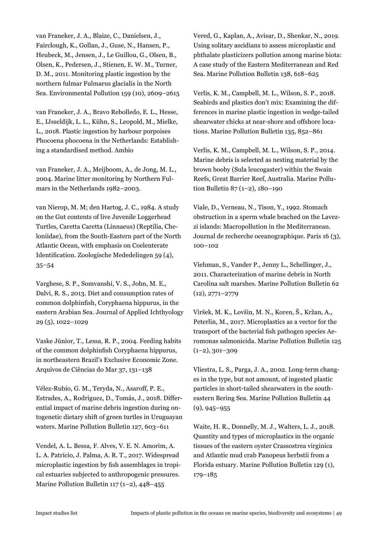van Franeker, J. A., Blaize, C., Danielsen, J., Fairclough, K., Gollan, J., Guse, N., Hansen, P., Heubeck, M., Jensen, J., Le Guillou, G., Olsen, B., Olsen, K., Pedersen, J., Stienen, E. W. M., Turner, D. M., 2011. Monitoring plastic ingestion by the northern fulmar Fulmarus glacialis in the North Sea. Environmental Pollution 159 (10), 2609–2615

van Franeker, J. A., Bravo Rebolledo, E. L., Hesse, E., IJsseldijk, L. L., Kühn, S., Leopold, M., Mielke, L., 2018. Plastic ingestion by harbour porpoises Phocoena phocoena in the Netherlands: Establishing a standardised method. Ambio

van Franeker, J. A., Meijboom, A., de Jong, M. L., 2004. Marine litter monitoring by Northern Fulmars in the Netherlands 1982–2003.

van Nierop, M. M; den Hartog, J. C., 1984. A study on the Gut contents of live Juvenile Loggerhead Turtles, Caretta Caretta (Linnaeus) (Reptilia, Cheloniidae), from the South-Eastern part of the North Atlantic Ocean, with emphasis on Coelenterate Identification. Zoologische Mededelingen 59 (4), 35–54

Varghese, S. P., Somvanshi, V. S., John, M. E., Dalvi, R. S., 2013. Diet and consumption rates of common dolphinfish, Coryphaena hippurus, in the eastern Arabian Sea. Journal of Applied Ichthyology 29 (5), 1022–1029

Vaske Júnior, T., Lessa, R. P., 2004. Feeding habits of the common dolphinfish Coryphaena hippurus, in northeastern Brazil's Exclusive Economic Zone. Arquivos de Ciências do Mar 37, 131–138

Vélez-Rubio, G. M., Teryda, N., Asaroff, P. E., Estrades, A., Rodriguez, D., Tomás, J., 2018. Differential impact of marine debris ingestion during ontogenetic dietary shift of green turtles in Uruguayan waters. Marine Pollution Bulletin 127, 603–611

Vendel, A. L. Bessa, F. Alves, V. E. N. Amorim, A. L. A. Patrício, J. Palma, A. R. T., 2017. Widespread microplastic ingestion by fish assemblages in tropical estuaries subjected to anthropogenic pressures. Marine Pollution Bulletin 117 (1–2),  $448-455$ 

Vered, G., Kaplan, A., Avisar, D., Shenkar, N., 2019. Using solitary ascidians to assess microplastic and phthalate plasticizers pollution among marine biota: A case study of the Eastern Mediterranean and Red Sea. Marine Pollution Bulletin 138, 618–625

Verlis, K. M., Campbell, M. L., Wilson, S. P., 2018. Seabirds and plastics don't mix: Examining the differences in marine plastic ingestion in wedge-tailed shearwater chicks at near-shore and offshore locations. Marine Pollution Bulletin 135, 852–861

Verlis, K. M., Campbell, M. L., Wilson, S. P., 2014. Marine debris is selected as nesting material by the brown booby (Sula leucogaster) within the Swain Reefs, Great Barrier Reef, Australia. Marine Pollution Bulletin 87 (1–2), 180–190

Viale, D., Verneau, N., Tison, Y., 1992. Stomach obstruction in a sperm whale beached on the Lavezzi islands: Macropollution in the Mediterranean. Journal de recherche oceanographique. Paris 16 (3), 100–102

Viehman, S., Vander P., Jenny L., Schellinger, J., 2011. Characterization of marine debris in North Carolina salt marshes. Marine Pollution Bulletin 62 (12), 2771–2779

Viršek, M. K., Lovšin, M. N., Koren, Š., Kržan, A., Peterlin, M., 2017. Microplastics as a vector for the transport of the bacterial fish pathogen species Aeromonas salmonicida. Marine Pollution Bulletin 125  $(1-2)$ , 301-309

Vliestra, L. S., Parga, J. A., 2002. Long-term changes in the type, but not amount, of ingested plastic particles in short-tailed shearwaters in the southeastern Bering Sea. Marine Pollution Bulletin 44 (9), 945–955

Waite, H. R., Donnelly, M. J., Walters, L. J., 2018. Quantity and types of microplastics in the organic tissues of the eastern oyster Crassostrea virginica and Atlantic mud crab Panopeus herbstii from a Florida estuary. Marine Pollution Bulletin 129 (1), 179–185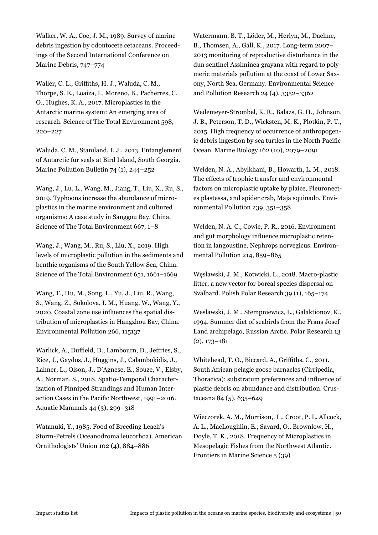Walker, W. A., Coe, J. M., 1989. Survey of marine debris ingestion by odontocete cetaceans. Proceedings of the Second International Conference on Marine Debris, 747–774

Waller, C. L., Griffiths, H. J., Waluda, C. M., Thorpe, S. E., Loaiza, I., Moreno, B., Pacherres, C. O., Hughes, K. A., 2017. Microplastics in the Antarctic marine system: An emerging area of research. Science of The Total Environment 598, 220–227

Waluda, C. M., Staniland, I. J., 2013. Entanglement of Antarctic fur seals at Bird Island, South Georgia. Marine Pollution Bulletin 74 (1), 244–252

Wang, J., Lu, L., Wang, M., Jiang, T., Liu, X., Ru, S., 2019. Typhoons increase the abundance of microplastics in the marine environment and cultured organisms: A case study in Sanggou Bay, China. Science of The Total Environment 667, 1–8

Wang, J., Wang, M., Ru, S., Liu, X., 2019. High levels of microplastic pollution in the sediments and benthic organisms of the South Yellow Sea, China. Science of The Total Environment 651, 1661–1669

Wang, T., Hu, M., Song, L., Yu, J., Liu, R., Wang, S., Wang, Z., Sokolova, I. M., Huang, W., Wang, Y., 2020. Coastal zone use influences the spatial distribution of microplastics in Hangzhou Bay, China. Environmental Pollution 266, 115137

Warlick, A., Duffield, D., Lambourn, D., Jeffries, S., Rice, J., Gaydos, J., Huggins, J., Calambokidis, J., Lahner, L., Olson, J., D'Agnese, E., Souze, V., Elsby, A., Norman, S., 2018. Spatio-Temporal Characterization of Pinniped Strandings and Human Interaction Cases in the Pacific Northwest, 1991–2016. Aquatic Mammals 44 (3), 299–318

Watanuki, Y., 1985. Food of Breeding Leach's Storm-Petrels (Oceanodroma leucorhoa). American Ornithologists' Union 102 (4), 884–886

Watermann, B. T., Löder, M., Herlyn, M., Daehne, B., Thomsen, A., Gall, K., 2017. Long-term 2007– 2013 monitoring of reproductive disturbance in the dun sentinel Assiminea grayana with regard to polymeric materials pollution at the coast of Lower Saxony, North Sea, Germany. Environmental Science and Pollution Research 24 (4), 3352–3362

Wedemeyer-Strombel, K. R., Balazs, G. H., Johnson, J. B., Peterson, T. D., Wicksten, M. K., Plotkin, P. T., 2015. High frequency of occurrence of anthropogenic debris ingestion by sea turtles in the North Pacific Ocean. Marine Biology 162 (10), 2079–2091

Welden, N. A., Abylkhani, B., Howarth, L. M., 2018. The effects of trophic transfer and environmental factors on microplastic uptake by plaice, Pleuronectes plastessa, and spider crab, Maja squinado. Environmental Pollution 239, 351–358

Welden, N. A. C., Cowie, P. R., 2016. Environment and gut morphology influence microplastic retention in langoustine, Nephrops norvegicus. Environmental Pollution 214, 859–865

Węsławski, J. M., Kotwicki, L., 2018. Macro-plastic litter, a new vector for boreal species dispersal on Svalbard. Polish Polar Research 39 (1), 165–174

Weslawski, J. M., Stempniewicz, L., Galaktionov, K., 1994. Summer diet of seabirds from the Frans Josef Land archipelago, Russian Arctic. Polar Research 13 (2), 173–181

Whitehead, T. O., Biccard, A., Griffiths, C., 2011. South African pelagic goose barnacles (Cirripedia, Thoracica): substratum preferences and influence of plastic debris on abundance and distribution. Crustaceana 84 (5), 635–649

Wieczorek, A. M., Morrison,. L., Croot, P. L. Allcock, A. L., MacLoughlin, E., Savard, O., Brownlow, H., Doyle, T. K., 2018. Frequency of Microplastics in Mesopelagic Fishes from the Northwest Atlantic. Frontiers in Marine Science 5 (39)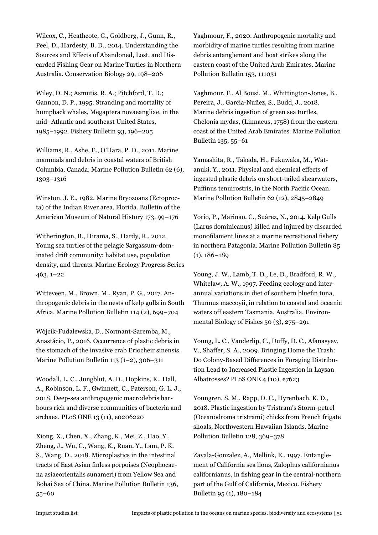Wilcox, C., Heathcote, G., Goldberg, J., Gunn, R., Peel, D., Hardesty, B. D., 2014. Understanding the Sources and Effects of Abandoned, Lost, and Discarded Fishing Gear on Marine Turtles in Northern Australia. Conservation Biology 29, 198–206

Wiley, D. N.; Asmutis, R. A.; Pitchford, T. D.; Gannon, D. P., 1995. Stranding and mortality of humpback whales, Megaptera novaeangliae, in the mid–Atlantic and southeast United States, 1985–1992. Fishery Bulletin 93, 196–205

Williams, R., Ashe, E., O'Hara, P. D., 2011. Marine mammals and debris in coastal waters of British Columbia, Canada. Marine Pollution Bulletin 62 (6), 1303–1316

Winston, J. E., 1982. Marine Bryozoans (Ectoprocta) of the Indian River area, Florida. Bulletin of the American Museum of Natural History 173, 99–176

Witherington, B., Hirama, S., Hardy, R., 2012. Young sea turtles of the pelagic Sargassum-dominated drift community: habitat use, population density, and threats. Marine Ecology Progress Series 463, 1–22

Witteveen, M., Brown, M., Ryan, P. G., 2017. Anthropogenic debris in the nests of kelp gulls in South Africa. Marine Pollution Bulletin 114 (2), 699–704

Wójcik-Fudalewska, D., Normant-Saremba, M., Anastácio, P., 2016. Occurrence of plastic debris in the stomach of the invasive crab Eriocheir sinensis. Marine Pollution Bulletin 113 (1–2), 306–311

Woodall, L. C., Jungblut, A. D., Hopkins, K., Hall, A., Robinson, L. F., Gwinnett, C., Paterson, G. L. J., 2018. Deep-sea anthropogenic macrodebris harbours rich and diverse communities of bacteria and archaea. PLoS ONE 13 (11), e0206220

Xiong, X., Chen, X., Zhang, K., Mei, Z., Hao, Y., Zheng, J., Wu, C., Wang, K., Ruan, Y., Lam, P. K. S., Wang, D., 2018. Microplastics in the intestinal tracts of East Asian finless porpoises (Neophocaena asiaeorientalis sunameri) from Yellow Sea and Bohai Sea of China. Marine Pollution Bulletin 136, 55–60

Yaghmour, F., 2020. Anthropogenic mortality and morbidity of marine turtles resulting from marine debris entanglement and boat strikes along the eastern coast of the United Arab Emirates. Marine Pollution Bulletin 153, 111031

Yaghmour, F., Al Bousi, M., Whittington-Jones, B., Pereira, J., García-Nuñez, S., Budd, J., 2018. Marine debris ingestion of green sea turtles, Chelonia mydas, (Linnaeus, 1758) from the eastern coast of the United Arab Emirates. Marine Pollution Bulletin 135, 55–61

Yamashita, R., Takada, H., Fukuwaka, M., Watanuki, Y., 2011. Physical and chemical effects of ingested plastic debris on short-tailed shearwaters, Puffinus tenuirostris, in the North Pacific Ocean. Marine Pollution Bulletin 62 (12), 2845–2849

Yorio, P., Marinao, C., Suárez, N., 2014. Kelp Gulls (Larus dominicanus) killed and injured by discarded monofilament lines at a marine recreational fishery in northern Patagonia. Marine Pollution Bulletin 85 (1), 186–189

Young, J. W., Lamb, T. D., Le, D., Bradford, R. W., Whitelaw, A. W., 1997. Feeding ecology and interannual variations in diet of southern bluefin tuna, Thunnus maccoyii, in relation to coastal and oceanic waters off eastern Tasmania, Australia. Environmental Biology of Fishes 50 (3), 275–291

Young, L. C., Vanderlip, C., Duffy, D. C., Afanasyev, V., Shaffer, S. A., 2009. Bringing Home the Trash: Do Colony-Based Differences in Foraging Distribution Lead to Increased Plastic Ingestion in Laysan Albatrosses? PLoS ONE 4 (10), e7623

Youngren, S. M., Rapp, D. C., Hyrenbach, K. D., 2018. Plastic ingestion by Tristram's Storm-petrel (Oceanodroma tristrami) chicks from French frigate shoals, Northwestern Hawaiian Islands. Marine Pollution Bulletin 128, 369–378

Zavala-Gonzalez, A., Mellink, E., 1997. Entanglement of California sea lions, Zalophus californianus californianus, in fishing gear in the central-northern part of the Gulf of California, Mexico. Fishery Bulletin 95 (1), 180–184